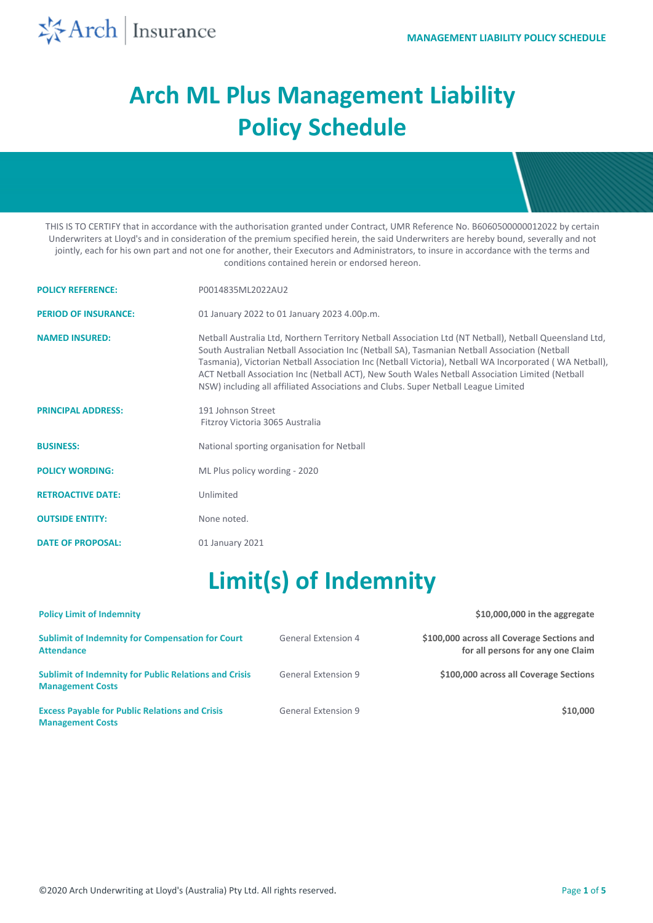

# **Arch ML Plus Management Liability Policy Schedule**

THIS IS TO CERTIFY that in accordance with the authorisation granted under Contract, UMR Reference No. B6060500000012022 by certain Underwriters at Lloyd's and in consideration of the premium specified herein, the said Underwriters are hereby bound, severally and not jointly, each for his own part and not one for another, their Executors and Administrators, to insure in accordance with the terms and conditions contained herein or endorsed hereon.

| <b>POLICY REFERENCE:</b>    | P0014835ML2022AU2                                                                                                                                                                                                                                                                                                                                                                                                                                                                                           |
|-----------------------------|-------------------------------------------------------------------------------------------------------------------------------------------------------------------------------------------------------------------------------------------------------------------------------------------------------------------------------------------------------------------------------------------------------------------------------------------------------------------------------------------------------------|
| <b>PERIOD OF INSURANCE:</b> | 01 January 2022 to 01 January 2023 4.00p.m.                                                                                                                                                                                                                                                                                                                                                                                                                                                                 |
| <b>NAMED INSURED:</b>       | Netball Australia Ltd, Northern Territory Netball Association Ltd (NT Netball), Netball Queensland Ltd,<br>South Australian Netball Association Inc (Netball SA), Tasmanian Netball Association (Netball<br>Tasmania), Victorian Netball Association Inc (Netball Victoria), Netball WA Incorporated (WA Netball),<br>ACT Netball Association Inc (Netball ACT), New South Wales Netball Association Limited (Netball<br>NSW) including all affiliated Associations and Clubs. Super Netball League Limited |
| <b>PRINCIPAL ADDRESS:</b>   | 191 Johnson Street<br>Fitzroy Victoria 3065 Australia                                                                                                                                                                                                                                                                                                                                                                                                                                                       |
| <b>BUSINESS:</b>            | National sporting organisation for Netball                                                                                                                                                                                                                                                                                                                                                                                                                                                                  |
| <b>POLICY WORDING:</b>      | ML Plus policy wording - 2020                                                                                                                                                                                                                                                                                                                                                                                                                                                                               |
| <b>RETROACTIVE DATE:</b>    | Unlimited                                                                                                                                                                                                                                                                                                                                                                                                                                                                                                   |
| <b>OUTSIDE ENTITY:</b>      | None noted.                                                                                                                                                                                                                                                                                                                                                                                                                                                                                                 |
| <b>DATE OF PROPOSAL:</b>    | 01 January 2021                                                                                                                                                                                                                                                                                                                                                                                                                                                                                             |

# **Limit(s) of Indemnity**

| <b>Policy Limit of Indemnity</b>                                                        |                            | $$10,000,000$ in the aggregate                                                  |  |
|-----------------------------------------------------------------------------------------|----------------------------|---------------------------------------------------------------------------------|--|
| <b>Sublimit of Indemnity for Compensation for Court</b><br><b>Attendance</b>            | <b>General Extension 4</b> | \$100,000 across all Coverage Sections and<br>for all persons for any one Claim |  |
| <b>Sublimit of Indemnity for Public Relations and Crisis</b><br><b>Management Costs</b> | <b>General Extension 9</b> | \$100,000 across all Coverage Sections                                          |  |
| <b>Excess Payable for Public Relations and Crisis</b><br><b>Management Costs</b>        | <b>General Extension 9</b> | \$10,000                                                                        |  |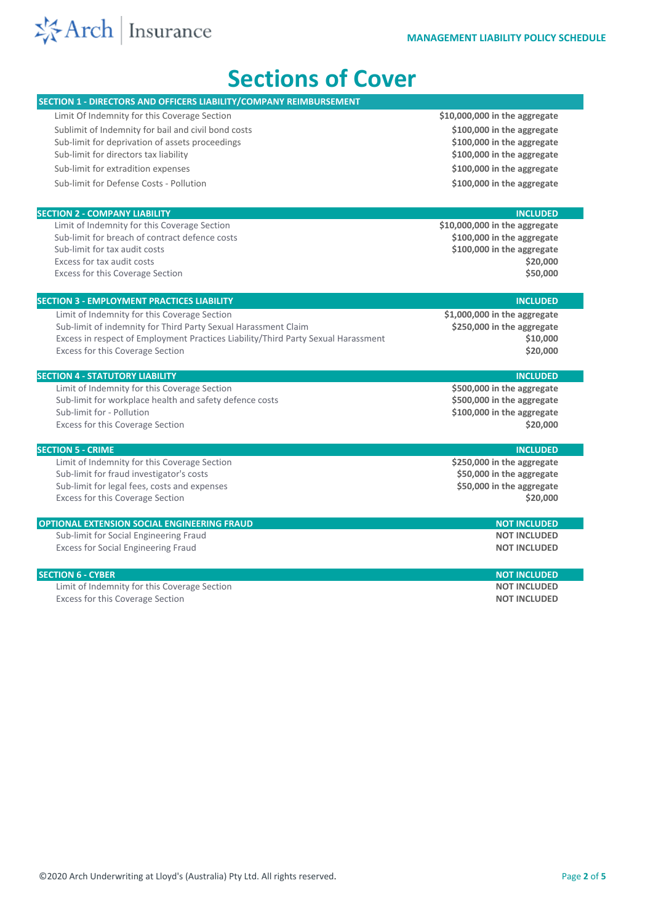

# **Sections of Cover**

| SECTION 1 - DIRECTORS AND OFFICERS LIABILITY/COMPANY REIMBURSEMENT                |                               |
|-----------------------------------------------------------------------------------|-------------------------------|
| Limit Of Indemnity for this Coverage Section                                      | \$10,000,000 in the aggregate |
| Sublimit of Indemnity for bail and civil bond costs                               | \$100,000 in the aggregate    |
| Sub-limit for deprivation of assets proceedings                                   | \$100,000 in the aggregate    |
| Sub-limit for directors tax liability                                             | \$100,000 in the aggregate    |
| Sub-limit for extradition expenses                                                | \$100,000 in the aggregate    |
| Sub-limit for Defense Costs - Pollution                                           | \$100,000 in the aggregate    |
| <b>SECTION 2 - COMPANY LIABILITY</b>                                              | <b>INCLUDED</b>               |
| Limit of Indemnity for this Coverage Section                                      | \$10,000,000 in the aggregate |
| Sub-limit for breach of contract defence costs                                    | \$100,000 in the aggregate    |
| Sub-limit for tax audit costs                                                     | \$100,000 in the aggregate    |
| Excess for tax audit costs                                                        | \$20,000                      |
| Excess for this Coverage Section                                                  | \$50,000                      |
| <b>SECTION 3 - EMPLOYMENT PRACTICES LIABILITY</b>                                 | <b>INCLUDED</b>               |
| Limit of Indemnity for this Coverage Section                                      | \$1,000,000 in the aggregate  |
| Sub-limit of indemnity for Third Party Sexual Harassment Claim                    | \$250,000 in the aggregate    |
| Excess in respect of Employment Practices Liability/Third Party Sexual Harassment | \$10,000                      |
| Excess for this Coverage Section                                                  | \$20,000                      |
| <b>SECTION 4 - STATUTORY LIABILITY</b>                                            | <b>INCLUDED</b>               |
| Limit of Indemnity for this Coverage Section                                      | \$500,000 in the aggregate    |
| Sub-limit for workplace health and safety defence costs                           | \$500,000 in the aggregate    |
| Sub-limit for - Pollution                                                         | \$100,000 in the aggregate    |
| Excess for this Coverage Section                                                  | \$20,000                      |
| <b>SECTION 5 - CRIME</b>                                                          | <b>INCLUDED</b>               |
| Limit of Indemnity for this Coverage Section                                      | \$250,000 in the aggregate    |
| Sub-limit for fraud investigator's costs                                          | \$50,000 in the aggregate     |
| Sub-limit for legal fees, costs and expenses                                      | \$50,000 in the aggregate     |
| Excess for this Coverage Section                                                  | \$20,000                      |
| <b>OPTIONAL EXTENSION SOCIAL ENGINEERING FRAUD</b>                                | <b>NOT INCLUDED</b>           |
| Sub-limit for Social Engineering Fraud                                            | <b>NOT INCLUDED</b>           |
| <b>Excess for Social Engineering Fraud</b>                                        | <b>NOT INCLUDED</b>           |
| <b>SECTION 6 - CYBER</b>                                                          | <b>NOT INCLUDED</b>           |
| Limit of Indemnity for this Coverage Section                                      | <b>NOT INCLUDED</b>           |
| Excess for this Coverage Section                                                  | <b>NOT INCLUDED</b>           |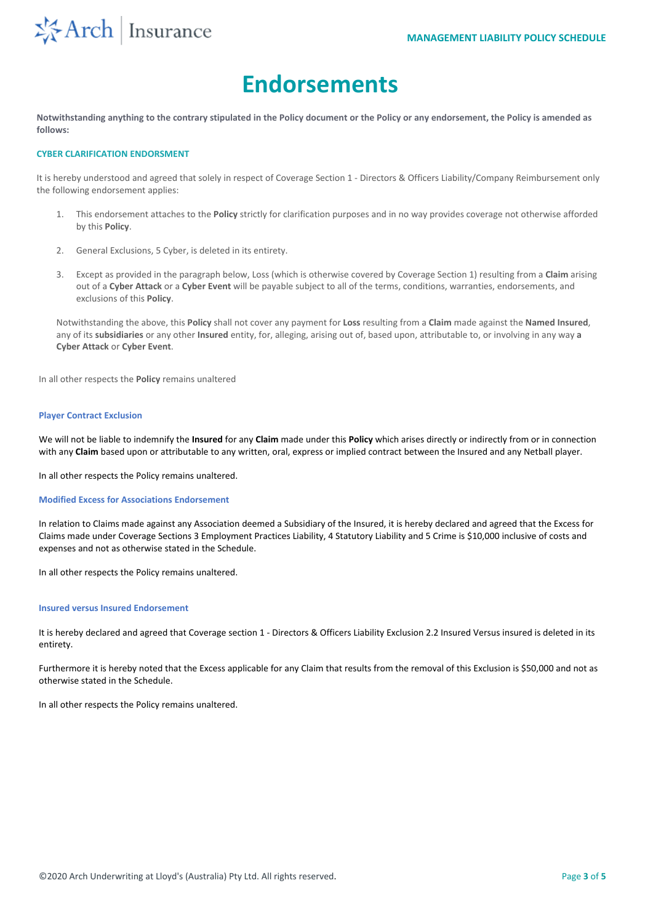

# **Endorsements**

**Notwithstanding anything to the contrary stipulated in the Policy document or the Policy or any endorsement, the Policy is amended as follows:** 

#### **CYBER CLARIFICATION ENDORSMENT**

It is hereby understood and agreed that solely in respect of Coverage Section 1 - Directors & Officers Liability/Company Reimbursement only the following endorsement applies:

- 1. This endorsement attaches to the **Policy** strictly for clarification purposes and in no way provides coverage not otherwise afforded by this **Policy**.
- 2. General Exclusions, 5 Cyber, is deleted in its entirety.
- 3. Except as provided in the paragraph below, Loss (which is otherwise covered by Coverage Section 1) resulting from a **Claim** arising out of a **Cyber Attack** or a **Cyber Event** will be payable subject to all of the terms, conditions, warranties, endorsements, and exclusions of this **Policy**.

Notwithstanding the above, this **Policy** shall not cover any payment for **Loss** resulting from a **Claim** made against the **Named Insured**, any of its **subsidiaries** or any other **Insured** entity, for, alleging, arising out of, based upon, attributable to, or involving in any way **a Cyber Attack** or **Cyber Event**.

In all other respects the **Policy** remains unaltered

#### **Player Contract Exclusion**

We will not be liable to indemnify the **Insured** for any **Claim** made under this **Policy** which arises directly or indirectly from or in connection with any **Claim** based upon or attributable to any written, oral, express or implied contract between the Insured and any Netball player.

In all other respects the Policy remains unaltered.

#### **Modified Excess for Associations Endorsement**

In relation to Claims made against any Association deemed a Subsidiary of the Insured, it is hereby declared and agreed that the Excess for Claims made under Coverage Sections 3 Employment Practices Liability, 4 Statutory Liability and 5 Crime is \$10,000 inclusive of costs and expenses and not as otherwise stated in the Schedule.

In all other respects the Policy remains unaltered.

#### **Insured versus Insured Endorsement**

It is hereby declared and agreed that Coverage section 1 - Directors & Officers Liability Exclusion 2.2 Insured Versus insured is deleted in its entirety.

Furthermore it is hereby noted that the Excess applicable for any Claim that results from the removal of this Exclusion is \$50,000 and not as otherwise stated in the Schedule.

In all other respects the Policy remains unaltered.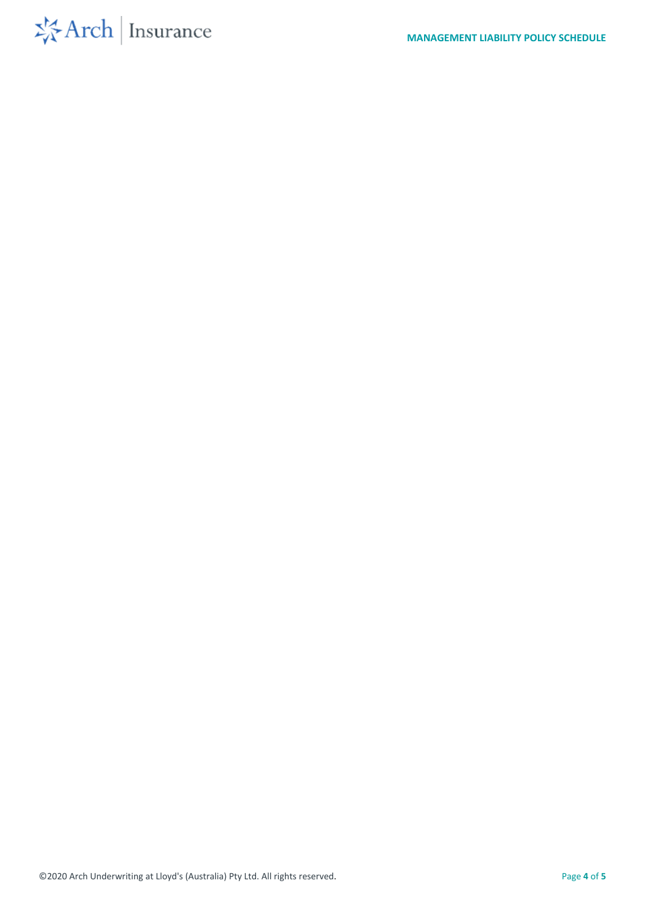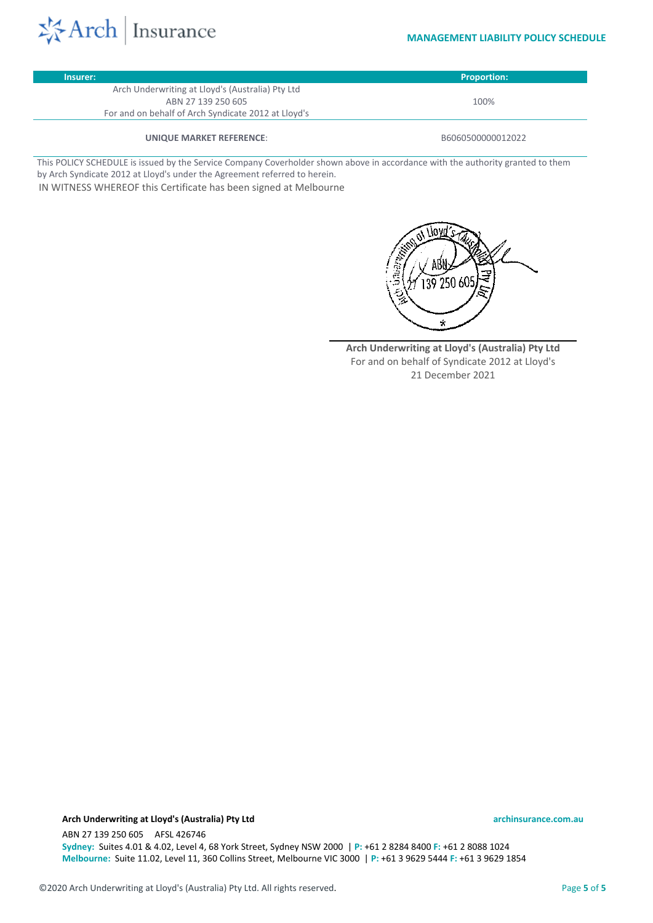#### **MANAGEMENT LIABILITY POLICY SCHEDULE**



| <b>Proportion:</b> |
|--------------------|
|                    |
| 100%               |
|                    |
|                    |
| B6060500000012022  |
|                    |

This POLICY SCHEDULE is issued by the Service Company Coverholder shown above in accordance with the authority granted to them by Arch Syndicate 2012 at Lloyd's under the Agreement referred to herein.

IN WITNESS WHEREOF this Certificate has been signed at Melbourne



**Arch Underwriting at Lloyd's (Australia) Pty Ltd** For and on behalf of Syndicate 2012 at Lloyd's 21 December 2021

**Arch Underwriting at Lloyd's (Australia) Pty Ltd archinsurance.com.au**

ABN 27 139 250 605 AFSL 426746 **Sydney:** Suites 4.01 & 4.02, Level 4, 68 York Street, Sydney NSW 2000 | **P:** +61 2 8284 8400 **F:** +61 2 8088 1024 **Melbourne:** Suite 11.02, Level 11, 360 Collins Street, Melbourne VIC 3000 | **P:** +61 3 9629 5444 **F:** +61 3 9629 1854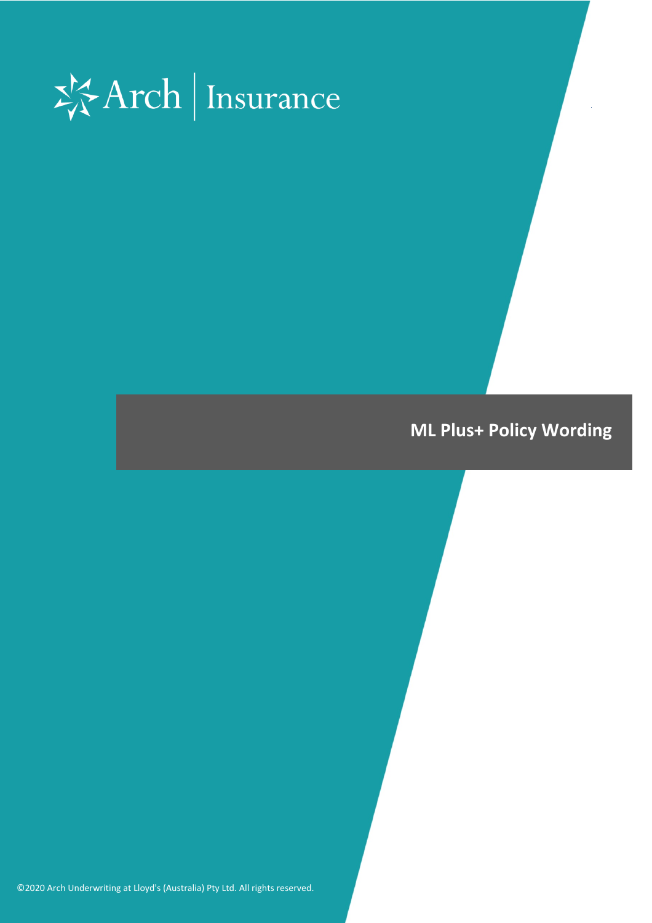

**ML Plus+ Policy Wording**

©2020 Arch Underwriting at Lloyd's (Australia) Pty Ltd. All rights reserved.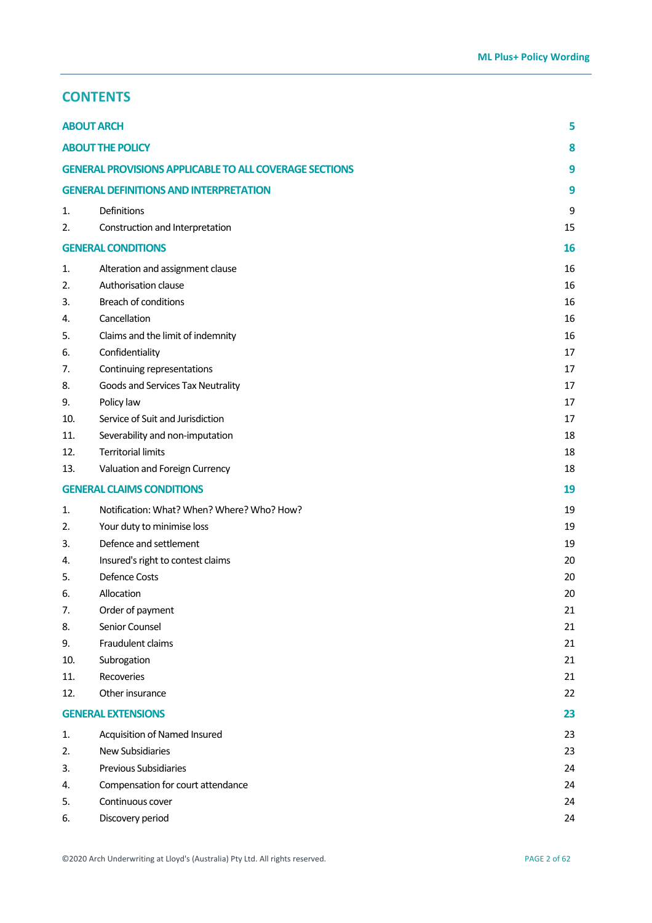# **CONTENTS**

| <b>ABOUT ARCH</b>         |                                                               | 5  |
|---------------------------|---------------------------------------------------------------|----|
|                           | <b>ABOUT THE POLICY</b>                                       | 8  |
|                           | <b>GENERAL PROVISIONS APPLICABLE TO ALL COVERAGE SECTIONS</b> | 9  |
|                           | <b>GENERAL DEFINITIONS AND INTERPRETATION</b>                 | 9  |
| 1.                        | Definitions                                                   | 9  |
| 2.                        | Construction and Interpretation                               | 15 |
| <b>GENERAL CONDITIONS</b> |                                                               | 16 |
| 1.                        | Alteration and assignment clause                              | 16 |
| 2.                        | Authorisation clause                                          | 16 |
| 3.                        | Breach of conditions                                          | 16 |
| 4.                        | Cancellation                                                  | 16 |
| 5.                        | Claims and the limit of indemnity                             | 16 |
| 6.                        | Confidentiality                                               | 17 |
| 7.                        | Continuing representations                                    | 17 |
| 8.                        | Goods and Services Tax Neutrality                             | 17 |
| 9.                        | Policy law                                                    | 17 |
| 10.                       | Service of Suit and Jurisdiction                              | 17 |
| 11.                       | Severability and non-imputation                               | 18 |
| 12.                       | <b>Territorial limits</b>                                     | 18 |
| 13.                       | Valuation and Foreign Currency                                | 18 |
|                           | <b>GENERAL CLAIMS CONDITIONS</b>                              | 19 |
| 1.                        | Notification: What? When? Where? Who? How?                    | 19 |
| 2.                        | Your duty to minimise loss                                    | 19 |
| 3.                        | Defence and settlement                                        | 19 |
| 4.                        | Insured's right to contest claims                             | 20 |
| 5.                        | <b>Defence Costs</b>                                          | 20 |
| 6.                        | Allocation                                                    | 20 |
| 7.                        | Order of payment                                              | 21 |
| 8.                        | Senior Counsel                                                | 21 |
| 9.                        | Fraudulent claims                                             | 21 |
| 10.                       | Subrogation                                                   | 21 |
| 11.                       | Recoveries                                                    | 21 |
| 12.                       | Other insurance                                               | 22 |
|                           | <b>GENERAL EXTENSIONS</b>                                     | 23 |
| 1.                        | <b>Acquisition of Named Insured</b>                           | 23 |
| 2.                        | <b>New Subsidiaries</b>                                       | 23 |
| 3.                        | <b>Previous Subsidiaries</b>                                  | 24 |
| 4.                        | Compensation for court attendance                             | 24 |
| 5.                        | Continuous cover                                              | 24 |
| 6.                        | Discovery period                                              | 24 |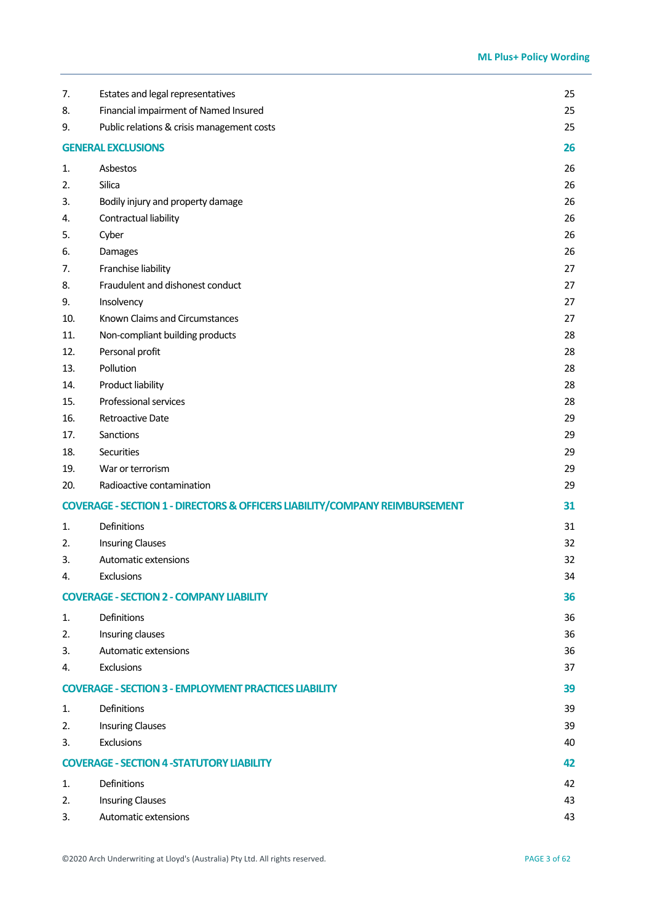| 7.  | Estates and legal representatives                                                      | 25 |
|-----|----------------------------------------------------------------------------------------|----|
| 8.  | Financial impairment of Named Insured                                                  | 25 |
| 9.  | Public relations & crisis management costs                                             | 25 |
|     | <b>GENERAL EXCLUSIONS</b>                                                              | 26 |
| 1.  | Asbestos                                                                               | 26 |
| 2.  | Silica                                                                                 | 26 |
| 3.  | Bodily injury and property damage                                                      | 26 |
| 4.  | Contractual liability                                                                  | 26 |
| 5.  | Cyber                                                                                  | 26 |
| 6.  | Damages                                                                                | 26 |
| 7.  | Franchise liability                                                                    | 27 |
| 8.  | Fraudulent and dishonest conduct                                                       | 27 |
| 9.  | Insolvency                                                                             | 27 |
| 10. | Known Claims and Circumstances                                                         | 27 |
| 11. | Non-compliant building products                                                        | 28 |
| 12. | Personal profit                                                                        | 28 |
| 13. | Pollution                                                                              | 28 |
| 14. | Product liability                                                                      | 28 |
| 15. | Professional services                                                                  | 28 |
| 16. | <b>Retroactive Date</b>                                                                | 29 |
| 17. | Sanctions                                                                              | 29 |
| 18. | Securities                                                                             | 29 |
| 19. | War or terrorism                                                                       | 29 |
| 20. | Radioactive contamination                                                              | 29 |
|     | <b>COVERAGE - SECTION 1 - DIRECTORS &amp; OFFICERS LIABILITY/COMPANY REIMBURSEMENT</b> | 31 |
| 1.  | Definitions                                                                            | 31 |
| 2.  | <b>Insuring Clauses</b>                                                                | 32 |
| 3.  | Automatic extensions                                                                   | 32 |
| 4.  | Exclusions                                                                             | 34 |
|     | <b>COVERAGE - SECTION 2 - COMPANY LIABILITY</b>                                        | 36 |
| 1.  | Definitions                                                                            | 36 |
| 2.  | Insuring clauses                                                                       | 36 |
| 3.  | Automatic extensions                                                                   | 36 |
| 4.  | Exclusions                                                                             | 37 |
|     | <b>COVERAGE - SECTION 3 - EMPLOYMENT PRACTICES LIABILITY</b>                           | 39 |
| 1.  | Definitions                                                                            | 39 |
| 2.  | <b>Insuring Clauses</b>                                                                | 39 |
| 3.  | Exclusions                                                                             | 40 |
|     | <b>COVERAGE - SECTION 4 -STATUTORY LIABILITY</b>                                       | 42 |
| 1.  | Definitions                                                                            | 42 |
| 2.  | <b>Insuring Clauses</b>                                                                | 43 |
| 3.  | Automatic extensions                                                                   | 43 |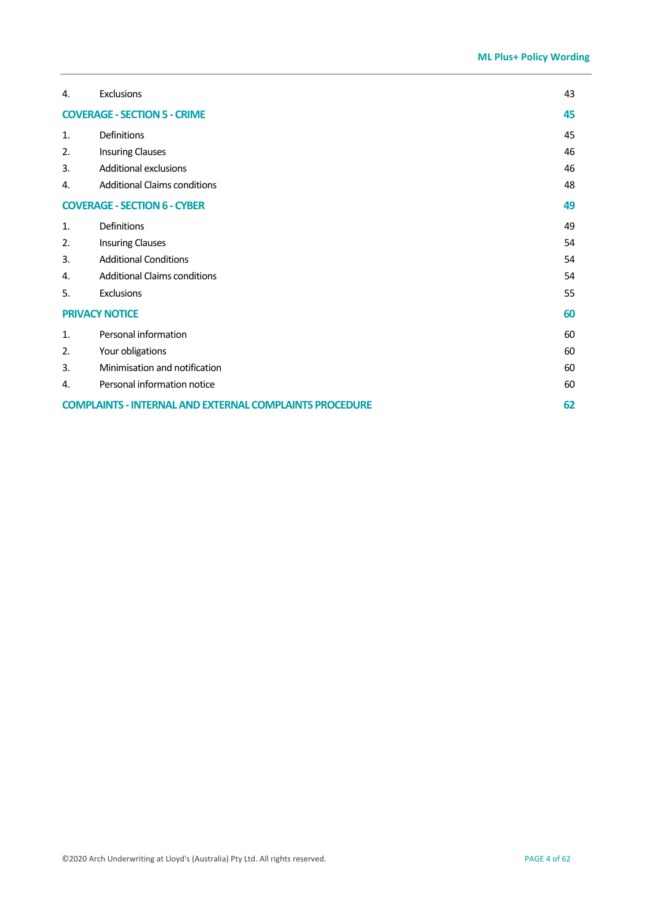| 4.                                  | Exclusions                                                     | 43 |
|-------------------------------------|----------------------------------------------------------------|----|
| <b>COVERAGE - SECTION 5 - CRIME</b> |                                                                | 45 |
| 1.                                  | Definitions                                                    | 45 |
| 2.                                  | <b>Insuring Clauses</b>                                        | 46 |
| 3.                                  | <b>Additional exclusions</b>                                   | 46 |
| 4.                                  | <b>Additional Claims conditions</b>                            | 48 |
| <b>COVERAGE - SECTION 6 - CYBER</b> |                                                                | 49 |
| 1.                                  | Definitions                                                    | 49 |
| 2.                                  | <b>Insuring Clauses</b>                                        | 54 |
| 3.                                  | <b>Additional Conditions</b>                                   | 54 |
| 4.                                  | <b>Additional Claims conditions</b>                            | 54 |
| 5.                                  | Exclusions                                                     | 55 |
| <b>PRIVACY NOTICE</b>               |                                                                | 60 |
| 1.                                  | Personal information                                           | 60 |
| 2.                                  | Your obligations                                               | 60 |
| 3.                                  | Minimisation and notification                                  | 60 |
| 4.                                  | Personal information notice                                    | 60 |
|                                     | <b>COMPLAINTS - INTERNAL AND EXTERNAL COMPLAINTS PROCEDURE</b> | 62 |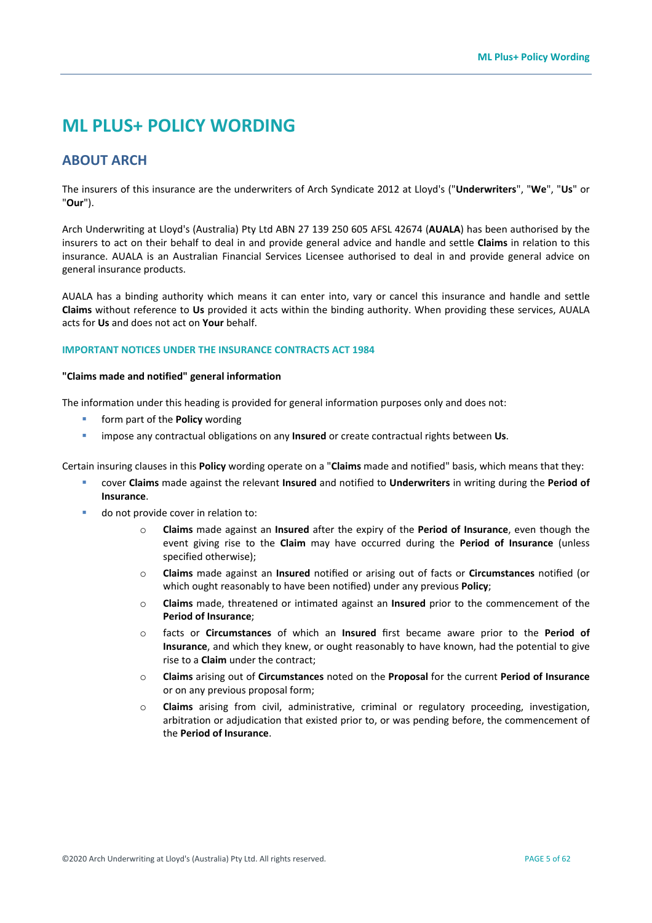# **ML PLUS+ POLICY WORDING**

# <span id="page-9-0"></span>**ABOUT ARCH**

The insurers of this insurance are the underwriters of Arch Syndicate 2012 at Lloyd's ("**Underwriters**", "**We**", "**Us**" or "**Our**").

Arch Underwriting at Lloyd's (Australia) Pty Ltd ABN 27 139 250 605 AFSL 42674 (**AUALA**) has been authorised by the insurers to act on their behalf to deal in and provide general advice and handle and settle **Claims** in relation to this insurance. AUALA is an Australian Financial Services Licensee authorised to deal in and provide general advice on general insurance products.

AUALA has a binding authority which means it can enter into, vary or cancel this insurance and handle and settle **Claims** without reference to **Us** provided it acts within the binding authority. When providing these services, AUALA acts for **Us** and does not act on **Your** behalf.

#### **IMPORTANT NOTICES UNDER THE INSURANCE CONTRACTS ACT 1984**

#### **"Claims made and notified" general information**

The information under this heading is provided for general information purposes only and does not:

- **form part of the Policy wording**
- impose any contractual obligations on any **Insured** or create contractual rights between **Us**.

Certain insuring clauses in this **Policy** wording operate on a "**Claims** made and notified" basis, which means that they:

- cover **Claims** made against the relevant **Insured** and notified to **Underwriters** in writing during the **Period of Insurance**.
- do not provide cover in relation to:
	- o **Claims** made against an **Insured** after the expiry of the **Period of Insurance**, even though the event giving rise to the **Claim** may have occurred during the **Period of Insurance** (unless specified otherwise);
	- o **Claims** made against an **Insured** notified or arising out of facts or **Circumstances** notified (or which ought reasonably to have been notified) under any previous **Policy**;
	- o **Claims** made, threatened or intimated against an **Insured** prior to the commencement of the **Period of Insurance**;
	- o facts or **Circumstances** of which an **Insured** first became aware prior to the **Period of Insurance**, and which they knew, or ought reasonably to have known, had the potential to give rise to a **Claim** under the contract;
	- o **Claims** arising out of **Circumstances** noted on the **Proposal** for the current **Period of Insurance** or on any previous proposal form;
	- o **Claims** arising from civil, administrative, criminal or regulatory proceeding, investigation, arbitration or adjudication that existed prior to, or was pending before, the commencement of the **Period of Insurance**.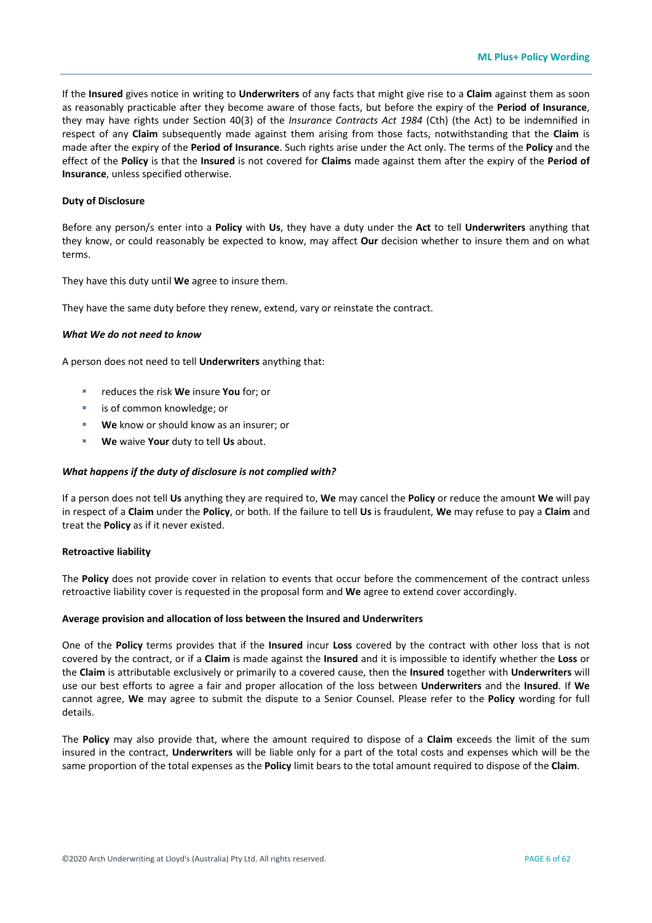If the **Insured** gives notice in writing to **Underwriters** of any facts that might give rise to a **Claim** against them as soon as reasonably practicable after they become aware of those facts, but before the expiry of the **Period of Insurance**, they may have rights under Section 40(3) of the *Insurance Contracts Act 1984* (Cth) (the Act) to be indemnified in respect of any **Claim** subsequently made against them arising from those facts, notwithstanding that the **Claim** is made after the expiry of the **Period of Insurance**. Such rights arise under the Act only. The terms of the **Policy** and the effect of the **Policy** is that the **Insured** is not covered for **Claims** made against them after the expiry of the **Period of Insurance**, unless specified otherwise.

#### **Duty of Disclosure**

Before any person/s enter into a **Policy** with **Us**, they have a duty under the **Act** to tell **Underwriters** anything that they know, or could reasonably be expected to know, may affect **Our** decision whether to insure them and on what terms.

They have this duty until **We** agree to insure them.

They have the same duty before they renew, extend, vary or reinstate the contract.

#### *What We do not need to know*

A person does not need to tell **Underwriters** anything that:

- reduces the risk **We** insure **You** for; or
- **Example 1** is of common knowledge; or
- **We** know or should know as an insurer; or
- **We** waive **Your** duty to tell **Us** about.

#### *What happens if the duty of disclosure is not complied with?*

If a person does not tell **Us** anything they are required to, **We** may cancel the **Policy** or reduce the amount **We** will pay in respect of a **Claim** under the **Policy**, or both. If the failure to tell **Us** is fraudulent, **We** may refuse to pay a **Claim** and treat the **Policy** as if it never existed.

#### **Retroactive liability**

The **Policy** does not provide cover in relation to events that occur before the commencement of the contract unless retroactive liability cover is requested in the proposal form and **We** agree to extend cover accordingly.

#### **Average provision and allocation of loss between the Insured and Underwriters**

One of the **Policy** terms provides that if the **Insured** incur **Loss** covered by the contract with other loss that is not covered by the contract, or if a **Claim** is made against the **Insured** and it is impossible to identify whether the **Loss** or the **Claim** is attributable exclusively or primarily to a covered cause, then the **Insured** together with **Underwriters** will use our best efforts to agree a fair and proper allocation of the loss between **Underwriters** and the **Insured**. If **We** cannot agree, **We** may agree to submit the dispute to a Senior Counsel. Please refer to the **Policy** wording for full details.

The **Policy** may also provide that, where the amount required to dispose of a **Claim** exceeds the limit of the sum insured in the contract, **Underwriters** will be liable only for a part of the total costs and expenses which will be the same proportion of the total expenses as the **Policy** limit bears to the total amount required to dispose of the **Claim**.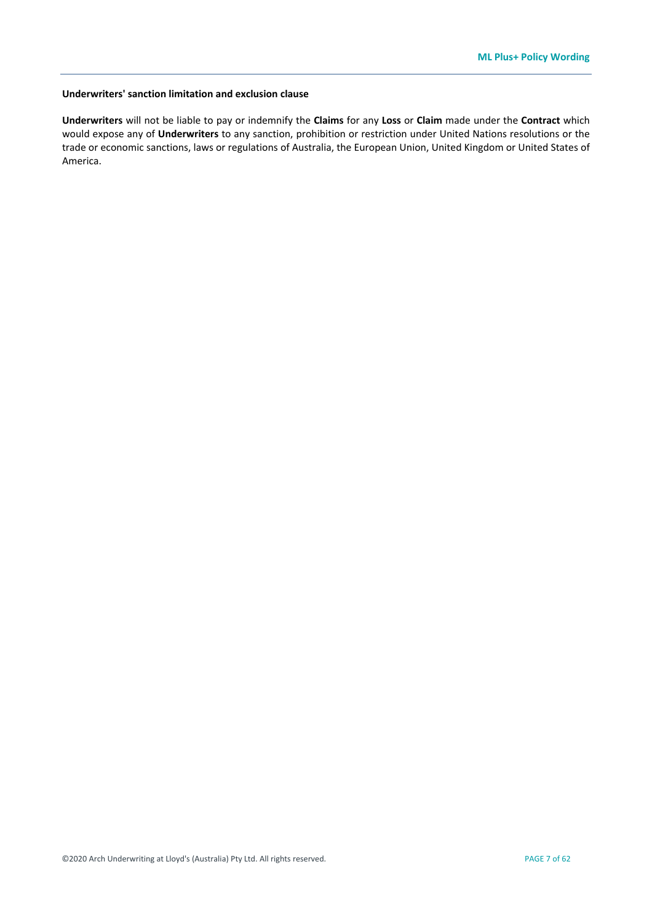### **Underwriters' sanction limitation and exclusion clause**

<span id="page-11-0"></span>**Underwriters** will not be liable to pay or indemnify the **Claims** for any **Loss** or **Claim** made under the **Contract** which would expose any of **Underwriters** to any sanction, prohibition or restriction under United Nations resolutions or the trade or economic sanctions, laws or regulations of Australia, the European Union, United Kingdom or United States of America.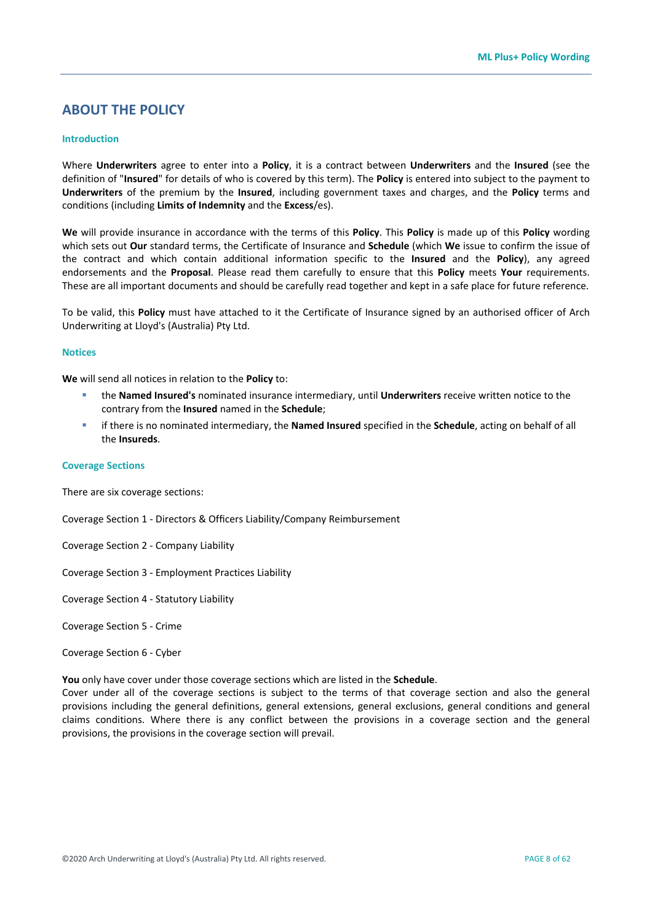# **ABOUT THE POLICY**

#### **Introduction**

Where **Underwriters** agree to enter into a **Policy**, it is a contract between **Underwriters** and the **Insured** (see the definition of "**Insured**" for details of who is covered by this term). The **Policy** is entered into subject to the payment to **Underwriters** of the premium by the **Insured**, including government taxes and charges, and the **Policy** terms and conditions (including **Limits of Indemnity** and the **Excess**/es).

**We** will provide insurance in accordance with the terms of this **Policy**. This **Policy** is made up of this **Policy** wording which sets out **Our** standard terms, the Certificate of Insurance and **Schedule** (which **We** issue to confirm the issue of the contract and which contain additional information specific to the **Insured** and the **Policy**), any agreed endorsements and the **Proposal**. Please read them carefully to ensure that this **Policy** meets **Your** requirements. These are all important documents and should be carefully read together and kept in a safe place for future reference.

To be valid, this **Policy** must have attached to it the Certificate of Insurance signed by an authorised officer of Arch Underwriting at Lloyd's (Australia) Pty Ltd.

#### **Notices**

**We** will send all notices in relation to the **Policy** to:

- the **Named Insured's** nominated insurance intermediary, until **Underwriters** receive written notice to the contrary from the **Insured** named in the **Schedule**;
- if there is no nominated intermediary, the **Named Insured** specified in the **Schedule**, acting on behalf of all the **Insureds**.

#### **Coverage Sections**

There are six coverage sections:

Coverage Section 1 - Directors & Officers Liability/Company Reimbursement

- Coverage Section 2 Company Liability
- Coverage Section 3 Employment Practices Liability
- Coverage Section 4 Statutory Liability
- Coverage Section 5 Crime
- Coverage Section 6 Cyber

**You** only have cover under those coverage sections which are listed in the **Schedule**.

Cover under all of the coverage sections is subject to the terms of that coverage section and also the general provisions including the general definitions, general extensions, general exclusions, general conditions and general claims conditions. Where there is any conflict between the provisions in a coverage section and the general provisions, the provisions in the coverage section will prevail.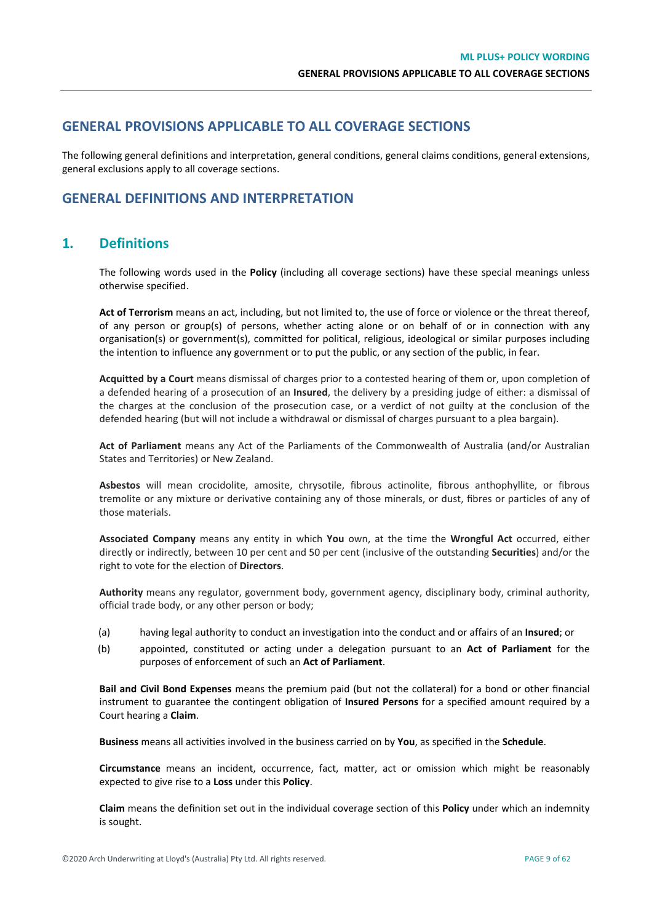# <span id="page-13-0"></span>**GENERAL PROVISIONS APPLICABLE TO ALL COVERAGE SECTIONS**

The following general definitions and interpretation, general conditions, general claims conditions, general extensions, general exclusions apply to all coverage sections.

# <span id="page-13-1"></span>**GENERAL DEFINITIONS AND INTERPRETATION**

# <span id="page-13-2"></span>**1. Definitions**

The following words used in the **Policy** (including all coverage sections) have these special meanings unless otherwise specified.

**Act of Terrorism** means an act, including, but not limited to, the use of force or violence or the threat thereof, of any person or group(s) of persons, whether acting alone or on behalf of or in connection with any organisation(s) or government(s), committed for political, religious, ideological or similar purposes including the intention to influence any government or to put the public, or any section of the public, in fear.

**Acquitted by a Court** means dismissal of charges prior to a contested hearing of them or, upon completion of a defended hearing of a prosecution of an **Insured**, the delivery by a presiding judge of either: a dismissal of the charges at the conclusion of the prosecution case, or a verdict of not guilty at the conclusion of the defended hearing (but will not include a withdrawal or dismissal of charges pursuant to a plea bargain).

**Act of Parliament** means any Act of the Parliaments of the Commonwealth of Australia (and/or Australian States and Territories) or New Zealand.

**Asbestos** will mean crocidolite, amosite, chrysotile, fibrous actinolite, fibrous anthophyllite, or fibrous tremolite or any mixture or derivative containing any of those minerals, or dust, fibres or particles of any of those materials.

**Associated Company** means any entity in which **You** own, at the time the **Wrongful Act** occurred, either directly or indirectly, between 10 per cent and 50 per cent (inclusive of the outstanding **Securities**) and/or the right to vote for the election of **Directors**.

**Authority** means any regulator, government body, government agency, disciplinary body, criminal authority, official trade body, or any other person or body;

- (a) having legal authority to conduct an investigation into the conduct and or affairs of an **Insured**; or
- (b) appointed, constituted or acting under a delegation pursuant to an **Act of Parliament** for the purposes of enforcement of such an **Act of Parliament**.

**Bail and Civil Bond Expenses** means the premium paid (but not the collateral) for a bond or other financial instrument to guarantee the contingent obligation of **Insured Persons** for a specified amount required by a Court hearing a **Claim**.

**Business** means all activities involved in the business carried on by **You**, as specified in the **Schedule**.

**Circumstance** means an incident, occurrence, fact, matter, act or omission which might be reasonably expected to give rise to a **Loss** under this **Policy**.

**Claim** means the definition set out in the individual coverage section of this **Policy** under which an indemnity is sought.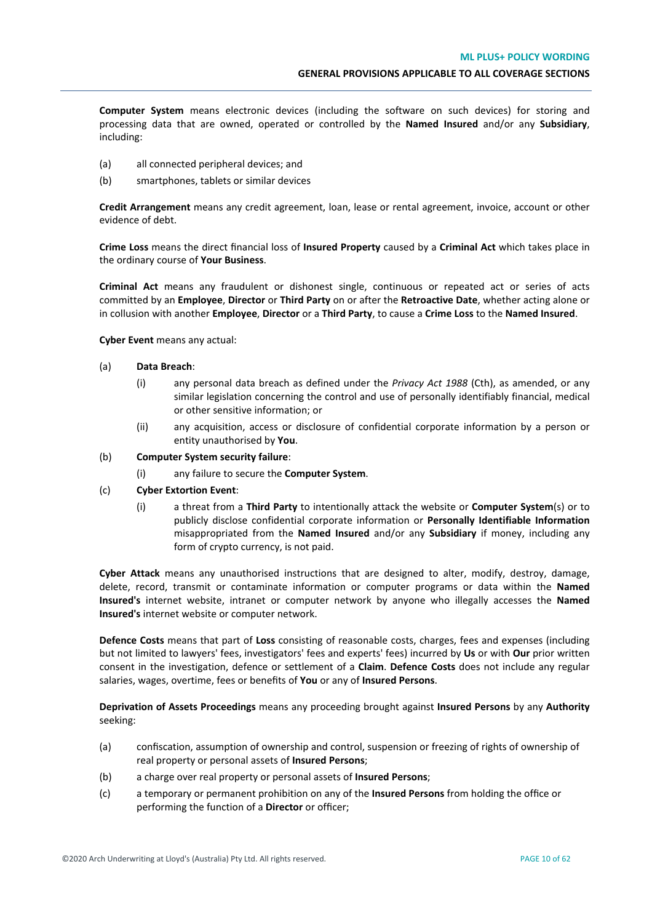**Computer System** means electronic devices (including the software on such devices) for storing and processing data that are owned, operated or controlled by the **Named Insured** and/or any **Subsidiary**, including:

- (a) all connected peripheral devices; and
- (b) smartphones, tablets or similar devices

**Credit Arrangement** means any credit agreement, loan, lease or rental agreement, invoice, account or other evidence of debt.

**Crime Loss** means the direct financial loss of **Insured Property** caused by a **Criminal Act** which takes place in the ordinary course of **Your Business**.

**Criminal Act** means any fraudulent or dishonest single, continuous or repeated act or series of acts committed by an **Employee**, **Director** or **Third Party** on or after the **Retroactive Date**, whether acting alone or in collusion with another **Employee**, **Director** or a **Third Party**, to cause a **Crime Loss** to the **Named Insured**.

**Cyber Event** means any actual:

- (a) **Data Breach**:
	- (i) any personal data breach as defined under the *Privacy Act 1988* (Cth), as amended, or any similar legislation concerning the control and use of personally identifiably financial, medical or other sensitive information; or
	- (ii) any acquisition, access or disclosure of confidential corporate information by a person or entity unauthorised by **You**.

(b) **Computer System security failure**:

(i) any failure to secure the **Computer System**.

#### (c) **Cyber Extortion Event**:

(i) a threat from a **Third Party** to intentionally attack the website or **Computer System**(s) or to publicly disclose confidential corporate information or **Personally Identifiable Information** misappropriated from the **Named Insured** and/or any **Subsidiary** if money, including any form of crypto currency, is not paid.

**Cyber Attack** means any unauthorised instructions that are designed to alter, modify, destroy, damage, delete, record, transmit or contaminate information or computer programs or data within the **Named Insured's** internet website, intranet or computer network by anyone who illegally accesses the **Named Insured's** internet website or computer network.

**Defence Costs** means that part of **Loss** consisting of reasonable costs, charges, fees and expenses (including but not limited to lawyers' fees, investigators' fees and experts' fees) incurred by **Us** or with **Our** prior written consent in the investigation, defence or settlement of a **Claim**. **Defence Costs** does not include any regular salaries, wages, overtime, fees or benefits of **You** or any of **Insured Persons**.

**Deprivation of Assets Proceedings** means any proceeding brought against **Insured Persons** by any **Authority** seeking:

- (a) confiscation, assumption of ownership and control, suspension or freezing of rights of ownership of real property or personal assets of **Insured Persons**;
- (b) a charge over real property or personal assets of **Insured Persons**;
- (c) a temporary or permanent prohibition on any of the **Insured Persons** from holding the office or performing the function of a **Director** or officer;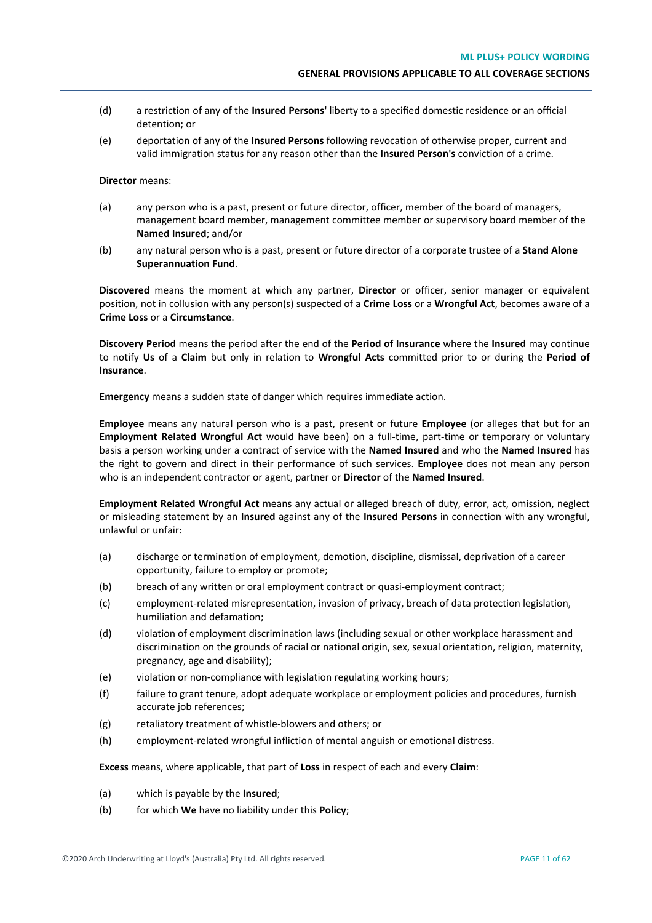- (d) a restriction of any of the **Insured Persons'** liberty to a specified domestic residence or an official detention; or
- (e) deportation of any of the **Insured Persons** following revocation of otherwise proper, current and valid immigration status for any reason other than the **Insured Person's** conviction of a crime.

#### **Director** means:

- (a) any person who is a past, present or future director, officer, member of the board of managers, management board member, management committee member or supervisory board member of the **Named Insured**; and/or
- (b) any natural person who is a past, present or future director of a corporate trustee of a **Stand Alone Superannuation Fund**.

**Discovered** means the moment at which any partner, **Director** or officer, senior manager or equivalent position, not in collusion with any person(s) suspected of a **Crime Loss** or a **Wrongful Act**, becomes aware of a **Crime Loss** or a **Circumstance**.

**Discovery Period** means the period after the end of the **Period of Insurance** where the **Insured** may continue to notify **Us** of a **Claim** but only in relation to **Wrongful Acts** committed prior to or during the **Period of Insurance**.

**Emergency** means a sudden state of danger which requires immediate action.

**Employee** means any natural person who is a past, present or future **Employee** (or alleges that but for an **Employment Related Wrongful Act** would have been) on a full-time, part-time or temporary or voluntary basis a person working under a contract of service with the **Named Insured** and who the **Named Insured** has the right to govern and direct in their performance of such services. **Employee** does not mean any person who is an independent contractor or agent, partner or **Director** of the **Named Insured**.

**Employment Related Wrongful Act** means any actual or alleged breach of duty, error, act, omission, neglect or misleading statement by an **Insured** against any of the **Insured Persons** in connection with any wrongful, unlawful or unfair:

- (a) discharge or termination of employment, demotion, discipline, dismissal, deprivation of a career opportunity, failure to employ or promote;
- (b) breach of any written or oral employment contract or quasi-employment contract;
- (c) employment-related misrepresentation, invasion of privacy, breach of data protection legislation, humiliation and defamation;
- (d) violation of employment discrimination laws (including sexual or other workplace harassment and discrimination on the grounds of racial or national origin, sex, sexual orientation, religion, maternity, pregnancy, age and disability);
- (e) violation or non-compliance with legislation regulating working hours;
- (f) failure to grant tenure, adopt adequate workplace or employment policies and procedures, furnish accurate job references;
- (g) retaliatory treatment of whistle-blowers and others; or
- (h) employment-related wrongful infliction of mental anguish or emotional distress.

**Excess** means, where applicable, that part of **Loss** in respect of each and every **Claim**:

- (a) which is payable by the **Insured**;
- (b) for which **We** have no liability under this **Policy**;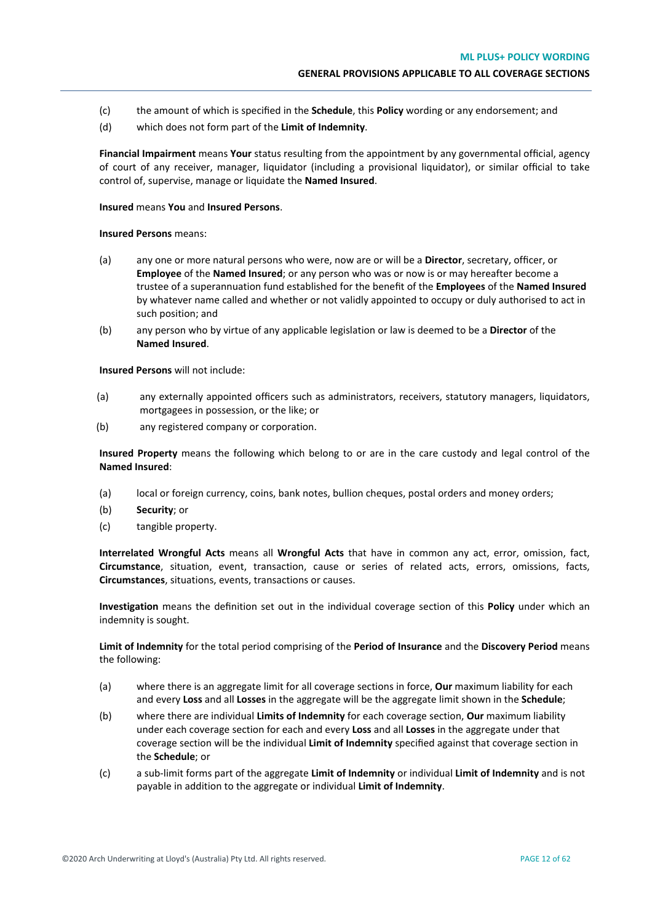- (c) the amount of which is specified in the **Schedule**, this **Policy** wording or any endorsement; and
- (d) which does not form part of the **Limit of Indemnity**.

**Financial Impairment** means **Your** status resulting from the appointment by any governmental official, agency of court of any receiver, manager, liquidator (including a provisional liquidator), or similar official to take control of, supervise, manage or liquidate the **Named Insured**.

#### **Insured** means **You** and **Insured Persons**.

**Insured Persons** means:

- (a) any one or more natural persons who were, now are or will be a **Director**, secretary, officer, or **Employee** of the **Named Insured**; or any person who was or now is or may hereafter become a trustee of a superannuation fund established for the benefit of the **Employees** of the **Named Insured** by whatever name called and whether or not validly appointed to occupy or duly authorised to act in such position; and
- (b) any person who by virtue of any applicable legislation or law is deemed to be a **Director** of the **Named Insured**.

**Insured Persons** will not include:

- (a) any externally appointed officers such as administrators, receivers, statutory managers, liquidators, mortgagees in possession, or the like; or
- (b) any registered company or corporation.

**Insured Property** means the following which belong to or are in the care custody and legal control of the **Named Insured**:

- (a) local or foreign currency, coins, bank notes, bullion cheques, postal orders and money orders;
- (b) **Security**; or
- (c) tangible property.

**Interrelated Wrongful Acts** means all **Wrongful Acts** that have in common any act, error, omission, fact, **Circumstance**, situation, event, transaction, cause or series of related acts, errors, omissions, facts, **Circumstances**, situations, events, transactions or causes.

**Investigation** means the definition set out in the individual coverage section of this **Policy** under which an indemnity is sought.

**Limit of Indemnity** for the total period comprising of the **Period of Insurance** and the **Discovery Period** means the following:

- (a) where there is an aggregate limit for all coverage sections in force, **Our** maximum liability for each and every **Loss** and all **Losses** in the aggregate will be the aggregate limit shown in the **Schedule**;
- (b) where there are individual **Limits of Indemnity** for each coverage section, **Our** maximum liability under each coverage section for each and every **Loss** and all **Losses** in the aggregate under that coverage section will be the individual **Limit of Indemnity** specified against that coverage section in the **Schedule**; or
- (c) a sub-limit forms part of the aggregate **Limit of Indemnity** or individual **Limit of Indemnity** and is not payable in addition to the aggregate or individual **Limit of Indemnity**.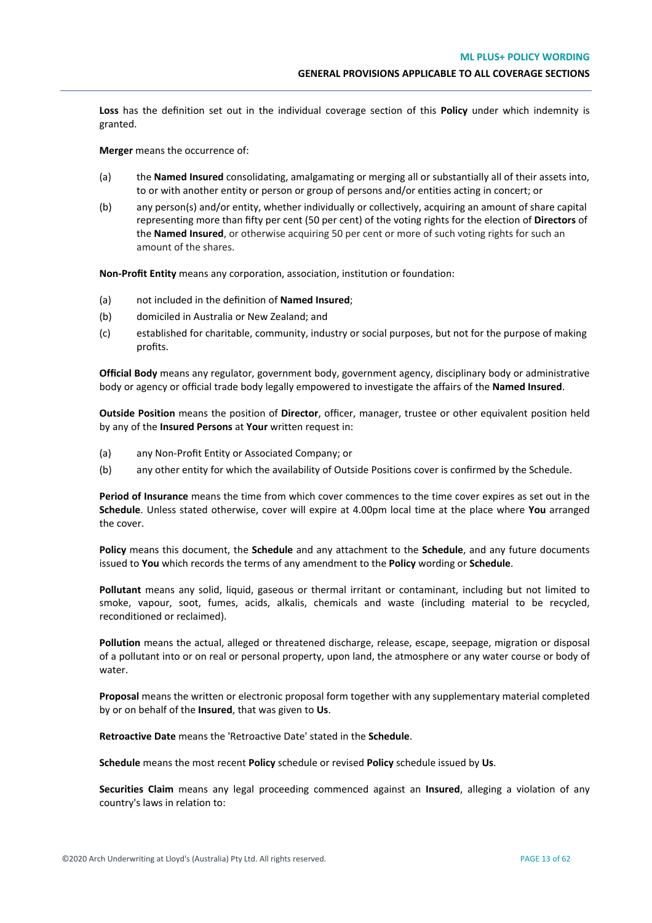**Loss** has the definition set out in the individual coverage section of this **Policy** under which indemnity is granted.

**Merger** means the occurrence of:

- (a) the **Named Insured** consolidating, amalgamating or merging all or substantially all of their assets into, to or with another entity or person or group of persons and/or entities acting in concert; or
- (b) any person(s) and/or entity, whether individually or collectively, acquiring an amount of share capital representing more than fifty per cent (50 per cent) of the voting rights for the election of **Directors** of the **Named Insured**, or otherwise acquiring 50 per cent or more of such voting rights for such an amount of the shares.

**Non-Profit Entity** means any corporation, association, institution or foundation:

- (a) not included in the definition of **Named Insured**;
- (b) domiciled in Australia or New Zealand; and
- (c) established for charitable, community, industry or social purposes, but not for the purpose of making profits.

**Official Body** means any regulator, government body, government agency, disciplinary body or administrative body or agency or official trade body legally empowered to investigate the affairs of the **Named Insured**.

**Outside Position** means the position of **Director**, officer, manager, trustee or other equivalent position held by any of the **Insured Persons** at **Your** written request in:

- (a) any Non-Profit Entity or Associated Company; or
- (b) any other entity for which the availability of Outside Positions cover is confirmed by the Schedule.

**Period of Insurance** means the time from which cover commences to the time cover expires as set out in the **Schedule**. Unless stated otherwise, cover will expire at 4.00pm local time at the place where **You** arranged the cover.

**Policy** means this document, the **Schedule** and any attachment to the **Schedule**, and any future documents issued to **You** which records the terms of any amendment to the **Policy** wording or **Schedule**.

**Pollutant** means any solid, liquid, gaseous or thermal irritant or contaminant, including but not limited to smoke, vapour, soot, fumes, acids, alkalis, chemicals and waste (including material to be recycled, reconditioned or reclaimed).

**Pollution** means the actual, alleged or threatened discharge, release, escape, seepage, migration or disposal of a pollutant into or on real or personal property, upon land, the atmosphere or any water course or body of water.

**Proposal** means the written or electronic proposal form together with any supplementary material completed by or on behalf of the **Insured**, that was given to **Us**.

**Retroactive Date** means the 'Retroactive Date' stated in the **Schedule**.

**Schedule** means the most recent **Policy** schedule or revised **Policy** schedule issued by **Us**.

**Securities Claim** means any legal proceeding commenced against an **Insured**, alleging a violation of any country's laws in relation to: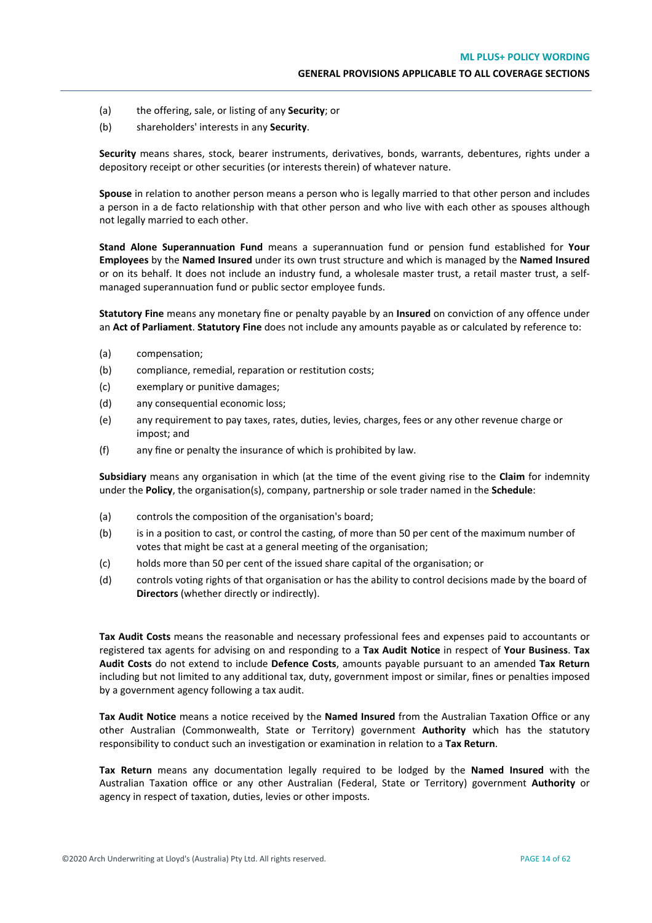- (a) the offering, sale, or listing of any **Security**; or
- (b) shareholders' interests in any **Security**.

**Security** means shares, stock, bearer instruments, derivatives, bonds, warrants, debentures, rights under a depository receipt or other securities (or interests therein) of whatever nature.

**Spouse** in relation to another person means a person who is legally married to that other person and includes a person in a de facto relationship with that other person and who live with each other as spouses although not legally married to each other.

**Stand Alone Superannuation Fund** means a superannuation fund or pension fund established for **Your Employees** by the **Named Insured** under its own trust structure and which is managed by the **Named Insured** or on its behalf. It does not include an industry fund, a wholesale master trust, a retail master trust, a selfmanaged superannuation fund or public sector employee funds.

**Statutory Fine** means any monetary fine or penalty payable by an **Insured** on conviction of any offence under an **Act of Parliament**. **Statutory Fine** does not include any amounts payable as or calculated by reference to:

- (a) compensation;
- (b) compliance, remedial, reparation or restitution costs;
- (c) exemplary or punitive damages;
- (d) any consequential economic loss;
- (e) any requirement to pay taxes, rates, duties, levies, charges, fees or any other revenue charge or impost; and
- (f) any fine or penalty the insurance of which is prohibited by law.

**Subsidiary** means any organisation in which (at the time of the event giving rise to the **Claim** for indemnity under the **Policy**, the organisation(s), company, partnership or sole trader named in the **Schedule**:

- (a) controls the composition of the organisation's board;
- (b) is in a position to cast, or control the casting, of more than 50 per cent of the maximum number of votes that might be cast at a general meeting of the organisation;
- (c) holds more than 50 per cent of the issued share capital of the organisation; or
- (d) controls voting rights of that organisation or has the ability to control decisions made by the board of **Directors** (whether directly or indirectly).

**Tax Audit Costs** means the reasonable and necessary professional fees and expenses paid to accountants or registered tax agents for advising on and responding to a **Tax Audit Notice** in respect of **Your Business**. **Tax Audit Costs** do not extend to include **Defence Costs**, amounts payable pursuant to an amended **Tax Return** including but not limited to any additional tax, duty, government impost or similar, fines or penalties imposed by a government agency following a tax audit.

**Tax Audit Notice** means a notice received by the **Named Insured** from the Australian Taxation Office or any other Australian (Commonwealth, State or Territory) government **Authority** which has the statutory responsibility to conduct such an investigation or examination in relation to a **Tax Return**.

**Tax Return** means any documentation legally required to be lodged by the **Named Insured** with the Australian Taxation office or any other Australian (Federal, State or Territory) government **Authority** or agency in respect of taxation, duties, levies or other imposts.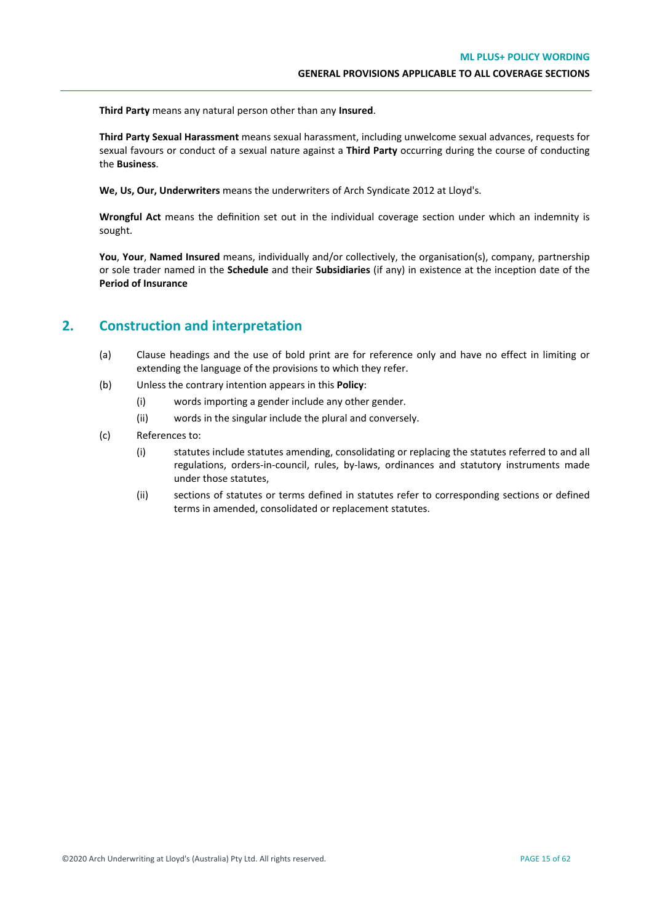**Third Party** means any natural person other than any **Insured**.

**Third Party Sexual Harassment** means sexual harassment, including unwelcome sexual advances, requests for sexual favours or conduct of a sexual nature against a **Third Party** occurring during the course of conducting the **Business**.

**We, Us, Our, Underwriters** means the underwriters of Arch Syndicate 2012 at Lloyd's.

**Wrongful Act** means the definition set out in the individual coverage section under which an indemnity is sought.

**You**, **Your**, **Named Insured** means, individually and/or collectively, the organisation(s), company, partnership or sole trader named in the **Schedule** and their **Subsidiaries** (if any) in existence at the inception date of the **Period of Insurance**

# <span id="page-19-0"></span>**2. Construction and interpretation**

- (a) Clause headings and the use of bold print are for reference only and have no effect in limiting or extending the language of the provisions to which they refer.
- (b) Unless the contrary intention appears in this **Policy**:
	- (i) words importing a gender include any other gender.
	- (ii) words in the singular include the plural and conversely.
- (c) References to:
	- (i) statutes include statutes amending, consolidating or replacing the statutes referred to and all regulations, orders-in-council, rules, by-laws, ordinances and statutory instruments made under those statutes,
	- (ii) sections of statutes or terms defined in statutes refer to corresponding sections or defined terms in amended, consolidated or replacement statutes.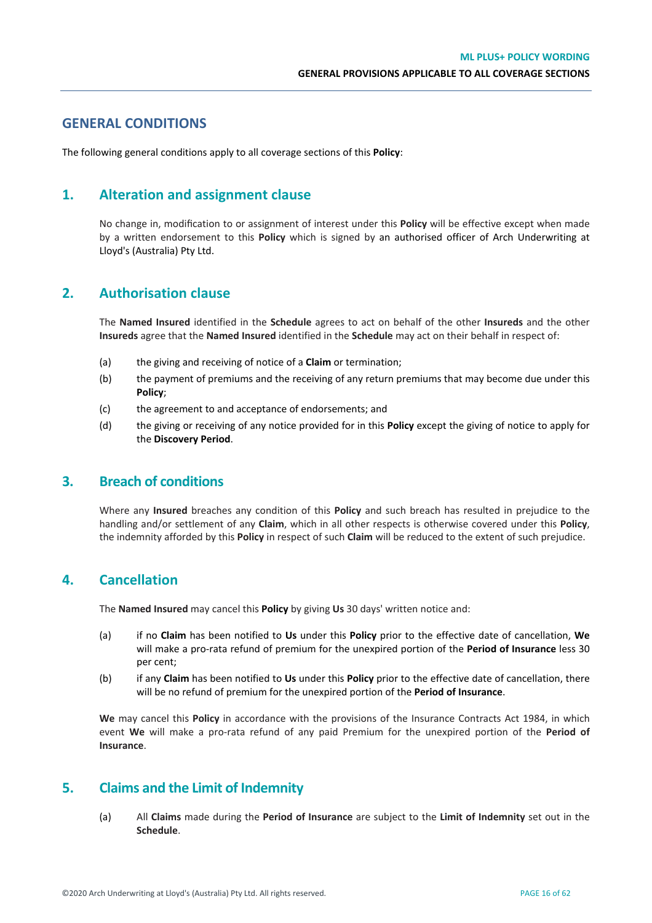### <span id="page-20-0"></span>**GENERAL CONDITIONS**

<span id="page-20-1"></span>The following general conditions apply to all coverage sections of this **Policy**:

# **1. Alteration and assignment clause**

No change in, modification to or assignment of interest under this **Policy** will be effective except when made by a written endorsement to this **Policy** which is signed by an authorised officer of Arch Underwriting at Lloyd's (Australia) Pty Ltd.

### <span id="page-20-2"></span>**2. Authorisation clause**

The **Named Insured** identified in the **Schedule** agrees to act on behalf of the other **Insureds** and the other **Insureds** agree that the **Named Insured** identified in the **Schedule** may act on their behalf in respect of:

- (a) the giving and receiving of notice of a **Claim** or termination;
- (b) the payment of premiums and the receiving of any return premiums that may become due under this **Policy**;
- (c) the agreement to and acceptance of endorsements; and
- (d) the giving or receiving of any notice provided for in this **Policy** except the giving of notice to apply for the **Discovery Period**.

# <span id="page-20-3"></span>**3. Breach of conditions**

Where any **Insured** breaches any condition of this **Policy** and such breach has resulted in prejudice to the handling and/or settlement of any **Claim**, which in all other respects is otherwise covered under this **Policy**, the indemnity afforded by this **Policy** in respect of such **Claim** will be reduced to the extent of such prejudice.

# <span id="page-20-4"></span>**4. Cancellation**

The **Named Insured** may cancel this **Policy** by giving **Us** 30 days' written notice and:

- (a) if no **Claim** has been notified to **Us** under this **Policy** prior to the effective date of cancellation, **We** will make a pro-rata refund of premium for the unexpired portion of the **Period of Insurance** less 30 per cent;
- (b) if any **Claim** has been notified to **Us** under this **Policy** prior to the effective date of cancellation, there will be no refund of premium for the unexpired portion of the **Period of Insurance**.

<span id="page-20-5"></span>**We** may cancel this **Policy** in accordance with the provisions of the Insurance Contracts Act 1984, in which event **We** will make a pro-rata refund of any paid Premium for the unexpired portion of the **Period of Insurance**.

### **5. Claims and the Limit of Indemnity**

(a) All **Claims** made during the **Period of Insurance** are subject to the **Limit of Indemnity** set out in the **Schedule**.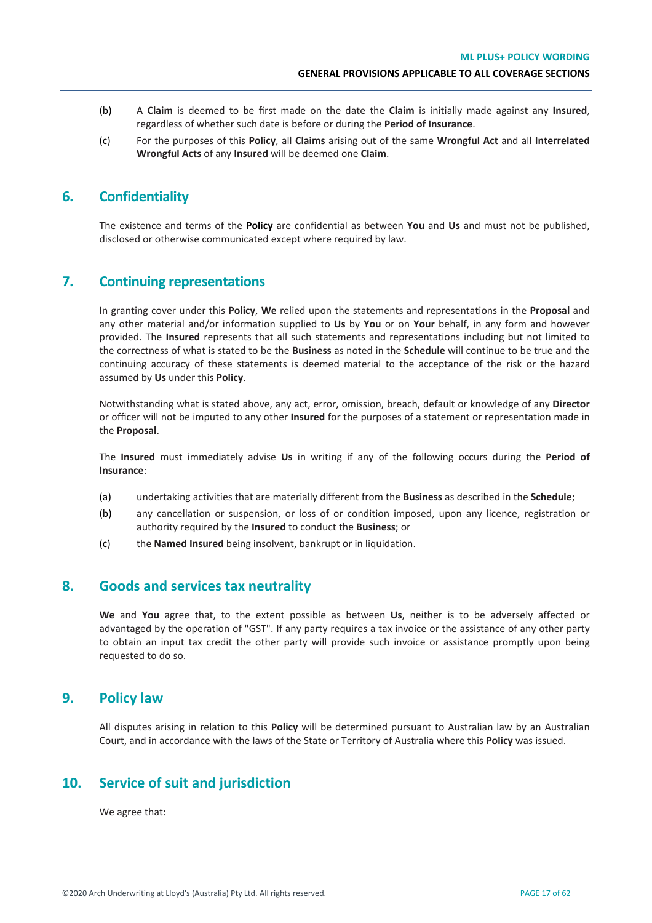- (b) A **Claim** is deemed to be first made on the date the **Claim** is initially made against any **Insured**, regardless of whether such date is before or during the **Period of Insurance**.
- (c) For the purposes of this **Policy**, all **Claims** arising out of the same **Wrongful Act** and all **Interrelated Wrongful Acts** of any **Insured** will be deemed one **Claim**.

### <span id="page-21-0"></span>**6. Confidentiality**

The existence and terms of the **Policy** are confidential as between **You** and **Us** and must not be published, disclosed or otherwise communicated except where required by law.

### <span id="page-21-1"></span>**7. Continuing representations**

In granting cover under this **Policy**, **We** relied upon the statements and representations in the **Proposal** and any other material and/or information supplied to **Us** by **You** or on **Your** behalf, in any form and however provided. The **Insured** represents that all such statements and representations including but not limited to the correctness of what is stated to be the **Business** as noted in the **Schedule** will continue to be true and the continuing accuracy of these statements is deemed material to the acceptance of the risk or the hazard assumed by **Us** under this **Policy**.

Notwithstanding what is stated above, any act, error, omission, breach, default or knowledge of any **Director** or officer will not be imputed to any other **Insured** for the purposes of a statement or representation made in the **Proposal**.

The **Insured** must immediately advise **Us** in writing if any of the following occurs during the **Period of Insurance**:

- (a) undertaking activities that are materially different from the **Business** as described in the **Schedule**;
- (b) any cancellation or suspension, or loss of or condition imposed, upon any licence, registration or authority required by the **Insured** to conduct the **Business**; or
- (c) the **Named Insured** being insolvent, bankrupt or in liquidation.

### <span id="page-21-2"></span>**8. Goods and services tax neutrality**

**We** and **You** agree that, to the extent possible as between **Us**, neither is to be adversely affected or advantaged by the operation of "GST". If any party requires a tax invoice or the assistance of any other party to obtain an input tax credit the other party will provide such invoice or assistance promptly upon being requested to do so.

### <span id="page-21-3"></span>**9. Policy law**

All disputes arising in relation to this **Policy** will be determined pursuant to Australian law by an Australian Court, and in accordance with the laws of the State or Territory of Australia where this **Policy** was issued.

### <span id="page-21-4"></span>**10. Service of suit and jurisdiction**

We agree that: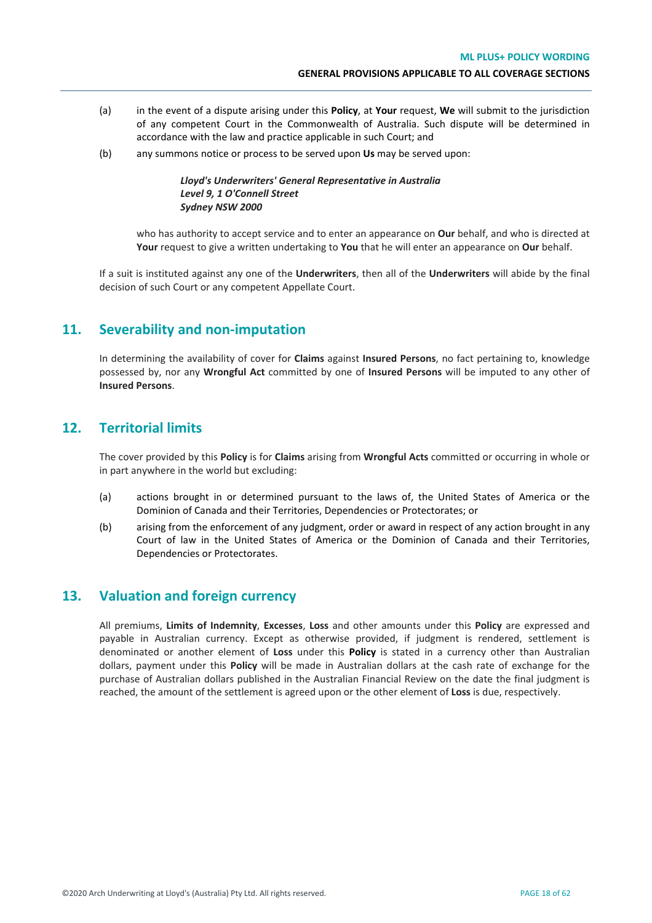- (a) in the event of a dispute arising under this **Policy**, at **Your** request, **We** will submit to the jurisdiction of any competent Court in the Commonwealth of Australia. Such dispute will be determined in accordance with the law and practice applicable in such Court; and
- (b) any summons notice or process to be served upon **Us** may be served upon:

*Lloyd's Underwriters' General Representative in Australia Level 9, 1 O'Connell Street Sydney NSW 2000*

who has authority to accept service and to enter an appearance on **Our** behalf, and who is directed at **Your** request to give a written undertaking to **You** that he will enter an appearance on **Our** behalf.

If a suit is instituted against any one of the **Underwriters**, then all of the **Underwriters** will abide by the final decision of such Court or any competent Appellate Court.

### <span id="page-22-0"></span>**11. Severability and non-imputation**

In determining the availability of cover for **Claims** against **Insured Persons**, no fact pertaining to, knowledge possessed by, nor any **Wrongful Act** committed by one of **Insured Persons** will be imputed to any other of **Insured Persons**.

### <span id="page-22-1"></span>**12. Territorial limits**

The cover provided by this **Policy** is for **Claims** arising from **Wrongful Acts** committed or occurring in whole or in part anywhere in the world but excluding:

- (a) actions brought in or determined pursuant to the laws of, the United States of America or the Dominion of Canada and their Territories, Dependencies or Protectorates; or
- (b) arising from the enforcement of any judgment, order or award in respect of any action brought in any Court of law in the United States of America or the Dominion of Canada and their Territories, Dependencies or Protectorates.

### <span id="page-22-2"></span>**13. Valuation and foreign currency**

All premiums, **Limits of Indemnity**, **Excesses**, **Loss** and other amounts under this **Policy** are expressed and payable in Australian currency. Except as otherwise provided, if judgment is rendered, settlement is denominated or another element of **Loss** under this **Policy** is stated in a currency other than Australian dollars, payment under this **Policy** will be made in Australian dollars at the cash rate of exchange for the purchase of Australian dollars published in the Australian Financial Review on the date the final judgment is reached, the amount of the settlement is agreed upon or the other element of **Loss** is due, respectively.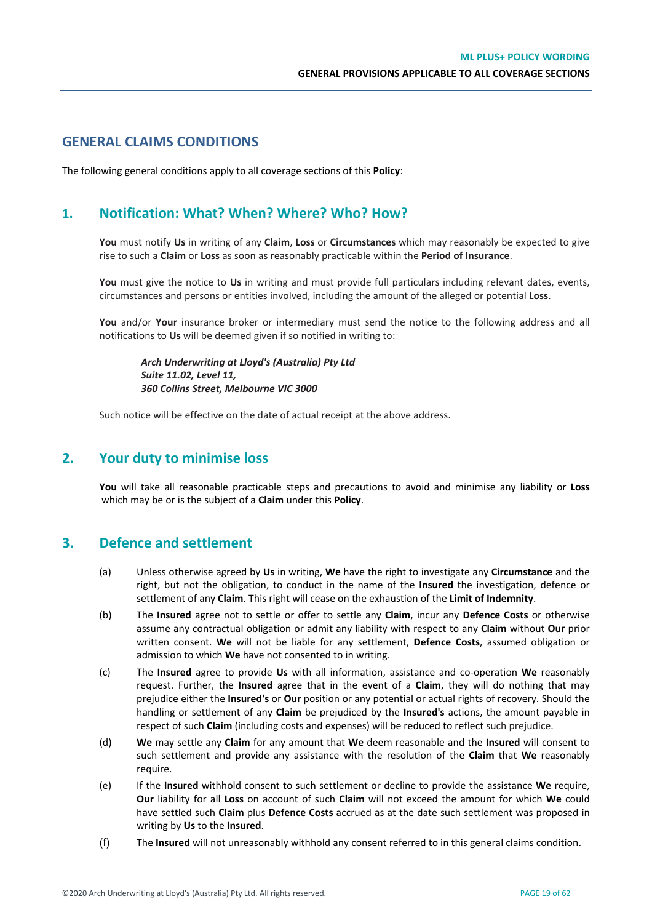### <span id="page-23-0"></span>**GENERAL CLAIMS CONDITIONS**

<span id="page-23-1"></span>The following general conditions apply to all coverage sections of this **Policy**:

### **1. Notification: What? When? Where? Who? How?**

**You** must notify **Us** in writing of any **Claim**, **Loss** or **Circumstances** which may reasonably be expected to give rise to such a **Claim** or **Loss** as soon as reasonably practicable within the **Period of Insurance**.

**You** must give the notice to **Us** in writing and must provide full particulars including relevant dates, events, circumstances and persons or entities involved, including the amount of the alleged or potential **Loss**.

**You** and/or **Your** insurance broker or intermediary must send the notice to the following address and all notifications to **Us** will be deemed given if so notified in writing to:

*Arch Underwriting at Lloyd's (Australia) Pty Ltd Suite 11.02, Level 11, 360 Collins Street, Melbourne VIC 3000*

Such notice will be effective on the date of actual receipt at the above address.

### <span id="page-23-2"></span>**2. Your duty to minimise loss**

**You** will take all reasonable practicable steps and precautions to avoid and minimise any liability or **Loss** which may be or is the subject of a **Claim** under this **Policy**.

### <span id="page-23-3"></span>**3. Defence and settlement**

- (a) Unless otherwise agreed by **Us** in writing, **We** have the right to investigate any **Circumstance** and the right, but not the obligation, to conduct in the name of the **Insured** the investigation, defence or settlement of any **Claim**. This right will cease on the exhaustion of the **Limit of Indemnity**.
- (b) The **Insured** agree not to settle or offer to settle any **Claim**, incur any **Defence Costs** or otherwise assume any contractual obligation or admit any liability with respect to any **Claim** without **Our** prior written consent. **We** will not be liable for any settlement, **Defence Costs**, assumed obligation or admission to which **We** have not consented to in writing.
- (c) The **Insured** agree to provide **Us** with all information, assistance and co-operation **We** reasonably request. Further, the **Insured** agree that in the event of a **Claim**, they will do nothing that may prejudice either the **Insured's** or **Our** position or any potential or actual rights of recovery. Should the handling or settlement of any **Claim** be prejudiced by the **Insured's** actions, the amount payable in respect of such **Claim** (including costs and expenses) will be reduced to reflect such prejudice.
- (d) **We** may settle any **Claim** for any amount that **We** deem reasonable and the **Insured** will consent to such settlement and provide any assistance with the resolution of the **Claim** that **We** reasonably require.
- (e) If the **Insured** withhold consent to such settlement or decline to provide the assistance **We** require, **Our** liability for all **Loss** on account of such **Claim** will not exceed the amount for which **We** could have settled such **Claim** plus **Defence Costs** accrued as at the date such settlement was proposed in writing by **Us** to the **Insured**.
- (f) The **Insured** will not unreasonably withhold any consent referred to in this general claims condition.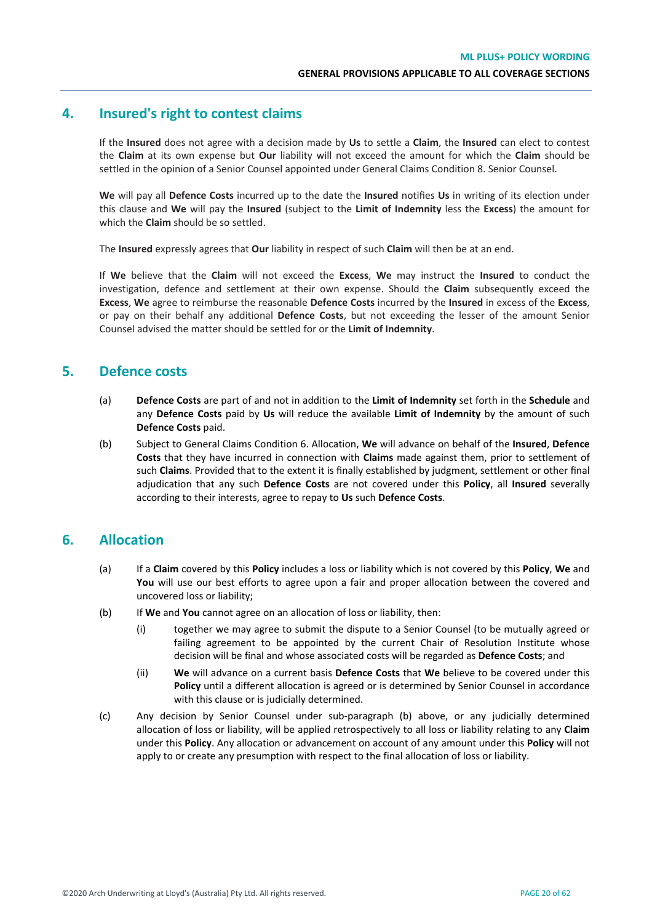# <span id="page-24-0"></span>**4. Insured's right to contest claims**

If the **Insured** does not agree with a decision made by **Us** to settle a **Claim**, the **Insured** can elect to contest the **Claim** at its own expense but **Our** liability will not exceed the amount for which the **Claim** should be settled in the opinion of a Senior Counsel appointed under General Claims Condition 8. Senior Counsel.

**We** will pay all **Defence Costs** incurred up to the date the **Insured** notifies **Us** in writing of its election under this clause and **We** will pay the **Insured** (subject to the **Limit of Indemnity** less the **Excess**) the amount for which the **Claim** should be so settled.

The **Insured** expressly agrees that **Our** liability in respect of such **Claim** will then be at an end.

If **We** believe that the **Claim** will not exceed the **Excess**, **We** may instruct the **Insured** to conduct the investigation, defence and settlement at their own expense. Should the **Claim** subsequently exceed the **Excess**, **We** agree to reimburse the reasonable **Defence Costs** incurred by the **Insured** in excess of the **Excess**, or pay on their behalf any additional **Defence Costs**, but not exceeding the lesser of the amount Senior Counsel advised the matter should be settled for or the **Limit of Indemnity**.

# <span id="page-24-1"></span>**5. Defence costs**

- (a) **Defence Costs** are part of and not in addition to the **Limit of Indemnity** set forth in the **Schedule** and any **Defence Costs** paid by **Us** will reduce the available **Limit of Indemnity** by the amount of such **Defence Costs** paid.
- (b) Subject to General Claims Condition 6. Allocation, **We** will advance on behalf of the **Insured**, **Defence Costs** that they have incurred in connection with **Claims** made against them, prior to settlement of such **Claims**. Provided that to the extent it is finally established by judgment, settlement or other final adjudication that any such **Defence Costs** are not covered under this **Policy**, all **Insured** severally according to their interests, agree to repay to **Us** such **Defence Costs**.

### <span id="page-24-2"></span>**6. Allocation**

- (a) If a **Claim** covered by this **Policy** includes a loss or liability which is not covered by this **Policy**, **We** and **You** will use our best efforts to agree upon a fair and proper allocation between the covered and uncovered loss or liability;
- (b) If **We** and **You** cannot agree on an allocation of loss or liability, then:
	- (i) together we may agree to submit the dispute to a Senior Counsel (to be mutually agreed or failing agreement to be appointed by the current Chair of Resolution Institute whose decision will be final and whose associated costs will be regarded as **Defence Costs**; and
	- (ii) **We** will advance on a current basis **Defence Costs** that **We** believe to be covered under this **Policy** until a different allocation is agreed or is determined by Senior Counsel in accordance with this clause or is judicially determined.
- <span id="page-24-3"></span>(c) Any decision by Senior Counsel under sub-paragraph (b) above, or any judicially determined allocation of loss or liability, will be applied retrospectively to all loss or liability relating to any **Claim** under this **Policy**. Any allocation or advancement on account of any amount under this **Policy** will not apply to or create any presumption with respect to the final allocation of loss or liability.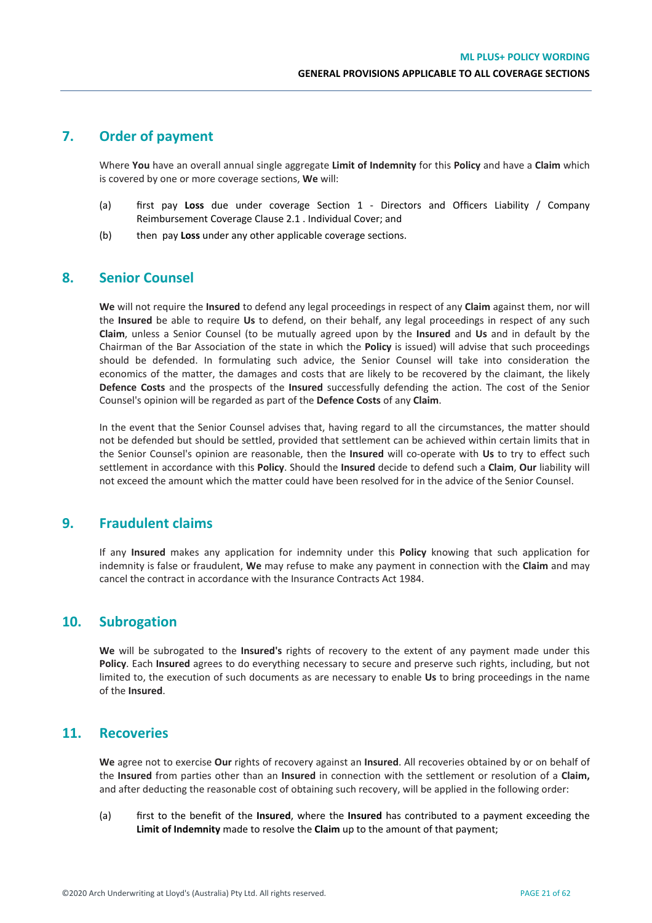# **7. Order of payment**

Where **You** have an overall annual single aggregate **Limit of Indemnity** for this **Policy** and have a **Claim** which is covered by one or more coverage sections, **We** will:

- (a) first pay **Loss** due under coverage Section 1 Directors and Officers Liability / Company Reimbursement Coverage Clause 2.1 . Individual Cover; and
- (b) then pay **Loss** under any other applicable coverage sections.

### <span id="page-25-0"></span>**8. Senior Counsel**

**We** will not require the **Insured** to defend any legal proceedings in respect of any **Claim** against them, nor will the **Insured** be able to require **Us** to defend, on their behalf, any legal proceedings in respect of any such **Claim**, unless a Senior Counsel (to be mutually agreed upon by the **Insured** and **Us** and in default by the Chairman of the Bar Association of the state in which the **Policy** is issued) will advise that such proceedings should be defended. In formulating such advice, the Senior Counsel will take into consideration the economics of the matter, the damages and costs that are likely to be recovered by the claimant, the likely **Defence Costs** and the prospects of the **Insured** successfully defending the action. The cost of the Senior Counsel's opinion will be regarded as part of the **Defence Costs** of any **Claim**.

In the event that the Senior Counsel advises that, having regard to all the circumstances, the matter should not be defended but should be settled, provided that settlement can be achieved within certain limits that in the Senior Counsel's opinion are reasonable, then the **Insured** will co-operate with **Us** to try to effect such settlement in accordance with this **Policy**. Should the **Insured** decide to defend such a **Claim**, **Our** liability will not exceed the amount which the matter could have been resolved for in the advice of the Senior Counsel.

# <span id="page-25-1"></span>**9. Fraudulent claims**

If any **Insured** makes any application for indemnity under this **Policy** knowing that such application for indemnity is false or fraudulent, **We** may refuse to make any payment in connection with the **Claim** and may cancel the contract in accordance with the Insurance Contracts Act 1984.

### <span id="page-25-2"></span>**10. Subrogation**

**We** will be subrogated to the **Insured's** rights of recovery to the extent of any payment made under this **Policy**. Each **Insured** agrees to do everything necessary to secure and preserve such rights, including, but not limited to, the execution of such documents as are necessary to enable **Us** to bring proceedings in the name of the **Insured**.

### <span id="page-25-3"></span>**11. Recoveries**

**We** agree not to exercise **Our** rights of recovery against an **Insured**. All recoveries obtained by or on behalf of the **Insured** from parties other than an **Insured** in connection with the settlement or resolution of a **Claim,** and after deducting the reasonable cost of obtaining such recovery, will be applied in the following order:

(a) first to the benefit of the **Insured**, where the **Insured** has contributed to a payment exceeding the **Limit of Indemnity** made to resolve the **Claim** up to the amount of that payment;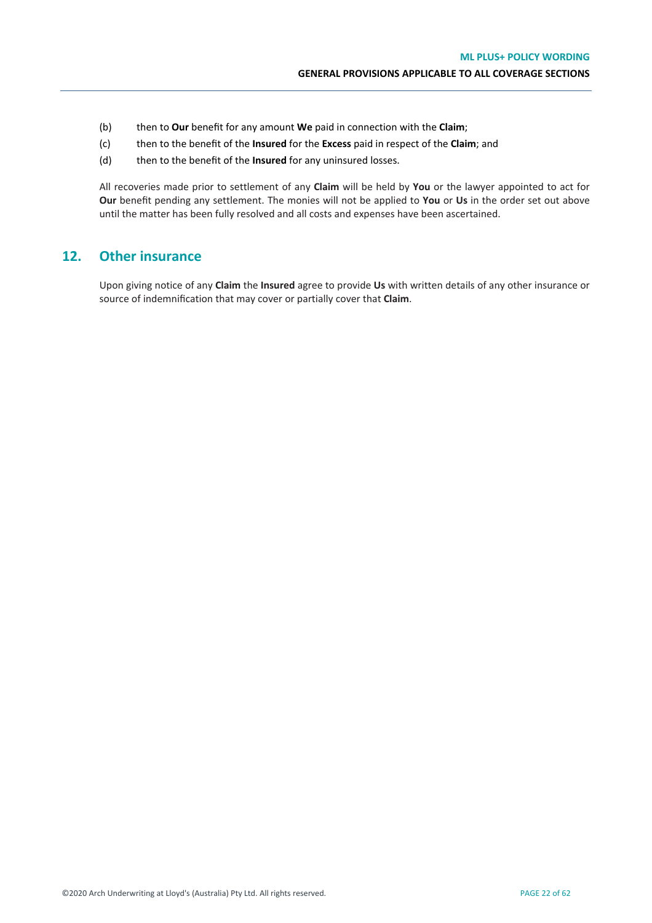- (b) then to **Our** benefit for any amount **We** paid in connection with the **Claim**;
- (c) then to the benefit of the **Insured** for the **Excess** paid in respect of the **Claim**; and
- (d) then to the benefit of the **Insured** for any uninsured losses.

All recoveries made prior to settlement of any **Claim** will be held by **You** or the lawyer appointed to act for **Our** benefit pending any settlement. The monies will not be applied to **You** or **Us** in the order set out above until the matter has been fully resolved and all costs and expenses have been ascertained.

# <span id="page-26-0"></span>**12. Other insurance**

Upon giving notice of any **Claim** the **Insured** agree to provide **Us** with written details of any other insurance or source of indemnification that may cover or partially cover that **Claim**.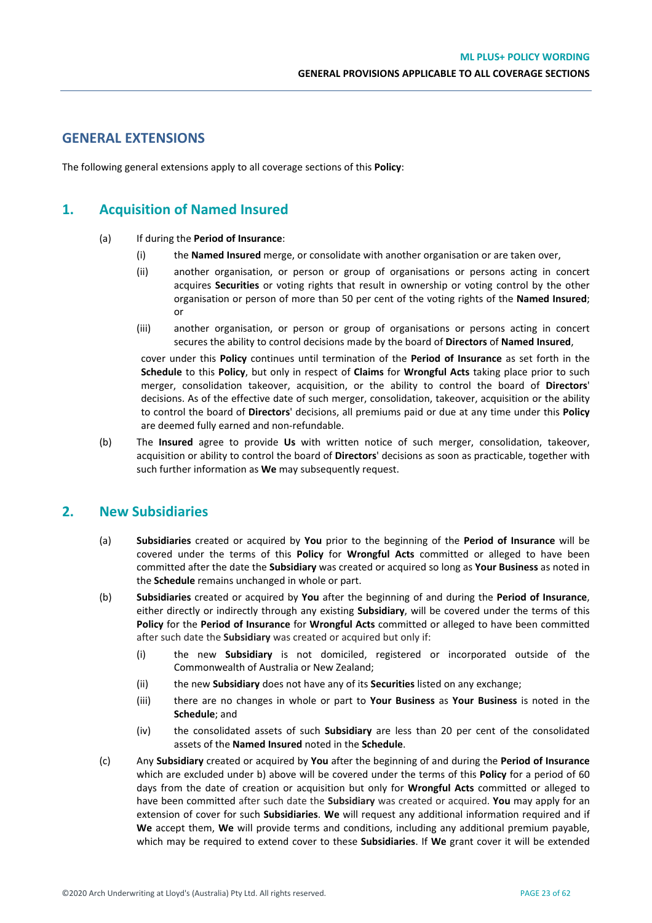### <span id="page-27-0"></span>**GENERAL EXTENSIONS**

<span id="page-27-1"></span>The following general extensions apply to all coverage sections of this **Policy**:

# **1. Acquisition of Named Insured**

- (a) If during the **Period of Insurance**:
	- (i) the **Named Insured** merge, or consolidate with another organisation or are taken over,
	- (ii) another organisation, or person or group of organisations or persons acting in concert acquires **Securities** or voting rights that result in ownership or voting control by the other organisation or person of more than 50 per cent of the voting rights of the **Named Insured**; or
	- (iii) another organisation, or person or group of organisations or persons acting in concert secures the ability to control decisions made by the board of **Directors** of **Named Insured**,

cover under this **Policy** continues until termination of the **Period of Insurance** as set forth in the **Schedule** to this **Policy**, but only in respect of **Claims** for **Wrongful Acts** taking place prior to such merger, consolidation takeover, acquisition, or the ability to control the board of **Directors**' decisions. As of the effective date of such merger, consolidation, takeover, acquisition or the ability to control the board of **Directors**' decisions, all premiums paid or due at any time under this **Policy** are deemed fully earned and non-refundable.

(b) The **Insured** agree to provide **Us** with written notice of such merger, consolidation, takeover, acquisition or ability to control the board of **Directors**' decisions as soon as practicable, together with such further information as **We** may subsequently request.

### <span id="page-27-2"></span>**2. New Subsidiaries**

- (a) **Subsidiaries** created or acquired by **You** prior to the beginning of the **Period of Insurance** will be covered under the terms of this **Policy** for **Wrongful Acts** committed or alleged to have been committed after the date the **Subsidiary** was created or acquired so long as **Your Business** as noted in the **Schedule** remains unchanged in whole or part.
- (b) **Subsidiaries** created or acquired by **You** after the beginning of and during the **Period of Insurance**, either directly or indirectly through any existing **Subsidiary**, will be covered under the terms of this **Policy** for the **Period of Insurance** for **Wrongful Acts** committed or alleged to have been committed after such date the **Subsidiary** was created or acquired but only if:
	- (i) the new **Subsidiary** is not domiciled, registered or incorporated outside of the Commonwealth of Australia or New Zealand;
	- (ii) the new **Subsidiary** does not have any of its **Securities** listed on any exchange;
	- (iii) there are no changes in whole or part to **Your Business** as **Your Business** is noted in the **Schedule**; and
	- (iv) the consolidated assets of such **Subsidiary** are less than 20 per cent of the consolidated assets of the **Named Insured** noted in the **Schedule**.
- (c) Any **Subsidiary** created or acquired by **You** after the beginning of and during the **Period of Insurance** which are excluded under b) above will be covered under the terms of this **Policy** for a period of 60 days from the date of creation or acquisition but only for **Wrongful Acts** committed or alleged to have been committed after such date the **Subsidiary** was created or acquired. **You** may apply for an extension of cover for such **Subsidiaries**. **We** will request any additional information required and if **We** accept them, **We** will provide terms and conditions, including any additional premium payable, which may be required to extend cover to these **Subsidiaries**. If **We** grant cover it will be extended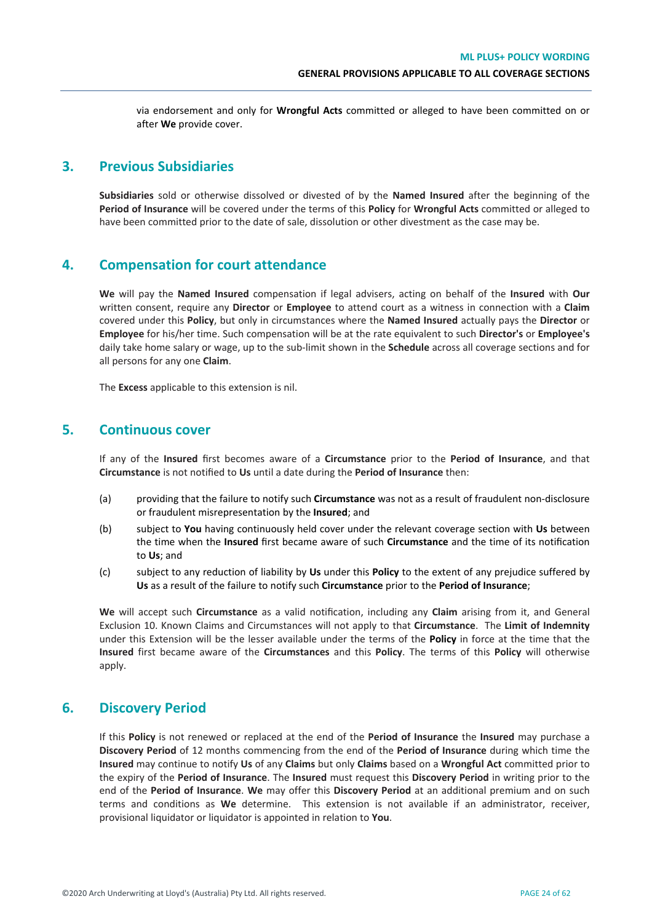via endorsement and only for **Wrongful Acts** committed or alleged to have been committed on or after **We** provide cover.

# <span id="page-28-0"></span>**3. Previous Subsidiaries**

**Subsidiaries** sold or otherwise dissolved or divested of by the **Named Insured** after the beginning of the **Period of Insurance** will be covered under the terms of this **Policy** for **Wrongful Acts** committed or alleged to have been committed prior to the date of sale, dissolution or other divestment as the case may be.

# <span id="page-28-1"></span>**4. Compensation for court attendance**

**We** will pay the **Named Insured** compensation if legal advisers, acting on behalf of the **Insured** with **Our** written consent, require any **Director** or **Employee** to attend court as a witness in connection with a **Claim** covered under this **Policy**, but only in circumstances where the **Named Insured** actually pays the **Director** or **Employee** for his/her time. Such compensation will be at the rate equivalent to such **Director's** or **Employee's** daily take home salary or wage, up to the sub-limit shown in the **Schedule** across all coverage sections and for all persons for any one **Claim**.

The **Excess** applicable to this extension is nil.

# <span id="page-28-2"></span>**5. Continuous cover**

If any of the **Insured** first becomes aware of a **Circumstance** prior to the **Period of Insurance**, and that **Circumstance** is not notified to **Us** until a date during the **Period of Insurance** then:

- (a) providing that the failure to notify such **Circumstance** was not as a result of fraudulent non-disclosure or fraudulent misrepresentation by the **Insured**; and
- (b) subject to **You** having continuously held cover under the relevant coverage section with **Us** between the time when the **Insured** first became aware of such **Circumstance** and the time of its notification to **Us**; and
- (c) subject to any reduction of liability by **Us** under this **Policy** to the extent of any prejudice suffered by **Us** as a result of the failure to notify such **Circumstance** prior to the **Period of Insurance**;

**We** will accept such **Circumstance** as a valid notification, including any **Claim** arising from it, and General Exclusion 10. Known Claims and Circumstances will not apply to that **Circumstance**. The **Limit of Indemnity** under this Extension will be the lesser available under the terms of the **Policy** in force at the time that the **Insured** first became aware of the **Circumstances** and this **Policy**. The terms of this **Policy** will otherwise apply.

# <span id="page-28-3"></span>**6. Discovery Period**

If this **Policy** is not renewed or replaced at the end of the **Period of Insurance** the **Insured** may purchase a **Discovery Period** of 12 months commencing from the end of the **Period of Insurance** during which time the **Insured** may continue to notify **Us** of any **Claims** but only **Claims** based on a **Wrongful Act** committed prior to the expiry of the **Period of Insurance**. The **Insured** must request this **Discovery Period** in writing prior to the end of the **Period of Insurance**. **We** may offer this **Discovery Period** at an additional premium and on such terms and conditions as **We** determine. This extension is not available if an administrator, receiver, provisional liquidator or liquidator is appointed in relation to **You**.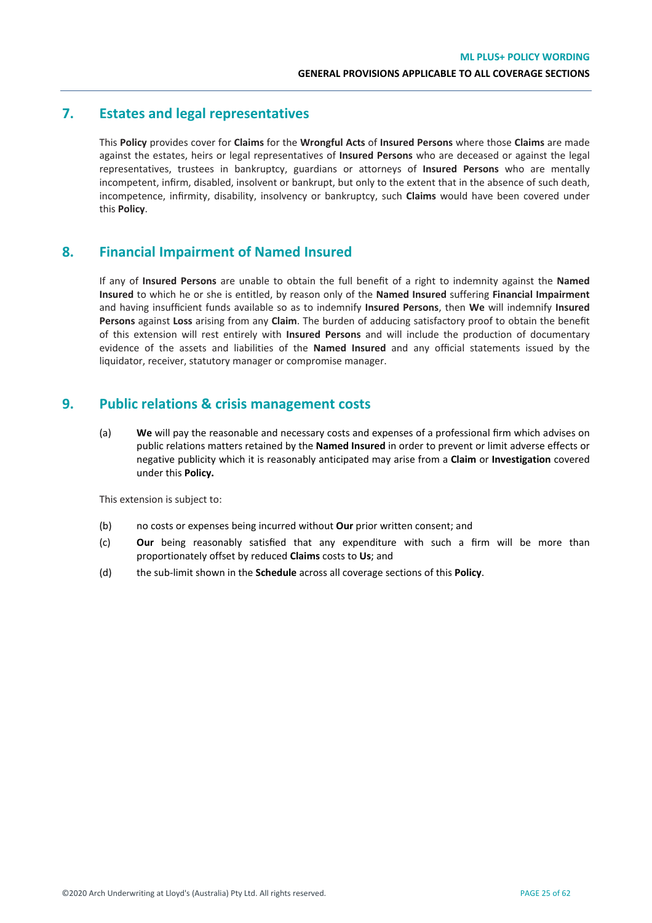# <span id="page-29-0"></span>**7. Estates and legal representatives**

This **Policy** provides cover for **Claims** for the **Wrongful Acts** of **Insured Persons** where those **Claims** are made against the estates, heirs or legal representatives of **Insured Persons** who are deceased or against the legal representatives, trustees in bankruptcy, guardians or attorneys of **Insured Persons** who are mentally incompetent, infirm, disabled, insolvent or bankrupt, but only to the extent that in the absence of such death, incompetence, infirmity, disability, insolvency or bankruptcy, such **Claims** would have been covered under this **Policy**.

# <span id="page-29-1"></span>**8. Financial Impairment of Named Insured**

If any of **Insured Persons** are unable to obtain the full benefit of a right to indemnity against the **Named Insured** to which he or she is entitled, by reason only of the **Named Insured** suffering **Financial Impairment** and having insufficient funds available so as to indemnify **Insured Persons**, then **We** will indemnify **Insured Persons** against **Loss** arising from any **Claim**. The burden of adducing satisfactory proof to obtain the benefit of this extension will rest entirely with **Insured Persons** and will include the production of documentary evidence of the assets and liabilities of the **Named Insured** and any official statements issued by the liquidator, receiver, statutory manager or compromise manager.

# <span id="page-29-2"></span>**9. Public relations & crisis management costs**

(a) **We** will pay the reasonable and necessary costs and expenses of a professional firm which advises on public relations matters retained by the **Named Insured** in order to prevent or limit adverse effects or negative publicity which it is reasonably anticipated may arise from a **Claim** or **Investigation** covered under this **Policy.**

This extension is subject to:

- (b) no costs or expenses being incurred without **Our** prior written consent; and
- (c) **Our** being reasonably satisfied that any expenditure with such a firm will be more than proportionately offset by reduced **Claims** costs to **Us**; and
- (d) the sub-limit shown in the **Schedule** across all coverage sections of this **Policy**.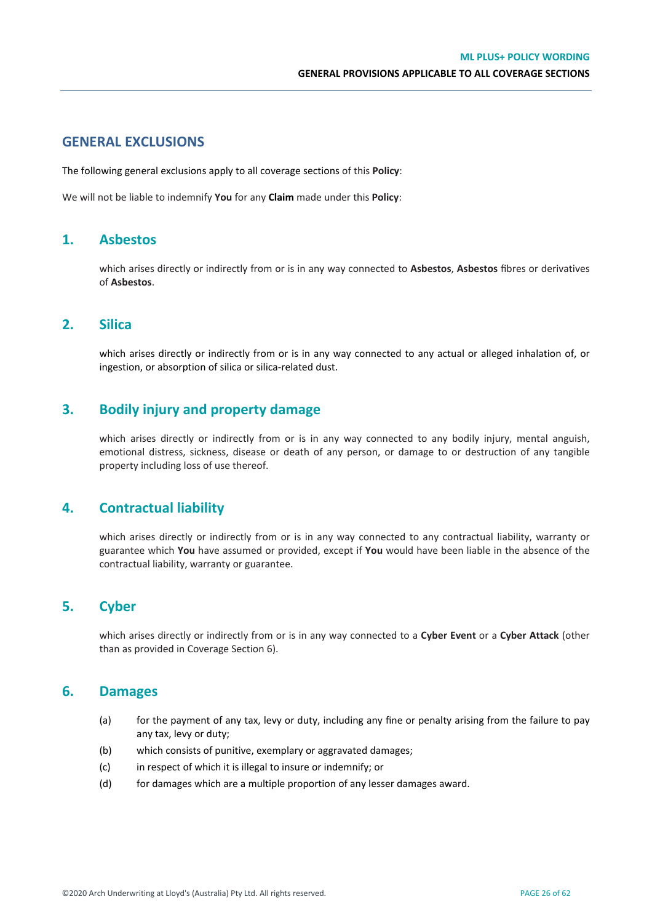# <span id="page-30-0"></span>**GENERAL EXCLUSIONS**

The following general exclusions apply to all coverage sections of this **Policy**:

We will not be liable to indemnify **You** for any **Claim** made under this **Policy**:

# <span id="page-30-1"></span>**1. Asbestos**

which arises directly or indirectly from or is in any way connected to **Asbestos**, **Asbestos** fibres or derivatives of **Asbestos**.

# <span id="page-30-2"></span>**2. Silica**

which arises directly or indirectly from or is in any way connected to any actual or alleged inhalation of, or ingestion, or absorption of silica or silica-related dust.

# <span id="page-30-3"></span>**3. Bodily injury and property damage**

which arises directly or indirectly from or is in any way connected to any bodily injury, mental anguish, emotional distress, sickness, disease or death of any person, or damage to or destruction of any tangible property including loss of use thereof.

# <span id="page-30-4"></span>**4. Contractual liability**

which arises directly or indirectly from or is in any way connected to any contractual liability, warranty or guarantee which **You** have assumed or provided, except if **You** would have been liable in the absence of the contractual liability, warranty or guarantee.

# <span id="page-30-5"></span>**5. Cyber**

which arises directly or indirectly from or is in any way connected to a **Cyber Event** or a **Cyber Attack** (other than as provided in Coverage Section 6).

### <span id="page-30-6"></span>**6. Damages**

- (a) for the payment of any tax, levy or duty, including any fine or penalty arising from the failure to pay any tax, levy or duty;
- (b) which consists of punitive, exemplary or aggravated damages;
- (c) in respect of which it is illegal to insure or indemnify; or
- (d) for damages which are a multiple proportion of any lesser damages award.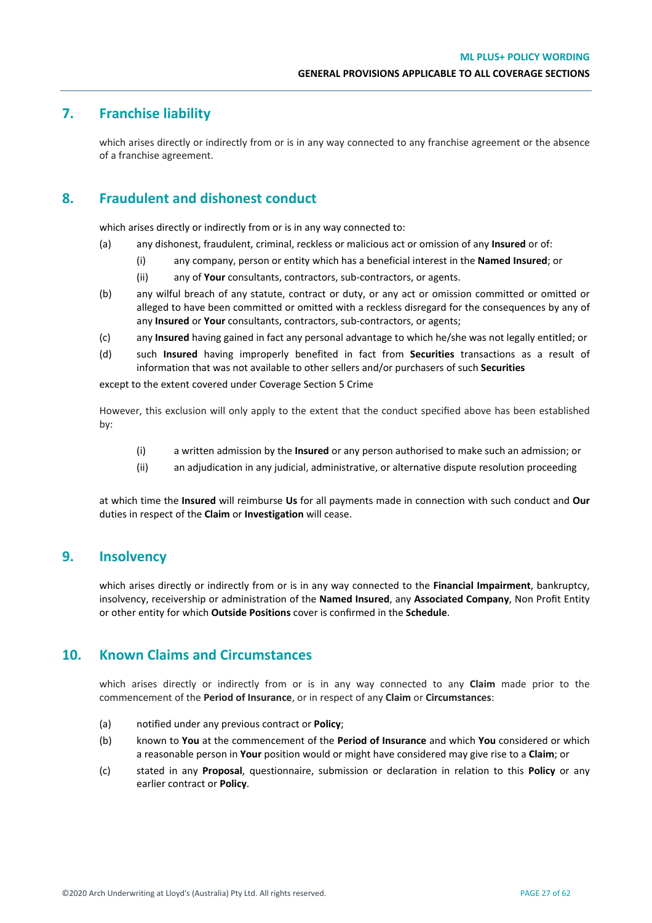# <span id="page-31-0"></span>**7. Franchise liability**

which arises directly or indirectly from or is in any way connected to any franchise agreement or the absence of a franchise agreement.

# <span id="page-31-1"></span>**8. Fraudulent and dishonest conduct**

which arises directly or indirectly from or is in any way connected to:

- (a) any dishonest, fraudulent, criminal, reckless or malicious act or omission of any **Insured** or of:
	- (i) any company, person or entity which has a beneficial interest in the **Named Insured**; or
	- (ii) any of **Your** consultants, contractors, sub-contractors, or agents.
- (b) any wilful breach of any statute, contract or duty, or any act or omission committed or omitted or alleged to have been committed or omitted with a reckless disregard for the consequences by any of any **Insured** or **Your** consultants, contractors, sub-contractors, or agents;
- (c) any **Insured** having gained in fact any personal advantage to which he/she was not legally entitled; or
- (d) such **Insured** having improperly benefited in fact from **Securities** transactions as a result of information that was not available to other sellers and/or purchasers of such **Securities**

except to the extent covered under Coverage Section 5 Crime

However, this exclusion will only apply to the extent that the conduct specified above has been established by:

- (i) a written admission by the **Insured** or any person authorised to make such an admission; or
- (ii) an adjudication in any judicial, administrative, or alternative dispute resolution proceeding

at which time the **Insured** will reimburse **Us** for all payments made in connection with such conduct and **Our** duties in respect of the **Claim** or **Investigation** will cease.

### <span id="page-31-2"></span>**9. Insolvency**

which arises directly or indirectly from or is in any way connected to the **Financial Impairment**, bankruptcy, insolvency, receivership or administration of the **Named Insured**, any **Associated Company**, Non Profit Entity or other entity for which **Outside Positions** cover is confirmed in the **Schedule**.

### <span id="page-31-3"></span>**10. Known Claims and Circumstances**

which arises directly or indirectly from or is in any way connected to any **Claim** made prior to the commencement of the **Period of Insurance**, or in respect of any **Claim** or **Circumstances**:

- (a) notified under any previous contract or **Policy**;
- (b) known to **You** at the commencement of the **Period of Insurance** and which **You** considered or which a reasonable person in **Your** position would or might have considered may give rise to a **Claim**; or
- (c) stated in any **Proposal**, questionnaire, submission or declaration in relation to this **Policy** or any earlier contract or **Policy**.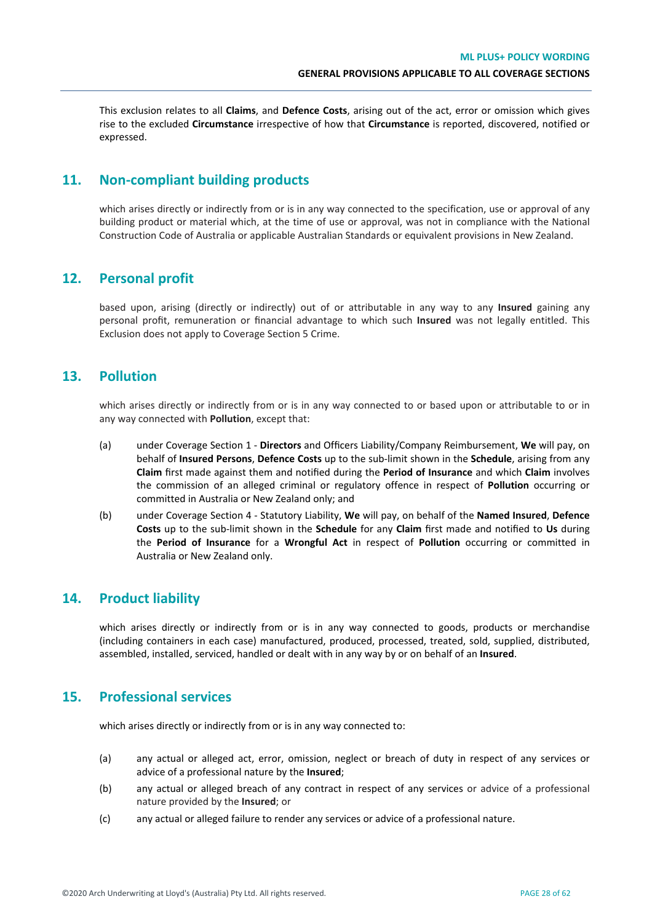This exclusion relates to all **Claims**, and **Defence Costs**, arising out of the act, error or omission which gives rise to the excluded **Circumstance** irrespective of how that **Circumstance** is reported, discovered, notified or expressed.

# <span id="page-32-0"></span>**11. Non-compliant building products**

which arises directly or indirectly from or is in any way connected to the specification, use or approval of any building product or material which, at the time of use or approval, was not in compliance with the National Construction Code of Australia or applicable Australian Standards or equivalent provisions in New Zealand.

# <span id="page-32-1"></span>**12. Personal profit**

based upon, arising (directly or indirectly) out of or attributable in any way to any **Insured** gaining any personal profit, remuneration or financial advantage to which such **Insured** was not legally entitled. This Exclusion does not apply to Coverage Section 5 Crime.

# <span id="page-32-2"></span>**13. Pollution**

which arises directly or indirectly from or is in any way connected to or based upon or attributable to or in any way connected with **Pollution**, except that:

- (a) under Coverage Section 1 **Directors** and Officers Liability/Company Reimbursement, **We** will pay, on behalf of **Insured Persons**, **Defence Costs** up to the sub-limit shown in the **Schedule**, arising from any **Claim** first made against them and notified during the **Period of Insurance** and which **Claim** involves the commission of an alleged criminal or regulatory offence in respect of **Pollution** occurring or committed in Australia or New Zealand only; and
- (b) under Coverage Section 4 Statutory Liability, **We** will pay, on behalf of the **Named Insured**, **Defence Costs** up to the sub-limit shown in the **Schedule** for any **Claim** first made and notified to **Us** during the **Period of Insurance** for a **Wrongful Act** in respect of **Pollution** occurring or committed in Australia or New Zealand only.

# <span id="page-32-3"></span>**14. Product liability**

which arises directly or indirectly from or is in any way connected to goods, products or merchandise (including containers in each case) manufactured, produced, processed, treated, sold, supplied, distributed, assembled, installed, serviced, handled or dealt with in any way by or on behalf of an **Insured**.

# <span id="page-32-4"></span>**15. Professional services**

which arises directly or indirectly from or is in any way connected to:

- (a) any actual or alleged act, error, omission, neglect or breach of duty in respect of any services or advice of a professional nature by the **Insured**;
- (b) any actual or alleged breach of any contract in respect of any services or advice of a professional nature provided by the **Insured**; or
- (c) any actual or alleged failure to render any services or advice of a professional nature.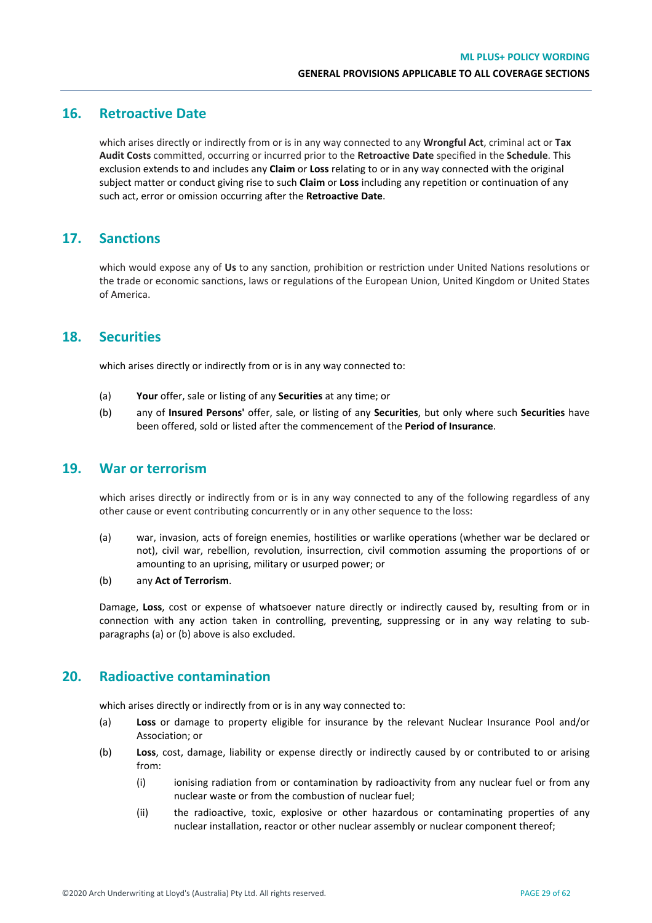# <span id="page-33-0"></span>**16. Retroactive Date**

which arises directly or indirectly from or is in any way connected to any **Wrongful Act**, criminal act or **Tax Audit Costs** committed, occurring or incurred prior to the **Retroactive Date** specified in the **Schedule**. This exclusion extends to and includes any **Claim** or **Loss** relating to or in any way connected with the original subject matter or conduct giving rise to such **Claim** or **Loss** including any repetition or continuation of any such act, error or omission occurring after the **Retroactive Date**.

# <span id="page-33-1"></span>**17. Sanctions**

which would expose any of **Us** to any sanction, prohibition or restriction under United Nations resolutions or the trade or economic sanctions, laws or regulations of the European Union, United Kingdom or United States of America.

### <span id="page-33-2"></span>**18. Securities**

which arises directly or indirectly from or is in any way connected to:

- (a) **Your** offer, sale or listing of any **Securities** at any time; or
- (b) any of **Insured Persons'** offer, sale, or listing of any **Securities**, but only where such **Securities** have been offered, sold or listed after the commencement of the **Period of Insurance**.

### <span id="page-33-3"></span>**19. War or terrorism**

which arises directly or indirectly from or is in any way connected to any of the following regardless of any other cause or event contributing concurrently or in any other sequence to the loss:

- (a) war, invasion, acts of foreign enemies, hostilities or warlike operations (whether war be declared or not), civil war, rebellion, revolution, insurrection, civil commotion assuming the proportions of or amounting to an uprising, military or usurped power; or
- (b) any **Act of Terrorism**.

Damage, **Loss**, cost or expense of whatsoever nature directly or indirectly caused by, resulting from or in connection with any action taken in controlling, preventing, suppressing or in any way relating to subparagraphs (a) or (b) above is also excluded.

### <span id="page-33-4"></span>**20. Radioactive contamination**

which arises directly or indirectly from or is in any way connected to:

- (a) **Loss** or damage to property eligible for insurance by the relevant Nuclear Insurance Pool and/or Association; or
- (b) **Loss**, cost, damage, liability or expense directly or indirectly caused by or contributed to or arising from:
	- (i) ionising radiation from or contamination by radioactivity from any nuclear fuel or from any nuclear waste or from the combustion of nuclear fuel;
	- (ii) the radioactive, toxic, explosive or other hazardous or contaminating properties of any nuclear installation, reactor or other nuclear assembly or nuclear component thereof;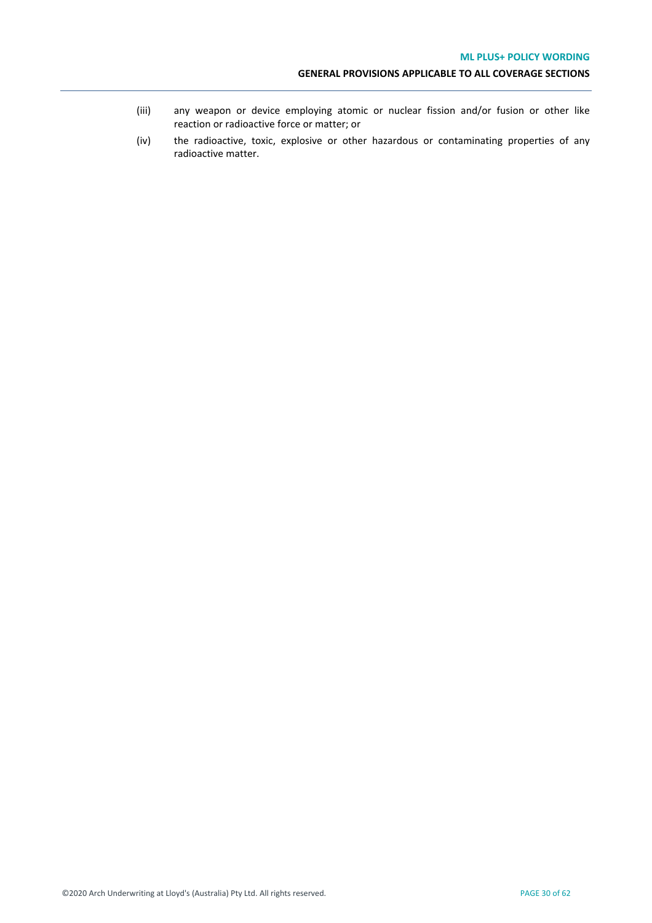- (iii) any weapon or device employing atomic or nuclear fission and/or fusion or other like reaction or radioactive force or matter; or
- (iv) the radioactive, toxic, explosive or other hazardous or contaminating properties of any radioactive matter.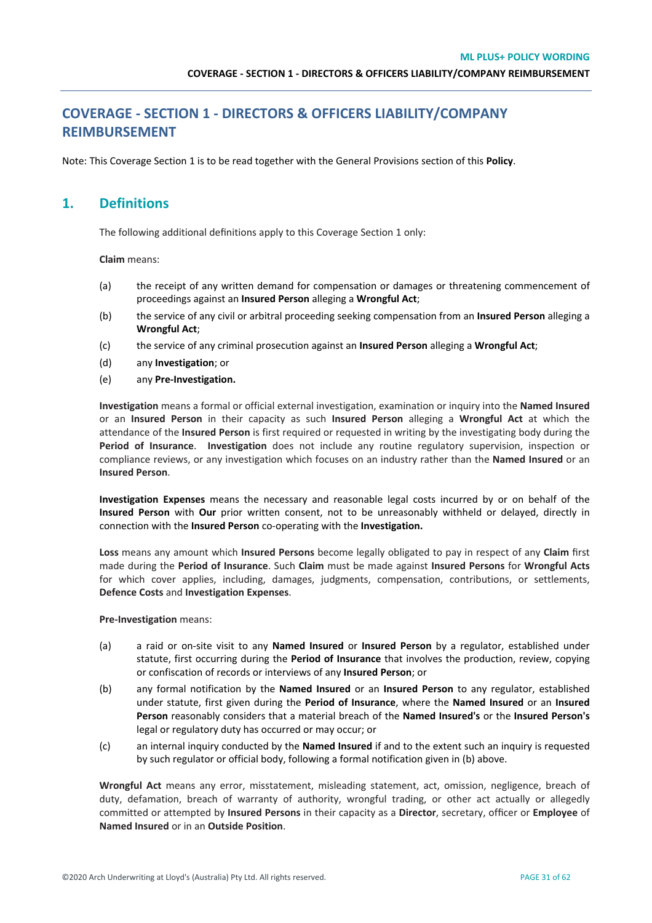# <span id="page-35-0"></span>**COVERAGE - SECTION 1 - DIRECTORS & OFFICERS LIABILITY/COMPANY REIMBURSEMENT**

<span id="page-35-1"></span>Note: This Coverage Section 1 is to be read together with the General Provisions section of this **Policy**.

# **1. Definitions**

The following additional definitions apply to this Coverage Section 1 only:

**Claim** means:

- (a) the receipt of any written demand for compensation or damages or threatening commencement of proceedings against an **Insured Person** alleging a **Wrongful Act**;
- (b) the service of any civil or arbitral proceeding seeking compensation from an **Insured Person** alleging a **Wrongful Act**;
- (c) the service of any criminal prosecution against an **Insured Person** alleging a **Wrongful Act**;
- (d) any **Investigation**; or
- (e) any **Pre-Investigation.**

**Investigation** means a formal or official external investigation, examination or inquiry into the **Named Insured** or an **Insured Person** in their capacity as such **Insured Person** alleging a **Wrongful Act** at which the attendance of the **Insured Person** is first required or requested in writing by the investigating body during the **Period of Insurance**. **Investigation** does not include any routine regulatory supervision, inspection or compliance reviews, or any investigation which focuses on an industry rather than the **Named Insured** or an **Insured Person**.

**Investigation Expenses** means the necessary and reasonable legal costs incurred by or on behalf of the **Insured Person** with **Our** prior written consent, not to be unreasonably withheld or delayed, directly in connection with the **Insured Person** co-operating with the **Investigation.**

**Loss** means any amount which **Insured Persons** become legally obligated to pay in respect of any **Claim** first made during the **Period of Insurance**. Such **Claim** must be made against **Insured Persons** for **Wrongful Acts** for which cover applies, including, damages, judgments, compensation, contributions, or settlements, **Defence Costs** and **Investigation Expenses**.

**Pre-Investigation** means:

- (a) a raid or on-site visit to any **Named Insured** or **Insured Person** by a regulator, established under statute, first occurring during the **Period of Insurance** that involves the production, review, copying or confiscation of records or interviews of any **Insured Person**; or
- (b) any formal notification by the **Named Insured** or an **Insured Person** to any regulator, established under statute, first given during the **Period of Insurance**, where the **Named Insured** or an **Insured Person** reasonably considers that a material breach of the **Named Insured's** or the **Insured Person's** legal or regulatory duty has occurred or may occur; or
- (c) an internal inquiry conducted by the **Named Insured** if and to the extent such an inquiry is requested by such regulator or official body, following a formal notification given in (b) above.

**Wrongful Act** means any error, misstatement, misleading statement, act, omission, negligence, breach of duty, defamation, breach of warranty of authority, wrongful trading, or other act actually or allegedly committed or attempted by **Insured Persons** in their capacity as a **Director**, secretary, officer or **Employee** of **Named Insured** or in an **Outside Position**.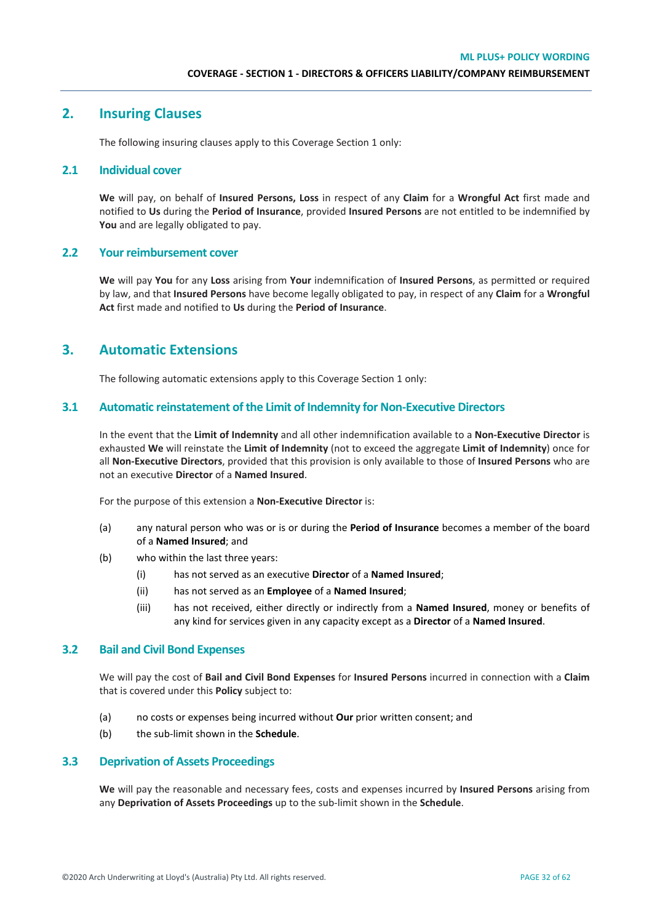### <span id="page-36-0"></span>**2. Insuring Clauses**

The following insuring clauses apply to this Coverage Section 1 only:

#### **2.1 Individual cover**

**We** will pay, on behalf of **Insured Persons, Loss** in respect of any **Claim** for a **Wrongful Act** first made and notified to **Us** during the **Period of Insurance**, provided **Insured Persons** are not entitled to be indemnified by You and are legally obligated to pay.

#### **2.2 Your reimbursement cover**

**We** will pay **You** for any **Loss** arising from **Your** indemnification of **Insured Persons**, as permitted or required by law, and that **Insured Persons** have become legally obligated to pay, in respect of any **Claim** for a **Wrongful Act** first made and notified to **Us** during the **Period of Insurance**.

### <span id="page-36-1"></span>**3. Automatic Extensions**

The following automatic extensions apply to this Coverage Section 1 only:

### **3.1 Automatic reinstatement of the Limit of Indemnity for Non-Executive Directors**

In the event that the **Limit of Indemnity** and all other indemnification available to a **Non-Executive Director** is exhausted **We** will reinstate the **Limit of Indemnity** (not to exceed the aggregate **Limit of Indemnity**) once for all **Non-Executive Directors**, provided that this provision is only available to those of **Insured Persons** who are not an executive **Director** of a **Named Insured**.

For the purpose of this extension a **Non-Executive Director** is:

- (a) any natural person who was or is or during the **Period of Insurance** becomes a member of the board of a **Named Insured**; and
- (b) who within the last three years:
	- (i) has not served as an executive **Director** of a **Named Insured**;
	- (ii) has not served as an **Employee** of a **Named Insured**;
	- (iii) has not received, either directly or indirectly from a **Named Insured**, money or benefits of any kind for services given in any capacity except as a **Director** of a **Named Insured**.

#### **3.2 Bail and Civil Bond Expenses**

We will pay the cost of **Bail and Civil Bond Expenses** for **Insured Persons** incurred in connection with a **Claim** that is covered under this **Policy** subject to:

- (a) no costs or expenses being incurred without **Our** prior written consent; and
- (b) the sub-limit shown in the **Schedule**.

### **3.3 Deprivation of Assets Proceedings**

**We** will pay the reasonable and necessary fees, costs and expenses incurred by **Insured Persons** arising from any **Deprivation of Assets Proceedings** up to the sub-limit shown in the **Schedule**.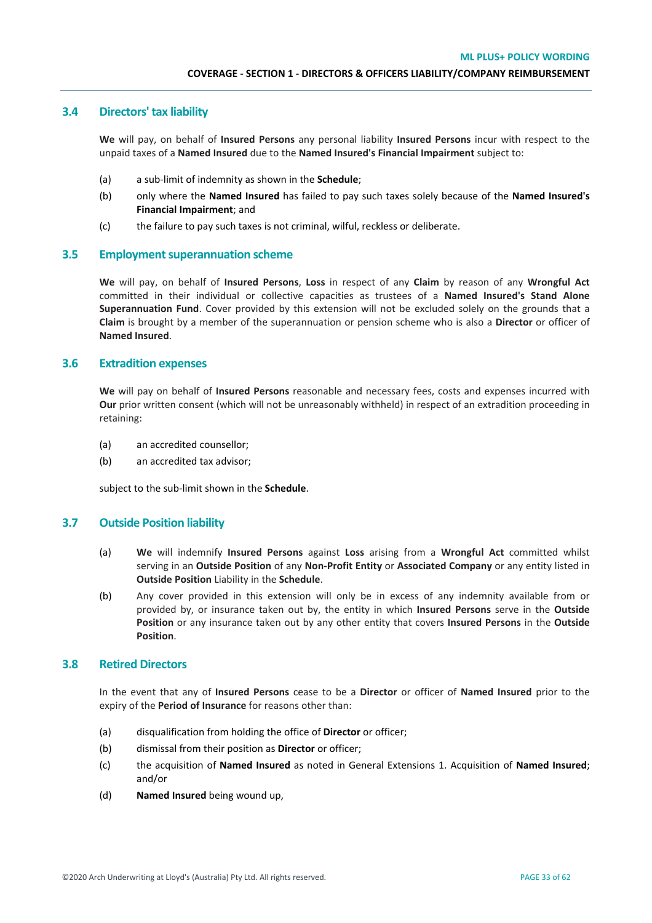### **3.4 Directors' tax liability**

**We** will pay, on behalf of **Insured Persons** any personal liability **Insured Persons** incur with respect to the unpaid taxes of a **Named Insured** due to the **Named Insured's Financial Impairment** subject to:

- (a) a sub-limit of indemnity as shown in the **Schedule**;
- (b) only where the **Named Insured** has failed to pay such taxes solely because of the **Named Insured's Financial Impairment**; and
- (c) the failure to pay such taxes is not criminal, wilful, reckless or deliberate.

#### **3.5 Employment superannuation scheme**

**We** will pay, on behalf of **Insured Persons**, **Loss** in respect of any **Claim** by reason of any **Wrongful Act** committed in their individual or collective capacities as trustees of a **Named Insured's Stand Alone Superannuation Fund**. Cover provided by this extension will not be excluded solely on the grounds that a **Claim** is brought by a member of the superannuation or pension scheme who is also a **Director** or officer of **Named Insured**.

### **3.6 Extradition expenses**

**We** will pay on behalf of **Insured Persons** reasonable and necessary fees, costs and expenses incurred with **Our** prior written consent (which will not be unreasonably withheld) in respect of an extradition proceeding in retaining:

- (a) an accredited counsellor;
- (b) an accredited tax advisor;

subject to the sub-limit shown in the **Schedule**.

#### **3.7 Outside Position liability**

- (a) **We** will indemnify **Insured Persons** against **Loss** arising from a **Wrongful Act** committed whilst serving in an **Outside Position** of any **Non-Profit Entity** or **Associated Company** or any entity listed in **Outside Position** Liability in the **Schedule**.
- (b) Any cover provided in this extension will only be in excess of any indemnity available from or provided by, or insurance taken out by, the entity in which **Insured Persons** serve in the **Outside Position** or any insurance taken out by any other entity that covers **Insured Persons** in the **Outside Position**.

### **3.8 Retired Directors**

In the event that any of **Insured Persons** cease to be a **Director** or officer of **Named Insured** prior to the expiry of the **Period of Insurance** for reasons other than:

- (a) disqualification from holding the office of **Director** or officer;
- (b) dismissal from their position as **Director** or officer;
- (c) the acquisition of **Named Insured** as noted in General Extensions 1. Acquisition of **Named Insured**; and/or
- (d) **Named Insured** being wound up,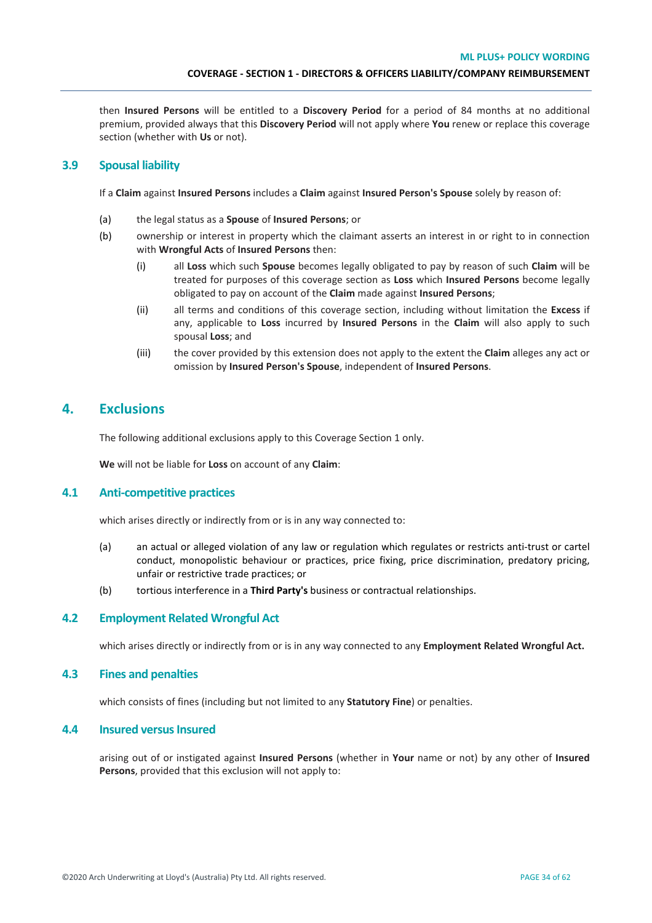then **Insured Persons** will be entitled to a **Discovery Period** for a period of 84 months at no additional premium, provided always that this **Discovery Period** will not apply where **You** renew or replace this coverage section (whether with **Us** or not).

### **3.9 Spousal liability**

If a **Claim** against **Insured Persons** includes a **Claim** against **Insured Person's Spouse** solely by reason of:

- (a) the legal status as a **Spouse** of **Insured Persons**; or
- (b) ownership or interest in property which the claimant asserts an interest in or right to in connection with **Wrongful Acts** of **Insured Persons** then:
	- (i) all **Loss** which such **Spouse** becomes legally obligated to pay by reason of such **Claim** will be treated for purposes of this coverage section as **Loss** which **Insured Persons** become legally obligated to pay on account of the **Claim** made against **Insured Persons**;
	- (ii) all terms and conditions of this coverage section, including without limitation the **Excess** if any, applicable to **Loss** incurred by **Insured Persons** in the **Claim** will also apply to such spousal **Loss**; and
	- (iii) the cover provided by this extension does not apply to the extent the **Claim** alleges any act or omission by **Insured Person's Spouse**, independent of **Insured Persons**.

### <span id="page-38-0"></span>**4. Exclusions**

The following additional exclusions apply to this Coverage Section 1 only.

**We** will not be liable for **Loss** on account of any **Claim**:

#### **4.1 Anti-competitive practices**

which arises directly or indirectly from or is in any way connected to:

- (a) an actual or alleged violation of any law or regulation which regulates or restricts anti-trust or cartel conduct, monopolistic behaviour or practices, price fixing, price discrimination, predatory pricing, unfair or restrictive trade practices; or
- (b) tortious interference in a **Third Party's** business or contractual relationships.

### **4.2 Employment Related Wrongful Act**

which arises directly or indirectly from or is in any way connected to any **Employment Related Wrongful Act.**

#### **4.3 Fines and penalties**

which consists of fines (including but not limited to any **Statutory Fine**) or penalties.

#### **4.4 Insured versusInsured**

arising out of or instigated against **Insured Persons** (whether in **Your** name or not) by any other of **Insured Persons**, provided that this exclusion will not apply to: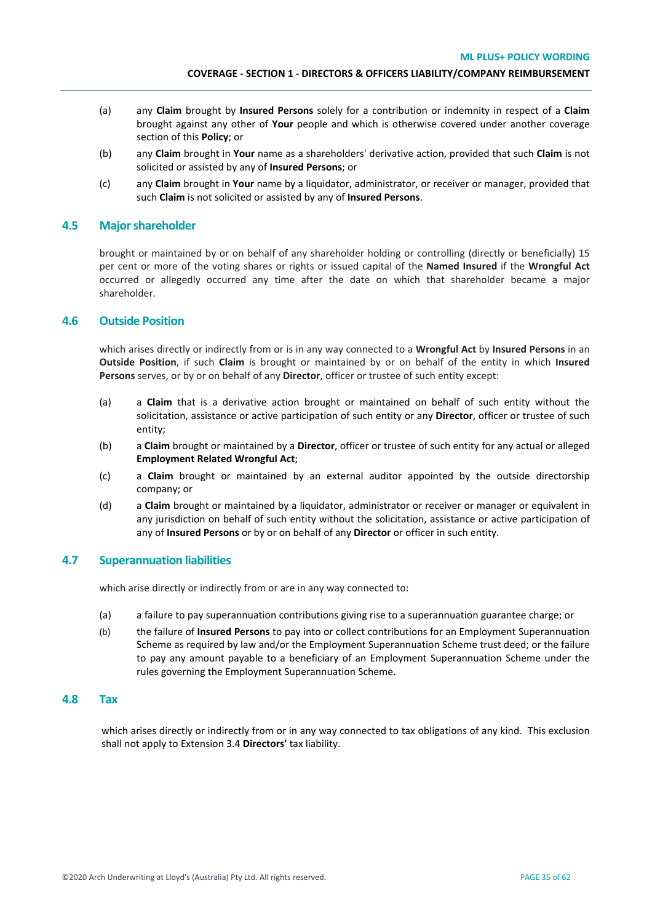#### **COVERAGE - SECTION 1 - DIRECTORS & OFFICERS LIABILITY/COMPANY REIMBURSEMENT**

- (a) any **Claim** brought by **Insured Persons** solely for a contribution or indemnity in respect of a **Claim** brought against any other of **Your** people and which is otherwise covered under another coverage section of this **Policy**; or
- (b) any **Claim** brought in **Your** name as a shareholders' derivative action, provided that such **Claim** is not solicited or assisted by any of **Insured Persons**; or
- (c) any **Claim** brought in **Your** name by a liquidator, administrator, or receiver or manager, provided that such **Claim** is not solicited or assisted by any of **Insured Persons**.

#### **4.5 Majorshareholder**

brought or maintained by or on behalf of any shareholder holding or controlling (directly or beneficially) 15 per cent or more of the voting shares or rights or issued capital of the **Named Insured** if the **Wrongful Act** occurred or allegedly occurred any time after the date on which that shareholder became a major shareholder.

#### **4.6 Outside Position**

which arises directly or indirectly from or is in any way connected to a **Wrongful Act** by **Insured Persons** in an **Outside Position**, if such **Claim** is brought or maintained by or on behalf of the entity in which **Insured Persons** serves, or by or on behalf of any **Director**, officer or trustee of such entity except:

- (a) a **Claim** that is a derivative action brought or maintained on behalf of such entity without the solicitation, assistance or active participation of such entity or any **Director**, officer or trustee of such entity;
- (b) a **Claim** brought or maintained by a **Director**, officer or trustee of such entity for any actual or alleged **Employment Related Wrongful Act**;
- (c) a **Claim** brought or maintained by an external auditor appointed by the outside directorship company; or
- (d) a **Claim** brought or maintained by a liquidator, administrator or receiver or manager or equivalent in any jurisdiction on behalf of such entity without the solicitation, assistance or active participation of any of **Insured Persons** or by or on behalf of any **Director** or officer in such entity.

### **4.7 Superannuation liabilities**

which arise directly or indirectly from or are in any way connected to:

- (a) a failure to pay superannuation contributions giving rise to a superannuation guarantee charge; or
- (b) the failure of **Insured Persons** to pay into or collect contributions for an Employment Superannuation Scheme as required by law and/or the Employment Superannuation Scheme trust deed; or the failure to pay any amount payable to a beneficiary of an Employment Superannuation Scheme under the rules governing the Employment Superannuation Scheme.

#### **4.8 Tax**

which arises directly or indirectly from or in any way connected to tax obligations of any kind. This exclusion shall not apply to Extension 3.4 **Directors'** tax liability.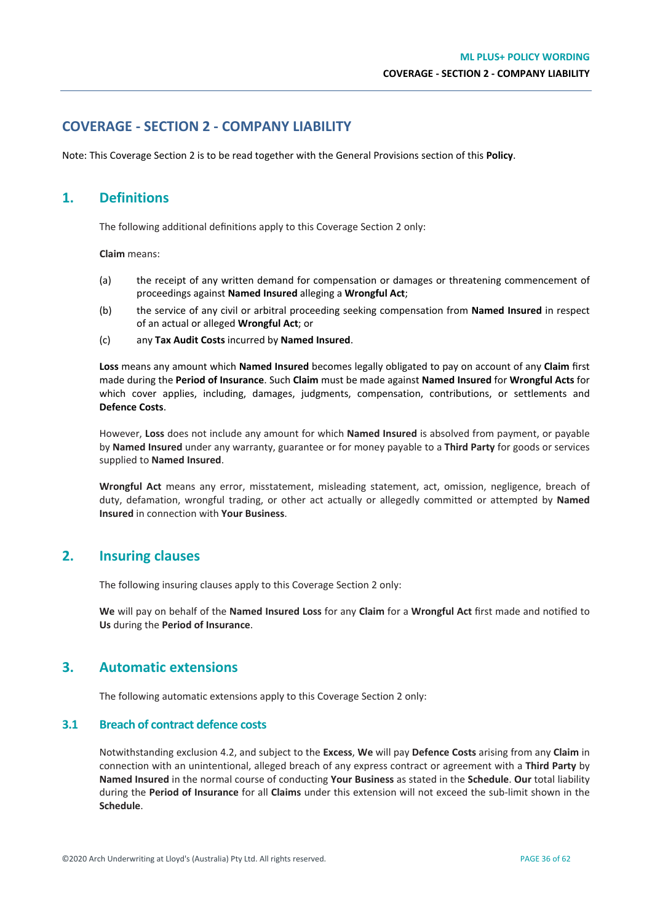### <span id="page-40-0"></span>**COVERAGE - SECTION 2 - COMPANY LIABILITY**

<span id="page-40-1"></span>Note: This Coverage Section 2 is to be read together with the General Provisions section of this **Policy**.

### **1. Definitions**

The following additional definitions apply to this Coverage Section 2 only:

**Claim** means:

- (a) the receipt of any written demand for compensation or damages or threatening commencement of proceedings against **Named Insured** alleging a **Wrongful Act**;
- (b) the service of any civil or arbitral proceeding seeking compensation from **Named Insured** in respect of an actual or alleged **Wrongful Act**; or
- (c) any **Tax Audit Costs** incurred by **Named Insured**.

**Loss** means any amount which **Named Insured** becomes legally obligated to pay on account of any **Claim** first made during the **Period of Insurance**. Such **Claim** must be made against **Named Insured** for **Wrongful Acts** for which cover applies, including, damages, judgments, compensation, contributions, or settlements and **Defence Costs**.

However, **Loss** does not include any amount for which **Named Insured** is absolved from payment, or payable by **Named Insured** under any warranty, guarantee or for money payable to a **Third Party** for goods or services supplied to **Named Insured**.

**Wrongful Act** means any error, misstatement, misleading statement, act, omission, negligence, breach of duty, defamation, wrongful trading, or other act actually or allegedly committed or attempted by **Named Insured** in connection with **Your Business**.

### <span id="page-40-2"></span>**2. Insuring clauses**

The following insuring clauses apply to this Coverage Section 2 only:

**We** will pay on behalf of the **Named Insured Loss** for any **Claim** for a **Wrongful Act** first made and notified to **Us** during the **Period of Insurance**.

### <span id="page-40-3"></span>**3. Automatic extensions**

The following automatic extensions apply to this Coverage Section 2 only:

### <span id="page-40-4"></span>**3.1 Breach of contract defence costs**

Notwithstanding exclusion 4.2, and subject to the **Excess**, **We** will pay **Defence Costs** arising from any **Claim** in connection with an unintentional, alleged breach of any express contract or agreement with a **Third Party** by **Named Insured** in the normal course of conducting **Your Business** as stated in the **Schedule**. **Our** total liability during the **Period of Insurance** for all **Claims** under this extension will not exceed the sub-limit shown in the **Schedule**.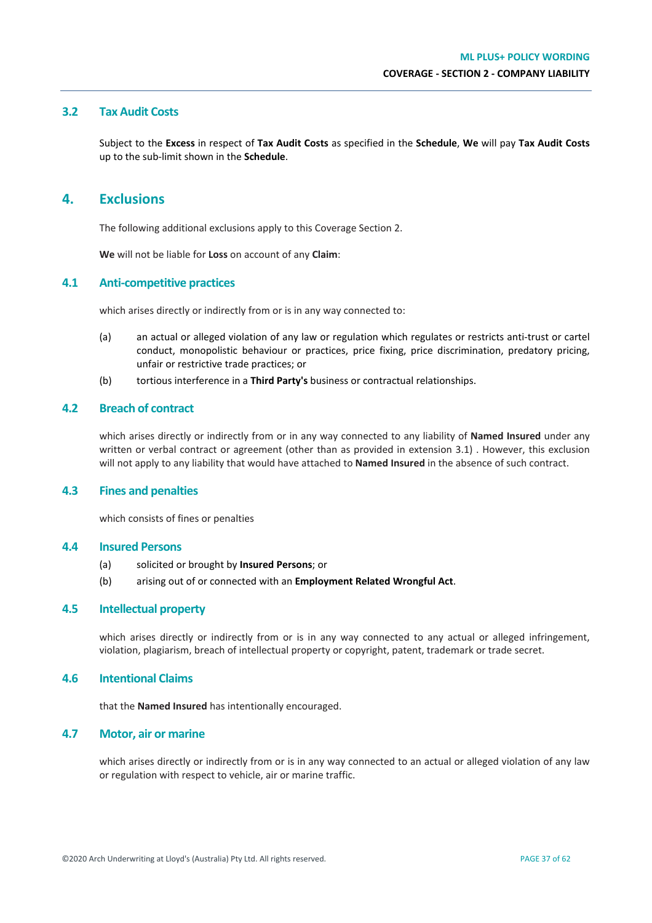### **3.2 Tax Audit Costs**

Subject to the **Excess** in respect of **Tax Audit Costs** as specified in the **Schedule**, **We** will pay **Tax Audit Costs** up to the sub-limit shown in the **Schedule**.

### <span id="page-41-0"></span>**4. Exclusions**

The following additional exclusions apply to this Coverage Section 2.

**We** will not be liable for **Loss** on account of any **Claim**:

### **4.1 Anti-competitive practices**

which arises directly or indirectly from or is in any way connected to:

- (a) an actual or alleged violation of any law or regulation which regulates or restricts anti-trust or cartel conduct, monopolistic behaviour or practices, price fixing, price discrimination, predatory pricing, unfair or restrictive trade practices; or
- (b) tortious interference in a **Third Party's** business or contractual relationships.

#### **4.2 Breach of contract**

which arises directly or indirectly from or in any way connected to any liability of **Named Insured** under any written or verbal contract or agreement (other than as provided in extension [3.1](#page-40-4)) . However, this exclusion will not apply to any liability that would have attached to **Named Insured** in the absence of such contract.

#### **4.3 Fines and penalties**

which consists of fines or penalties

### **4.4 Insured Persons**

- (a) solicited or brought by **Insured Persons**; or
- (b) arising out of or connected with an **Employment Related Wrongful Act**.

#### **4.5 Intellectual property**

which arises directly or indirectly from or is in any way connected to any actual or alleged infringement, violation, plagiarism, breach of intellectual property or copyright, patent, trademark or trade secret.

### **4.6 Intentional Claims**

that the **Named Insured** has intentionally encouraged.

### **4.7 Motor, air or marine**

which arises directly or indirectly from or is in any way connected to an actual or alleged violation of any law or regulation with respect to vehicle, air or marine traffic.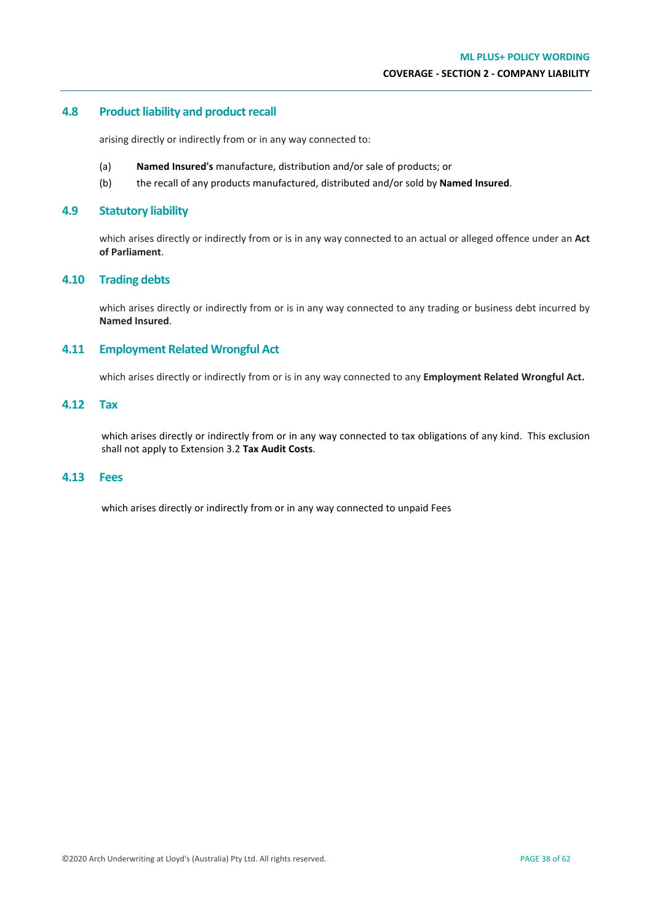### **4.8 Product liability and product recall**

arising directly or indirectly from or in any way connected to:

- (a) **Named Insured's** manufacture, distribution and/or sale of products; or
- (b) the recall of any products manufactured, distributed and/or sold by **Named Insured**.

### **4.9 Statutory liability**

which arises directly or indirectly from or is in any way connected to an actual or alleged offence under an **Act of Parliament**.

#### **4.10 Trading debts**

which arises directly or indirectly from or is in any way connected to any trading or business debt incurred by **Named Insured**.

### **4.11 Employment Related Wrongful Act**

which arises directly or indirectly from or is in any way connected to any **Employment Related Wrongful Act.**

### **4.12 Tax**

which arises directly or indirectly from or in any way connected to tax obligations of any kind. This exclusion shall not apply to Extension 3.2 **Tax Audit Costs**.

### **4.13 Fees**

which arises directly or indirectly from or in any way connected to unpaid Fees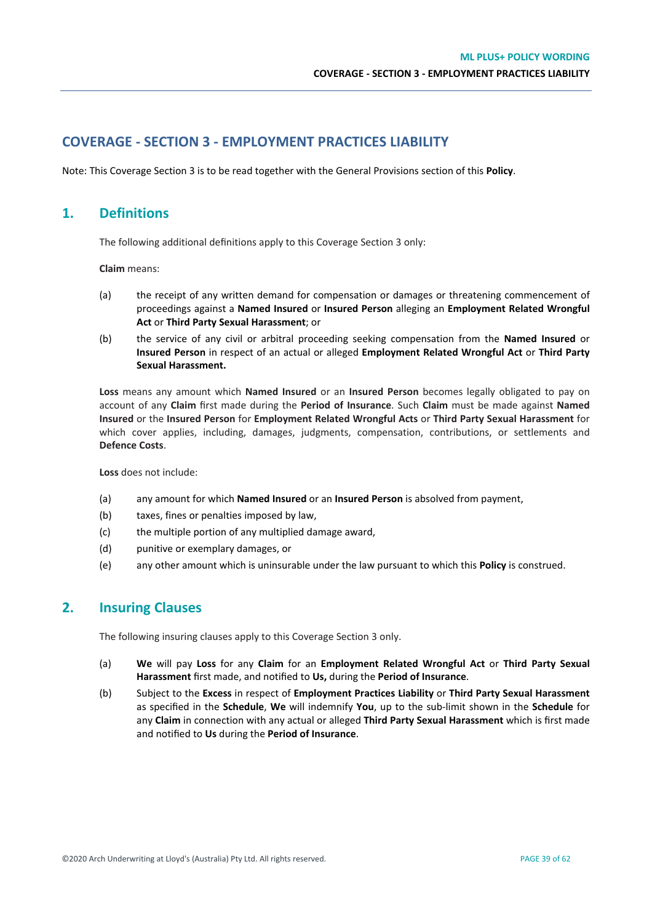# <span id="page-43-0"></span>**COVERAGE - SECTION 3 - EMPLOYMENT PRACTICES LIABILITY**

<span id="page-43-1"></span>Note: This Coverage Section 3 is to be read together with the General Provisions section of this **Policy**.

# **1. Definitions**

The following additional definitions apply to this Coverage Section 3 only:

**Claim** means:

- (a) the receipt of any written demand for compensation or damages or threatening commencement of proceedings against a **Named Insured** or **Insured Person** alleging an **Employment Related Wrongful Act** or **Third Party Sexual Harassment**; or
- (b) the service of any civil or arbitral proceeding seeking compensation from the **Named Insured** or **Insured Person** in respect of an actual or alleged **Employment Related Wrongful Act** or **Third Party Sexual Harassment.**

**Loss** means any amount which **Named Insured** or an **Insured Person** becomes legally obligated to pay on account of any **Claim** first made during the **Period of Insurance**. Such **Claim** must be made against **Named Insured** or the **Insured Person** for **Employment Related Wrongful Acts** or **Third Party Sexual Harassment** for which cover applies, including, damages, judgments, compensation, contributions, or settlements and **Defence Costs**.

**Loss** does not include:

- (a) any amount for which **Named Insured** or an **Insured Person** is absolved from payment,
- (b) taxes, fines or penalties imposed by law,
- (c) the multiple portion of any multiplied damage award,
- (d) punitive or exemplary damages, or
- (e) any other amount which is uninsurable under the law pursuant to which this **Policy** is construed.

### <span id="page-43-2"></span>**2. Insuring Clauses**

The following insuring clauses apply to this Coverage Section 3 only.

- (a) **We** will pay **Loss** for any **Claim** for an **Employment Related Wrongful Act** or **Third Party Sexual Harassment** first made, and notified to **Us,** during the **Period of Insurance**.
- (b) Subject to the **Excess** in respect of **Employment Practices Liability** or **Third Party Sexual Harassment** as specified in the **Schedule**, **We** will indemnify **You**, up to the sub-limit shown in the **Schedule** for any **Claim** in connection with any actual or alleged **Third Party Sexual Harassment** which is first made and notified to **Us** during the **Period of Insurance**.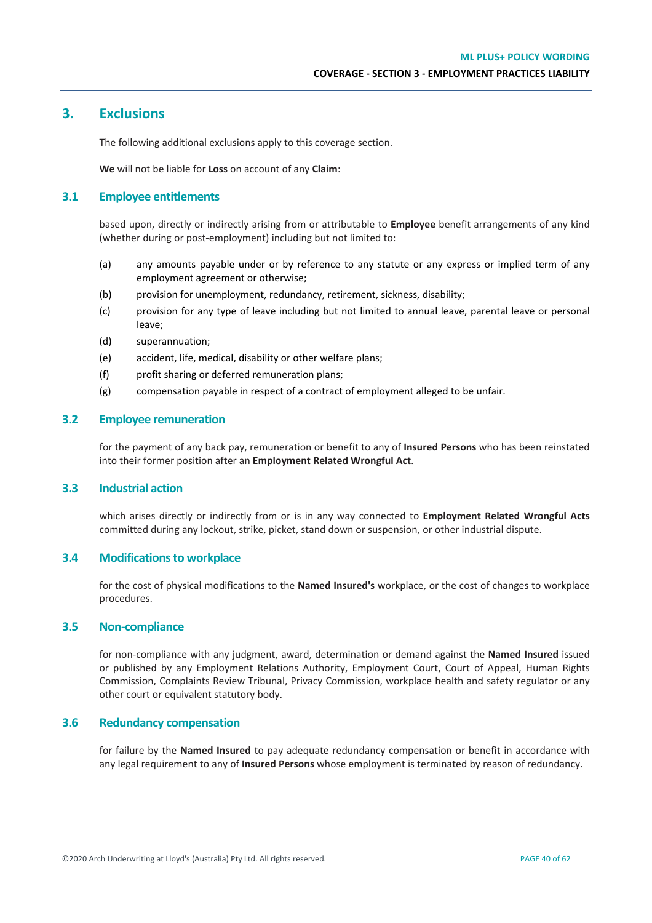# <span id="page-44-0"></span>**3. Exclusions**

The following additional exclusions apply to this coverage section.

**We** will not be liable for **Loss** on account of any **Claim**:

### **3.1 Employee entitlements**

based upon, directly or indirectly arising from or attributable to **Employee** benefit arrangements of any kind (whether during or post-employment) including but not limited to:

- (a) any amounts payable under or by reference to any statute or any express or implied term of any employment agreement or otherwise;
- (b) provision for unemployment, redundancy, retirement, sickness, disability;
- (c) provision for any type of leave including but not limited to annual leave, parental leave or personal leave;
- (d) superannuation;
- (e) accident, life, medical, disability or other welfare plans;
- (f) profit sharing or deferred remuneration plans;
- (g) compensation payable in respect of a contract of employment alleged to be unfair.

#### **3.2 Employee remuneration**

for the payment of any back pay, remuneration or benefit to any of **Insured Persons** who has been reinstated into their former position after an **Employment Related Wrongful Act**.

### **3.3 Industrial action**

which arises directly or indirectly from or is in any way connected to **Employment Related Wrongful Acts** committed during any lockout, strike, picket, stand down or suspension, or other industrial dispute.

### **3.4 Modificationsto workplace**

for the cost of physical modifications to the **Named Insured's** workplace, or the cost of changes to workplace procedures.

#### **3.5 Non-compliance**

for non-compliance with any judgment, award, determination or demand against the **Named Insured** issued or published by any Employment Relations Authority, Employment Court, Court of Appeal, Human Rights Commission, Complaints Review Tribunal, Privacy Commission, workplace health and safety regulator or any other court or equivalent statutory body.

#### **3.6 Redundancy compensation**

for failure by the **Named Insured** to pay adequate redundancy compensation or benefit in accordance with any legal requirement to any of **Insured Persons** whose employment is terminated by reason of redundancy.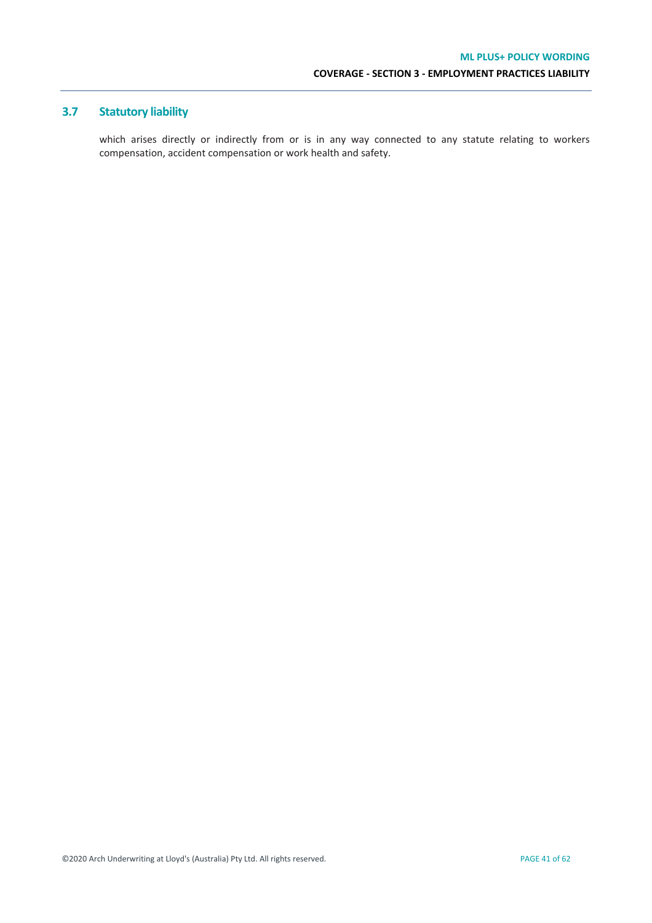### **3.7 Statutory liability**

which arises directly or indirectly from or is in any way connected to any statute relating to workers compensation, accident compensation or work health and safety.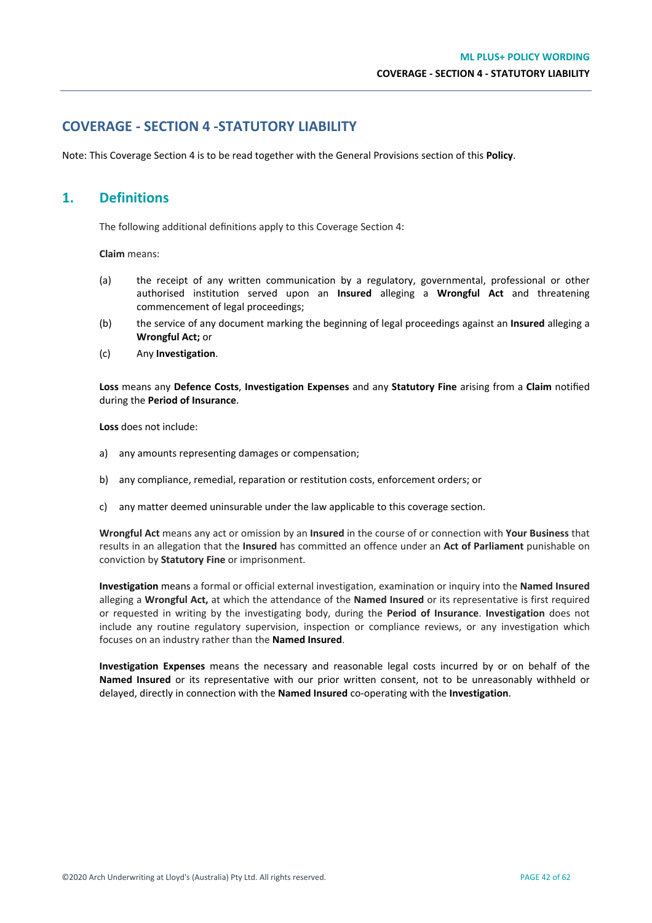# <span id="page-46-0"></span>**COVERAGE - SECTION 4 -STATUTORY LIABILITY**

<span id="page-46-1"></span>Note: This Coverage Section 4 is to be read together with the General Provisions section of this **Policy**.

### **1. Definitions**

The following additional definitions apply to this Coverage Section 4:

**Claim** means:

- (a) the receipt of any written communication by a regulatory, governmental, professional or other authorised institution served upon an **Insured** alleging a **Wrongful Act** and threatening commencement of legal proceedings;
- (b) the service of any document marking the beginning of legal proceedings against an **Insured** alleging a **Wrongful Act;** or
- (c) Any **Investigation**.

**Loss** means any **Defence Costs**, **Investigation Expenses** and any **Statutory Fine** arising from a **Claim** notified during the **Period of Insurance**.

**Loss** does not include:

- a) any amounts representing damages or compensation;
- b) any compliance, remedial, reparation or restitution costs, enforcement orders; or
- c) any matter deemed uninsurable under the law applicable to this coverage section.

**Wrongful Act** means any act or omission by an **Insured** in the course of or connection with **Your Business** that results in an allegation that the **Insured** has committed an offence under an **Act of Parliament** punishable on conviction by **Statutory Fine** or imprisonment.

**Investigation** means a formal or official external investigation, examination or inquiry into the **Named Insured** alleging a **Wrongful Act,** at which the attendance of the **Named Insured** or its representative is first required or requested in writing by the investigating body, during the **Period of Insurance**. **Investigation** does not include any routine regulatory supervision, inspection or compliance reviews, or any investigation which focuses on an industry rather than the **Named Insured**.

**Investigation Expenses** means the necessary and reasonable legal costs incurred by or on behalf of the **Named Insured** or its representative with our prior written consent, not to be unreasonably withheld or delayed, directly in connection with the **Named Insured** co-operating with the **Investigation**.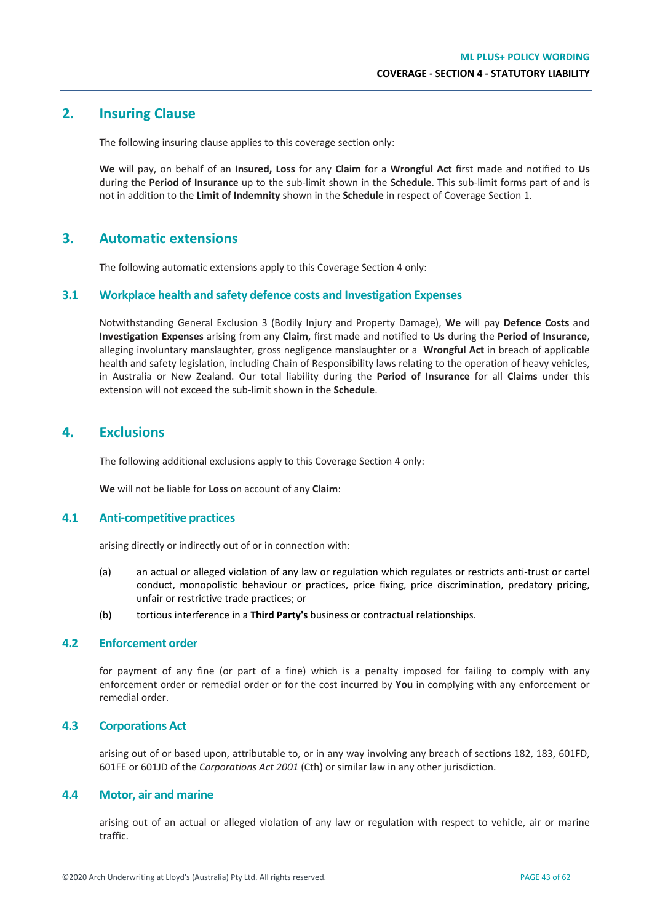# <span id="page-47-0"></span>**2. Insuring Clause**

The following insuring clause applies to this coverage section only:

**We** will pay, on behalf of an **Insured, Loss** for any **Claim** for a **Wrongful Act** first made and notified to **Us** during the **Period of Insurance** up to the sub-limit shown in the **Schedule**. This sub-limit forms part of and is not in addition to the **Limit of Indemnity** shown in the **Schedule** in respect of Coverage Section 1.

# <span id="page-47-1"></span>**3. Automatic extensions**

The following automatic extensions apply to this Coverage Section 4 only:

#### **3.1 Workplace health and safety defence costs and Investigation Expenses**

Notwithstanding General Exclusion 3 (Bodily Injury and Property Damage), **We** will pay **Defence Costs** and **Investigation Expenses** arising from any **Claim**, first made and notified to **Us** during the **Period of Insurance**, alleging involuntary manslaughter, gross negligence manslaughter or a **Wrongful Act** in breach of applicable health and safety legislation, including Chain of Responsibility laws relating to the operation of heavy vehicles, in Australia or New Zealand. Our total liability during the **Period of Insurance** for all **Claims** under this extension will not exceed the sub-limit shown in the **Schedule**.

### <span id="page-47-2"></span>**4. Exclusions**

The following additional exclusions apply to this Coverage Section 4 only:

**We** will not be liable for **Loss** on account of any **Claim**:

#### **4.1 Anti-competitive practices**

arising directly or indirectly out of or in connection with:

- (a) an actual or alleged violation of any law or regulation which regulates or restricts anti-trust or cartel conduct, monopolistic behaviour or practices, price fixing, price discrimination, predatory pricing, unfair or restrictive trade practices; or
- (b) tortious interference in a **Third Party's** business or contractual relationships.

#### **4.2 Enforcement order**

for payment of any fine (or part of a fine) which is a penalty imposed for failing to comply with any enforcement order or remedial order or for the cost incurred by **You** in complying with any enforcement or remedial order.

### **4.3 Corporations Act**

arising out of or based upon, attributable to, or in any way involving any breach of sections 182, 183, 601FD, 601FE or 601JD of the *Corporations Act 2001* (Cth) or similar law in any other jurisdiction.

#### **4.4 Motor, air and marine**

arising out of an actual or alleged violation of any law or regulation with respect to vehicle, air or marine traffic.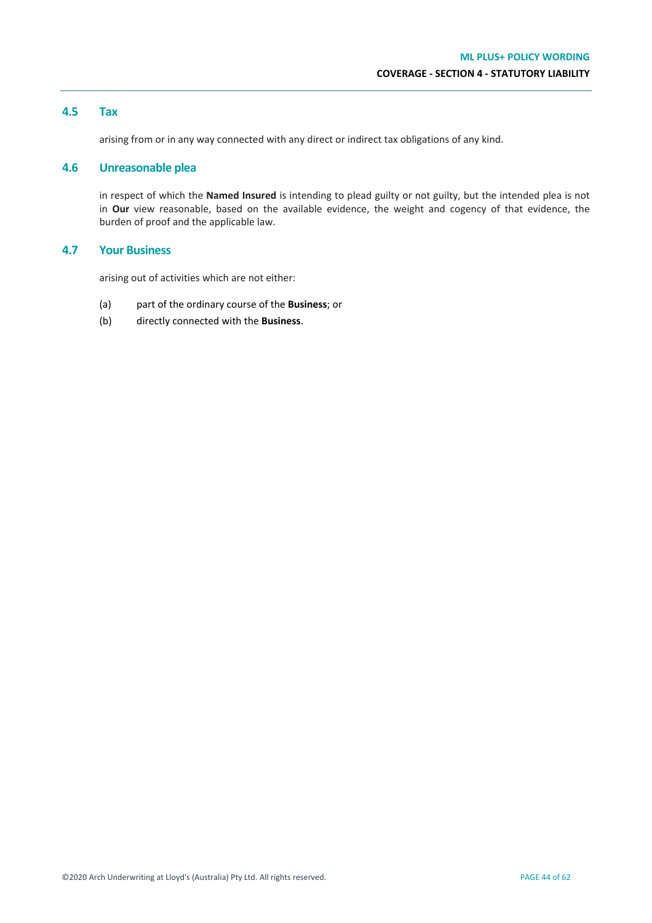### **4.5 Tax**

arising from or in any way connected with any direct or indirect tax obligations of any kind.

### **4.6 Unreasonable plea**

in respect of which the **Named Insured** is intending to plead guilty or not guilty, but the intended plea is not in **Our** view reasonable, based on the available evidence, the weight and cogency of that evidence, the burden of proof and the applicable law.

### **4.7 Your Business**

arising out of activities which are not either:

- (a) part of the ordinary course of the **Business**; or
- (b) directly connected with the **Business**.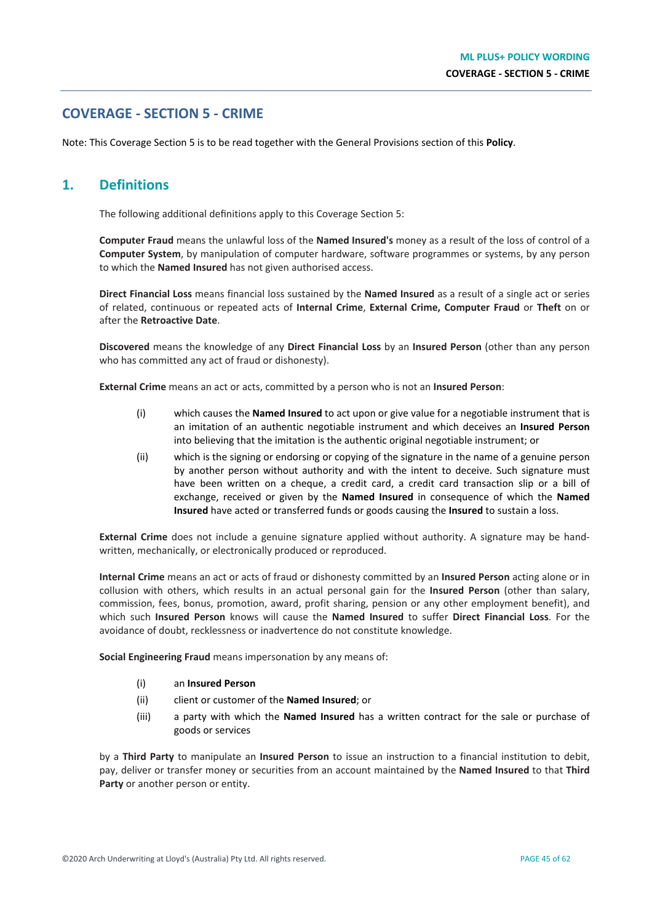# <span id="page-49-0"></span>**COVERAGE - SECTION 5 - CRIME**

<span id="page-49-1"></span>Note: This Coverage Section 5 is to be read together with the General Provisions section of this **Policy**.

# **1. Definitions**

The following additional definitions apply to this Coverage Section 5:

**Computer Fraud** means the unlawful loss of the **Named Insured's** money as a result of the loss of control of a **Computer System**, by manipulation of computer hardware, software programmes or systems, by any person to which the **Named Insured** has not given authorised access.

**Direct Financial Loss** means financial loss sustained by the **Named Insured** as a result of a single act or series of related, continuous or repeated acts of **Internal Crime**, **External Crime, Computer Fraud** or **Theft** on or after the **Retroactive Date**.

**Discovered** means the knowledge of any **Direct Financial Loss** by an **Insured Person** (other than any person who has committed any act of fraud or dishonesty).

**External Crime** means an act or acts, committed by a person who is not an **Insured Person**:

- (i) which causes the **Named Insured** to act upon or give value for a negotiable instrument that is an imitation of an authentic negotiable instrument and which deceives an **Insured Person** into believing that the imitation is the authentic original negotiable instrument; or
- (ii) which is the signing or endorsing or copying of the signature in the name of a genuine person by another person without authority and with the intent to deceive. Such signature must have been written on a cheque, a credit card, a credit card transaction slip or a bill of exchange, received or given by the **Named Insured** in consequence of which the **Named Insured** have acted or transferred funds or goods causing the **Insured** to sustain a loss.

**External Crime** does not include a genuine signature applied without authority. A signature may be handwritten, mechanically, or electronically produced or reproduced.

**Internal Crime** means an act or acts of fraud or dishonesty committed by an **Insured Person** acting alone or in collusion with others, which results in an actual personal gain for the **Insured Person** (other than salary, commission, fees, bonus, promotion, award, profit sharing, pension or any other employment benefit), and which such **Insured Person** knows will cause the **Named Insured** to suffer **Direct Financial Loss**. For the avoidance of doubt, recklessness or inadvertence do not constitute knowledge.

**Social Engineering Fraud** means impersonation by any means of:

- (i) an **Insured Person**
- (ii) client or customer of the **Named Insured**; or
- (iii) a party with which the **Named Insured** has a written contract for the sale or purchase of goods or services

by a **Third Party** to manipulate an **Insured Person** to issue an instruction to a financial institution to debit, pay, deliver or transfer money or securities from an account maintained by the **Named Insured** to that **Third Party** or another person or entity.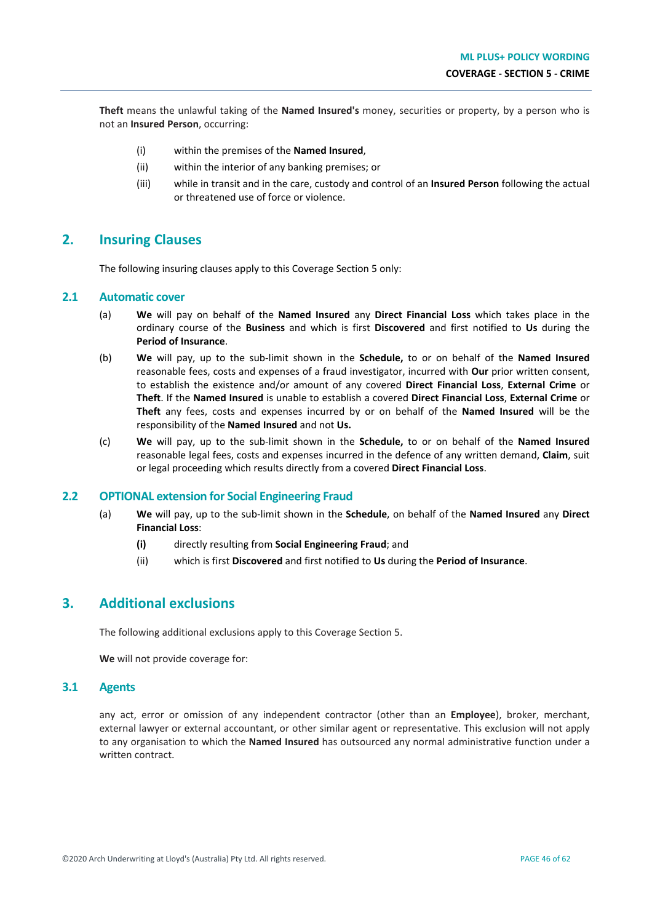**Theft** means the unlawful taking of the **Named Insured's** money, securities or property, by a person who is not an **Insured Person**, occurring:

- (i) within the premises of the **Named Insured**,
- (ii) within the interior of any banking premises; or
- (iii) while in transit and in the care, custody and control of an **Insured Person** following the actual or threatened use of force or violence.

# <span id="page-50-0"></span>**2. Insuring Clauses**

The following insuring clauses apply to this Coverage Section 5 only:

#### **2.1 Automatic cover**

- (a) **We** will pay on behalf of the **Named Insured** any **Direct Financial Loss** which takes place in the ordinary course of the **Business** and which is first **Discovered** and first notified to **Us** during the **Period of Insurance**.
- (b) **We** will pay, up to the sub-limit shown in the **Schedule,** to or on behalf of the **Named Insured** reasonable fees, costs and expenses of a fraud investigator, incurred with **Our** prior written consent, to establish the existence and/or amount of any covered **Direct Financial Loss**, **External Crime** or **Theft**. If the **Named Insured** is unable to establish a covered **Direct Financial Loss**, **External Crime** or **Theft** any fees, costs and expenses incurred by or on behalf of the **Named Insured** will be the responsibility of the **Named Insured** and not **Us.**
- (c) **We** will pay, up to the sub-limit shown in the **Schedule,** to or on behalf of the **Named Insured** reasonable legal fees, costs and expenses incurred in the defence of any written demand, **Claim**, suit or legal proceeding which results directly from a covered **Direct Financial Loss**.

#### **2.2 OPTIONAL extension for Social Engineering Fraud**

- (a) **We** will pay, up to the sub-limit shown in the **Schedule**, on behalf of the **Named Insured** any **Direct Financial Loss**:
	- **(i)** directly resulting from **Social Engineering Fraud**; and
	- (ii) which is first **Discovered** and first notified to **Us** during the **Period of Insurance**.

### <span id="page-50-1"></span>**3. Additional exclusions**

The following additional exclusions apply to this Coverage Section 5.

**We** will not provide coverage for:

#### **3.1 Agents**

any act, error or omission of any independent contractor (other than an **Employee**), broker, merchant, external lawyer or external accountant, or other similar agent or representative. This exclusion will not apply to any organisation to which the **Named Insured** has outsourced any normal administrative function under a written contract.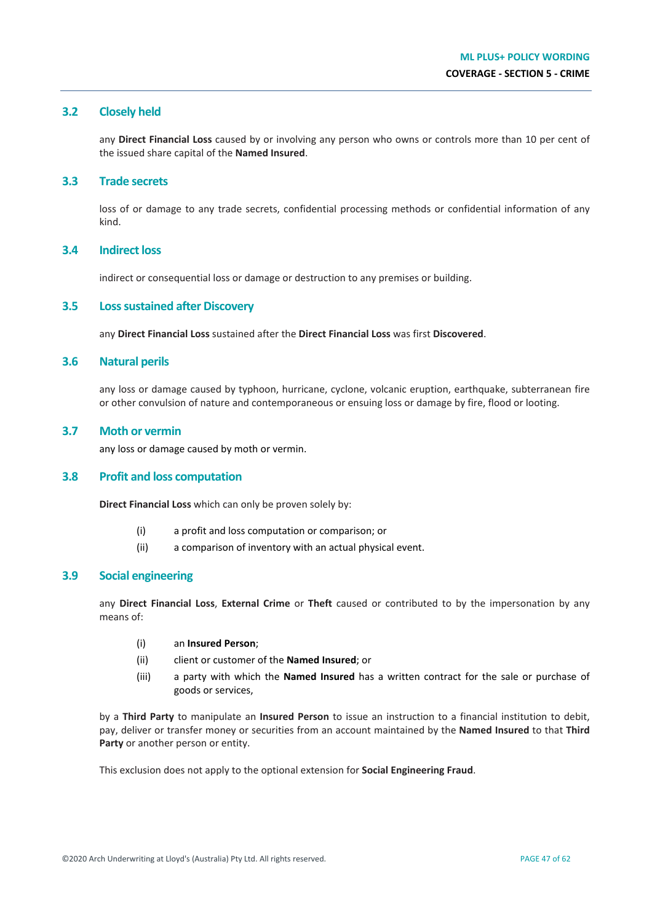### **3.2 Closely held**

any **Direct Financial Loss** caused by or involving any person who owns or controls more than 10 per cent of the issued share capital of the **Named Insured**.

#### **3.3 Trade secrets**

loss of or damage to any trade secrets, confidential processing methods or confidential information of any kind.

### **3.4 Indirect loss**

indirect or consequential loss or damage or destruction to any premises or building.

### **3.5 Losssustained after Discovery**

any **Direct Financial Loss** sustained after the **Direct Financial Loss** was first **Discovered**.

#### **3.6 Natural perils**

any loss or damage caused by typhoon, hurricane, cyclone, volcanic eruption, earthquake, subterranean fire or other convulsion of nature and contemporaneous or ensuing loss or damage by fire, flood or looting.

#### **3.7 Moth or vermin**

any loss or damage caused by moth or vermin.

#### **3.8 Profit and loss computation**

**Direct Financial Loss** which can only be proven solely by:

- (i) a profit and loss computation or comparison; or
- (ii) a comparison of inventory with an actual physical event.

#### **3.9 Social engineering**

any **Direct Financial Loss**, **External Crime** or **Theft** caused or contributed to by the impersonation by any means of:

- (i) an **Insured Person**;
- (ii) client or customer of the **Named Insured**; or
- (iii) a party with which the **Named Insured** has a written contract for the sale or purchase of goods or services,

by a **Third Party** to manipulate an **Insured Person** to issue an instruction to a financial institution to debit, pay, deliver or transfer money or securities from an account maintained by the **Named Insured** to that **Third Party** or another person or entity.

This exclusion does not apply to the optional extension for **Social Engineering Fraud**.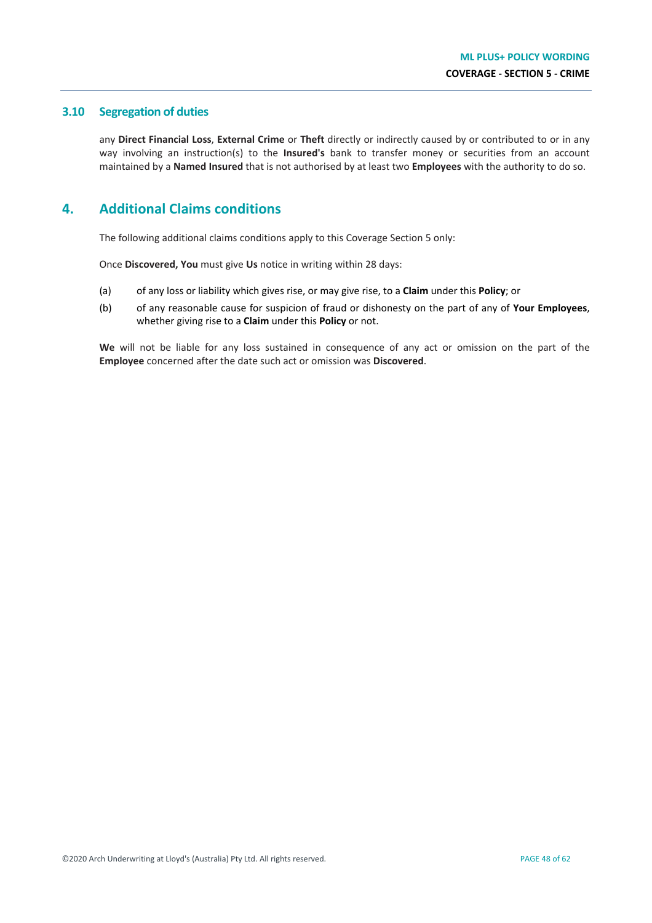### **3.10 Segregation of duties**

any **Direct Financial Loss**, **External Crime** or **Theft** directly or indirectly caused by or contributed to or in any way involving an instruction(s) to the **Insured's** bank to transfer money or securities from an account maintained by a **Named Insured** that is not authorised by at least two **Employees** with the authority to do so.

# <span id="page-52-0"></span>**4. Additional Claims conditions**

The following additional claims conditions apply to this Coverage Section 5 only:

Once **Discovered, You** must give **Us** notice in writing within 28 days:

- (a) of any loss or liability which gives rise, or may give rise, to a **Claim** under this **Policy**; or
- (b) of any reasonable cause for suspicion of fraud or dishonesty on the part of any of **Your Employees**, whether giving rise to a **Claim** under this **Policy** or not.

**We** will not be liable for any loss sustained in consequence of any act or omission on the part of the **Employee** concerned after the date such act or omission was **Discovered**.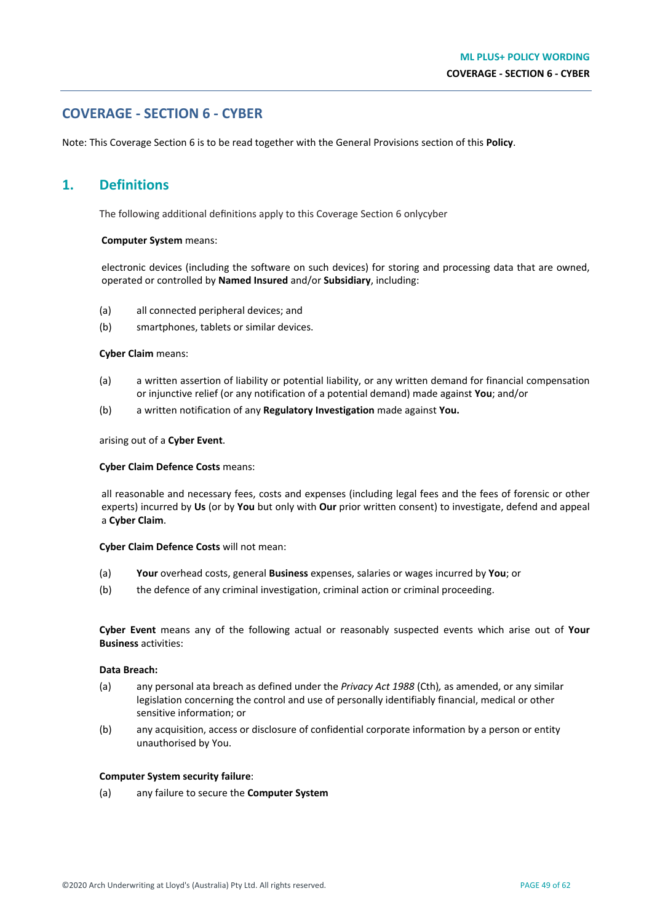# <span id="page-53-0"></span>**COVERAGE - SECTION 6 - CYBER**

<span id="page-53-1"></span>Note: This Coverage Section 6 is to be read together with the General Provisions section of this **Policy**.

# **1. Definitions**

The following additional definitions apply to this Coverage Section 6 onlycyber

#### **Computer System** means:

electronic devices (including the software on such devices) for storing and processing data that are owned, operated or controlled by **Named Insured** and/or **Subsidiary**, including:

- (a) all connected peripheral devices; and
- (b) smartphones, tablets or similar devices.

#### **Cyber Claim** means:

- (a) a written assertion of liability or potential liability, or any written demand for financial compensation or injunctive relief (or any notification of a potential demand) made against **You**; and/or
- (b) a written notification of any **Regulatory Investigation** made against **You.**

#### arising out of a **Cyber Event**.

#### **Cyber Claim Defence Costs** means:

all reasonable and necessary fees, costs and expenses (including legal fees and the fees of forensic or other experts) incurred by **Us** (or by **You** but only with **Our** prior written consent) to investigate, defend and appeal a **Cyber Claim**.

#### **Cyber Claim Defence Costs** will not mean:

- (a) **Your** overhead costs, general **Business** expenses, salaries or wages incurred by **You**; or
- (b) the defence of any criminal investigation, criminal action or criminal proceeding.

**Cyber Event** means any of the following actual or reasonably suspected events which arise out of **Your Business** activities:

#### **Data Breach:**

- (a) any personal ata breach as defined under the *Privacy Act 1988* (Cth)*,* as amended, or any similar legislation concerning the control and use of personally identifiably financial, medical or other sensitive information; or
- (b) any acquisition, access or disclosure of confidential corporate information by a person or entity unauthorised by You.

#### **Computer System security failure**:

(a) any failure to secure the **Computer System**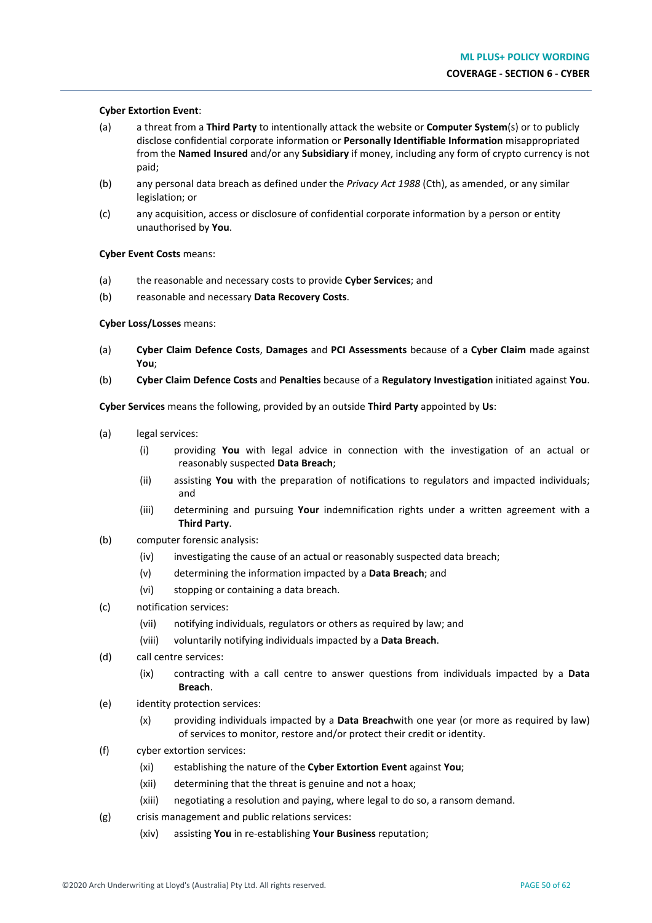#### **Cyber Extortion Event**:

- (a) a threat from a **Third Party** to intentionally attack the website or **Computer System**(s) or to publicly disclose confidential corporate information or **Personally Identifiable Information** misappropriated from the **Named Insured** and/or any **Subsidiary** if money, including any form of crypto currency is not paid;
- (b) any personal data breach as defined under the *Privacy Act 1988* (Cth), as amended, or any similar legislation; or
- (c) any acquisition, access or disclosure of confidential corporate information by a person or entity unauthorised by **You**.

#### **Cyber Event Costs** means:

- (a) the reasonable and necessary costs to provide **Cyber Services**; and
- (b) reasonable and necessary **Data Recovery Costs**.

#### **Cyber Loss/Losses** means:

- (a) **Cyber Claim Defence Costs**, **Damages** and **PCI Assessments** because of a **Cyber Claim** made against **You**;
- (b) **Cyber Claim Defence Costs** and **Penalties** because of a **Regulatory Investigation** initiated against **You**.

**Cyber Services** means the following, provided by an outside **Third Party** appointed by **Us**:

- (a) legal services:
	- (i) providing **You** with legal advice in connection with the investigation of an actual or reasonably suspected **Data Breach**;
	- (ii) assisting **You** with the preparation of notifications to regulators and impacted individuals; and
	- (iii) determining and pursuing **Your** indemnification rights under a written agreement with a **Third Party**.
- (b) computer forensic analysis:
	- (iv) investigating the cause of an actual or reasonably suspected data breach;
	- (v) determining the information impacted by a **Data Breach**; and
	- (vi) stopping or containing a data breach.
- (c) notification services:
	- (vii) notifying individuals, regulators or others as required by law; and
	- (viii) voluntarily notifying individuals impacted by a **Data Breach**.
- (d) call centre services:
	- (ix) contracting with a call centre to answer questions from individuals impacted by a **Data Breach**.
- (e) identity protection services:
	- (x) providing individuals impacted by a **Data Breach**with one year (or more as required by law) of services to monitor, restore and/or protect their credit or identity.
- (f) cyber extortion services:
	- (xi) establishing the nature of the **Cyber Extortion Event** against **You**;
	- (xii) determining that the threat is genuine and not a hoax;
	- (xiii) negotiating a resolution and paying, where legal to do so, a ransom demand.
- (g) crisis management and public relations services:
	- (xiv) assisting **You** in re-establishing **Your Business** reputation;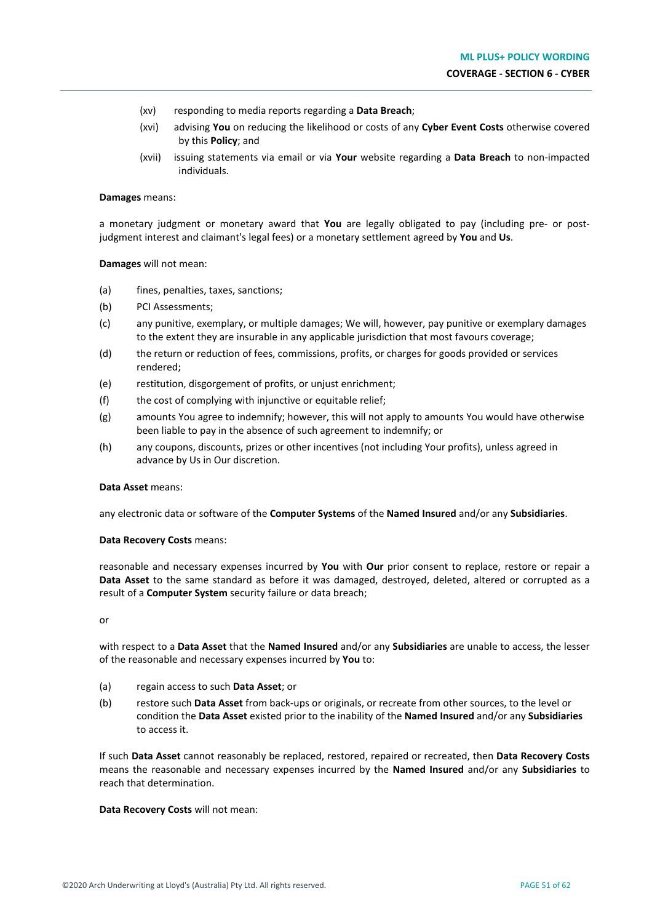- (xv) responding to media reports regarding a **Data Breach**;
- (xvi) advising **You** on reducing the likelihood or costs of any **Cyber Event Costs** otherwise covered by this **Policy**; and
- (xvii) issuing statements via email or via **Your** website regarding a **Data Breach** to non-impacted individuals.

#### **Damages** means:

a monetary judgment or monetary award that **You** are legally obligated to pay (including pre- or postjudgment interest and claimant's legal fees) or a monetary settlement agreed by **You** and **Us**.

**Damages** will not mean:

- (a) fines, penalties, taxes, sanctions;
- (b) PCI Assessments;
- (c) any punitive, exemplary, or multiple damages; We will, however, pay punitive or exemplary damages to the extent they are insurable in any applicable jurisdiction that most favours coverage;
- (d) the return or reduction of fees, commissions, profits, or charges for goods provided or services rendered;
- (e) restitution, disgorgement of profits, or unjust enrichment;
- (f) the cost of complying with injunctive or equitable relief:
- (g) amounts You agree to indemnify; however, this will not apply to amounts You would have otherwise been liable to pay in the absence of such agreement to indemnify; or
- (h) any coupons, discounts, prizes or other incentives (not including Your profits), unless agreed in advance by Us in Our discretion.

#### **Data Asset** means:

any electronic data or software of the **Computer Systems** of the **Named Insured** and/or any **Subsidiaries**.

#### **Data Recovery Costs** means:

reasonable and necessary expenses incurred by **You** with **Our** prior consent to replace, restore or repair a **Data Asset** to the same standard as before it was damaged, destroyed, deleted, altered or corrupted as a result of a **Computer System** security failure or data breach;

or

with respect to a **Data Asset** that the **Named Insured** and/or any **Subsidiaries** are unable to access, the lesser of the reasonable and necessary expenses incurred by **You** to:

- (a) regain access to such **Data Asset**; or
- (b) restore such **Data Asset** from back-ups or originals, or recreate from other sources, to the level or condition the **Data Asset** existed prior to the inability of the **Named Insured** and/or any **Subsidiaries** to access it.

If such **Data Asset** cannot reasonably be replaced, restored, repaired or recreated, then **Data Recovery Costs** means the reasonable and necessary expenses incurred by the **Named Insured** and/or any **Subsidiaries** to reach that determination.

#### **Data Recovery Costs** will not mean: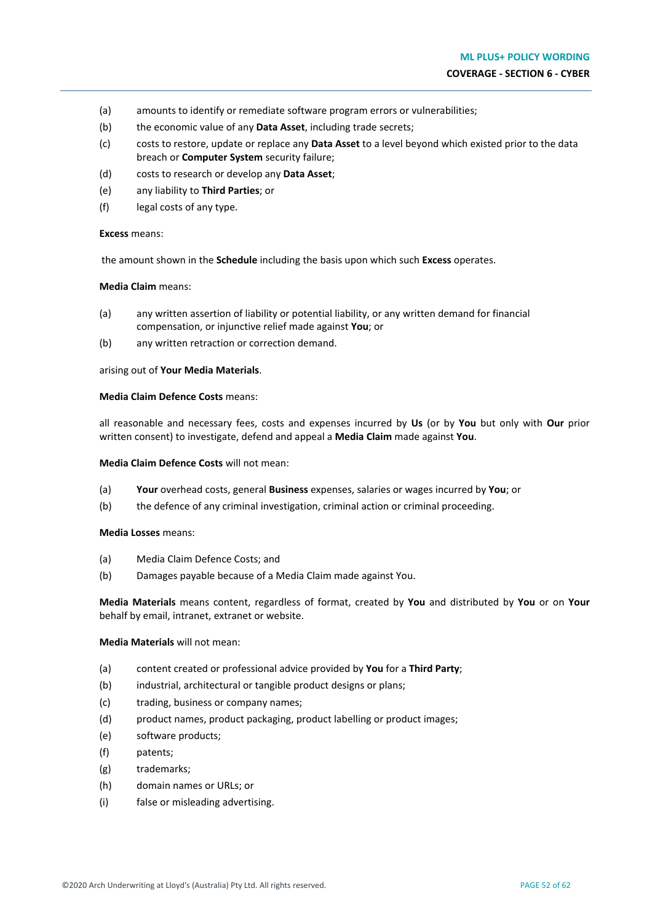- (a) amounts to identify or remediate software program errors or vulnerabilities;
- (b) the economic value of any **Data Asset**, including trade secrets;
- (c) costs to restore, update or replace any **Data Asset** to a level beyond which existed prior to the data breach or **Computer System** security failure;
- (d) costs to research or develop any **Data Asset**;
- (e) any liability to **Third Parties**; or
- (f) legal costs of any type.

#### **Excess** means:

the amount shown in the **Schedule** including the basis upon which such **Excess** operates.

#### **Media Claim** means:

- (a) any written assertion of liability or potential liability, or any written demand for financial compensation, or injunctive relief made against **You**; or
- (b) any written retraction or correction demand.

#### arising out of **Your Media Materials**.

#### **Media Claim Defence Costs** means:

all reasonable and necessary fees, costs and expenses incurred by **Us** (or by **You** but only with **Our** prior written consent) to investigate, defend and appeal a **Media Claim** made against **You**.

#### **Media Claim Defence Costs** will not mean:

- (a) **Your** overhead costs, general **Business** expenses, salaries or wages incurred by **You**; or
- (b) the defence of any criminal investigation, criminal action or criminal proceeding.

#### **Media Losses** means:

- (a) Media Claim Defence Costs; and
- (b) Damages payable because of a Media Claim made against You.

**Media Materials** means content, regardless of format, created by **You** and distributed by **You** or on **Your** behalf by email, intranet, extranet or website.

#### **Media Materials** will not mean:

- (a) content created or professional advice provided by **You** for a **Third Party**;
- (b) industrial, architectural or tangible product designs or plans;
- (c) trading, business or company names;
- (d) product names, product packaging, product labelling or product images;
- (e) software products;
- (f) patents;
- (g) trademarks;
- (h) domain names or URLs; or
- (i) false or misleading advertising.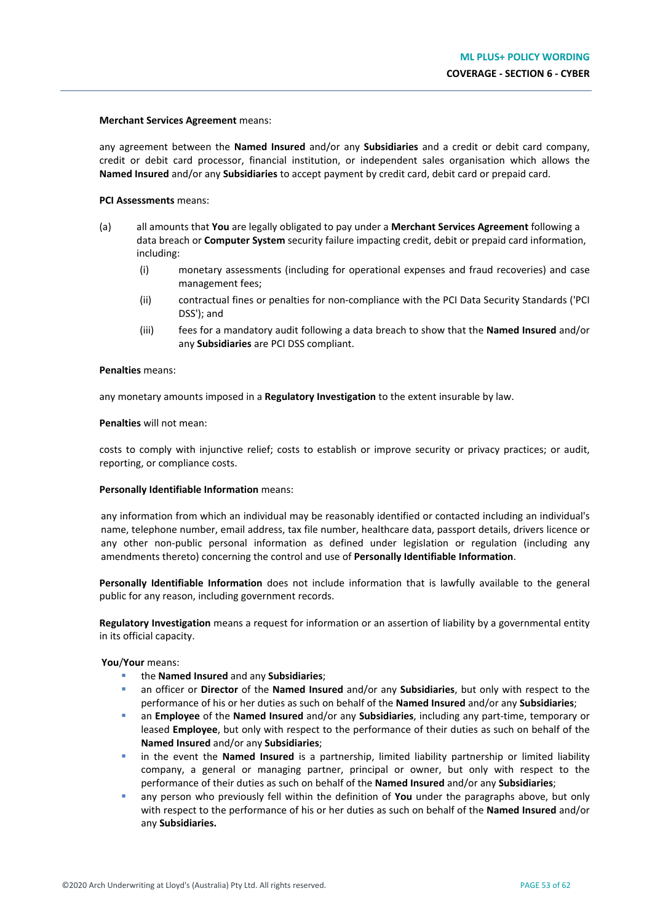#### **Merchant Services Agreement** means:

any agreement between the **Named Insured** and/or any **Subsidiaries** and a credit or debit card company, credit or debit card processor, financial institution, or independent sales organisation which allows the **Named Insured** and/or any **Subsidiaries** to accept payment by credit card, debit card or prepaid card.

#### **PCI Assessments** means:

- (a) all amounts that **You** are legally obligated to pay under a **Merchant Services Agreement** following a data breach or **Computer System** security failure impacting credit, debit or prepaid card information, including:
	- (i) monetary assessments (including for operational expenses and fraud recoveries) and case management fees;
	- (ii) contractual fines or penalties for non-compliance with the PCI Data Security Standards ('PCI DSS'); and
	- (iii) fees for a mandatory audit following a data breach to show that the **Named Insured** and/or any **Subsidiaries** are PCI DSS compliant.

#### **Penalties** means:

any monetary amounts imposed in a **Regulatory Investigation** to the extent insurable by law.

#### **Penalties** will not mean:

costs to comply with injunctive relief; costs to establish or improve security or privacy practices; or audit, reporting, or compliance costs.

#### **Personally Identifiable Information** means:

any information from which an individual may be reasonably identified or contacted including an individual's name, telephone number, email address, tax file number, healthcare data, passport details, drivers licence or any other non-public personal information as defined under legislation or regulation (including any amendments thereto) concerning the control and use of **Personally Identifiable Information**.

**Personally Identifiable Information** does not include information that is lawfully available to the general public for any reason, including government records.

**Regulatory Investigation** means a request for information or an assertion of liability by a governmental entity in its official capacity.

#### **You**/**Your** means:

- the **Named Insured** and any **Subsidiaries**;
- an officer or **Director** of the **Named Insured** and/or any **Subsidiaries**, but only with respect to the performance of his or her duties as such on behalf of the **Named Insured** and/or any **Subsidiaries**;
- an **Employee** of the **Named Insured** and/or any **Subsidiaries**, including any part-time, temporary or leased **Employee**, but only with respect to the performance of their duties as such on behalf of the **Named Insured** and/or any **Subsidiaries**;
- in the event the **Named Insured** is a partnership, limited liability partnership or limited liability company, a general or managing partner, principal or owner, but only with respect to the performance of their duties as such on behalf of the **Named Insured** and/or any **Subsidiaries**;
- any person who previously fell within the definition of **You** under the paragraphs above, but only with respect to the performance of his or her duties as such on behalf of the **Named Insured** and/or any **Subsidiaries.**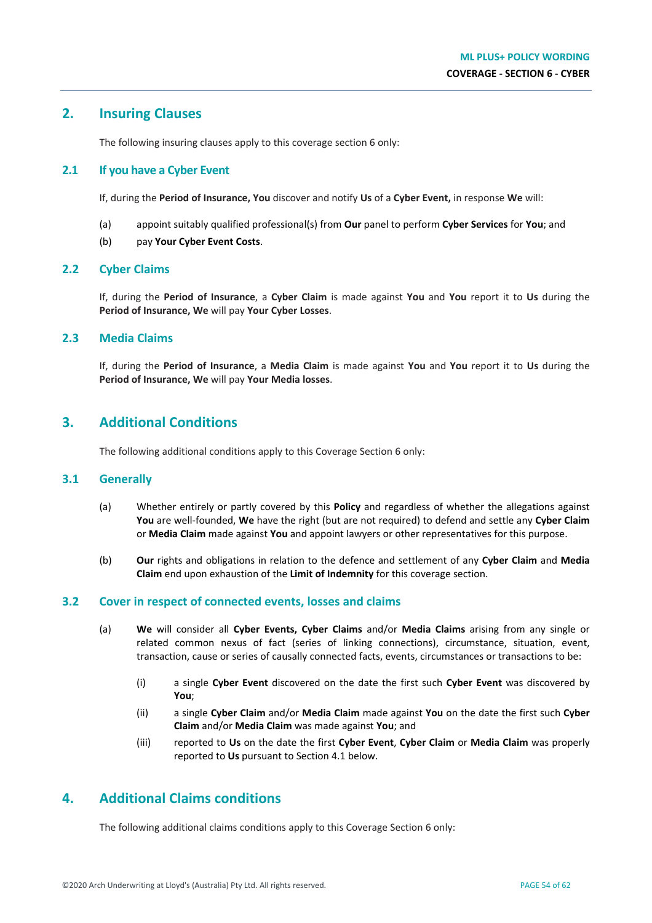# <span id="page-58-0"></span>**2. Insuring Clauses**

The following insuring clauses apply to this coverage section 6 only:

#### **2.1 If you have a Cyber Event**

If, during the **Period of Insurance, You** discover and notify **Us** of a **Cyber Event,** in response **We** will:

- (a) appoint suitably qualified professional(s) from **Our** panel to perform **Cyber Services** for **You**; and
- (b) pay **Your Cyber Event Costs**.

### **2.2 Cyber Claims**

If, during the **Period of Insurance**, a **Cyber Claim** is made against **You** and **You** report it to **Us** during the **Period of Insurance, We** will pay **Your Cyber Losses**.

### **2.3 Media Claims**

If, during the **Period of Insurance**, a **Media Claim** is made against **You** and **You** report it to **Us** during the **Period of Insurance, We** will pay **Your Media losses**.

# <span id="page-58-1"></span>**3. Additional Conditions**

The following additional conditions apply to this Coverage Section 6 only:

### **3.1 Generally**

- (a) Whether entirely or partly covered by this **Policy** and regardless of whether the allegations against **You** are well-founded, **We** have the right (but are not required) to defend and settle any **Cyber Claim** or **Media Claim** made against **You** and appoint lawyers or other representatives for this purpose.
- (b) **Our** rights and obligations in relation to the defence and settlement of any **Cyber Claim** and **Media Claim** end upon exhaustion of the **Limit of Indemnity** for this coverage section.

### **3.2 Cover in respect of connected events, losses and claims**

- (a) **We** will consider all **Cyber Events, Cyber Claims** and/or **Media Claims** arising from any single or related common nexus of fact (series of linking connections), circumstance, situation, event, transaction, cause or series of causally connected facts, events, circumstances or transactions to be:
	- (i) a single **Cyber Event** discovered on the date the first such **Cyber Event** was discovered by **You**;
	- (ii) a single **Cyber Claim** and/or **Media Claim** made against **You** on the date the first such **Cyber Claim** and/or **Media Claim** was made against **You**; and
	- (iii) reported to **Us** on the date the first **Cyber Event**, **Cyber Claim** or **Media Claim** was properly reported to **Us** pursuant to Section 4.1 below.

### <span id="page-58-2"></span>**4. Additional Claims conditions**

The following additional claims conditions apply to this Coverage Section 6 only: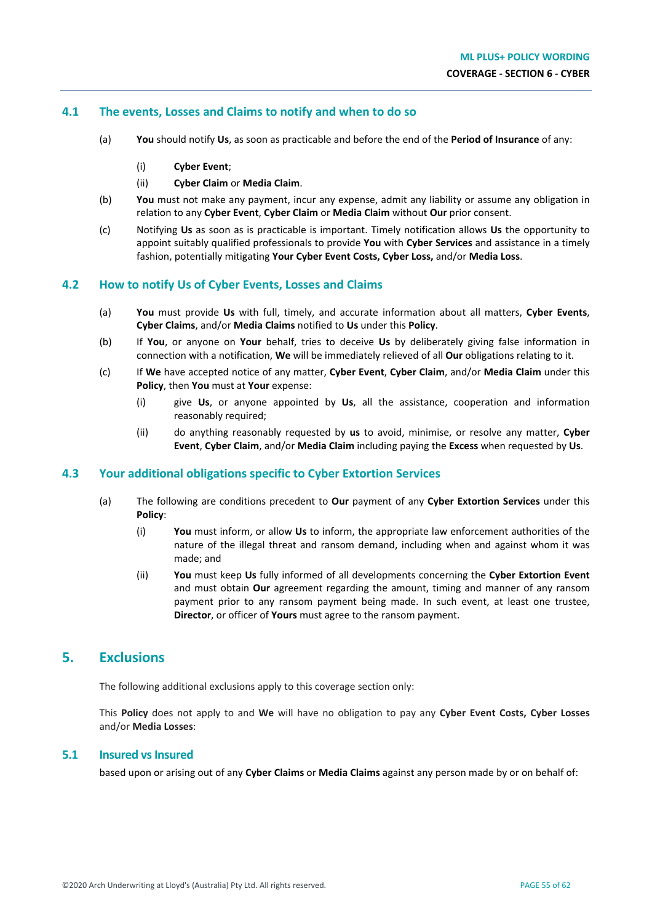### **4.1 The events, Losses and Claims to notify and when to do so**

- (a) **You** should notify **Us**, as soon as practicable and before the end of the **Period of Insurance** of any:
	- (i) **Cyber Event**;
	- (ii) **Cyber Claim** or **Media Claim**.
- (b) **You** must not make any payment, incur any expense, admit any liability or assume any obligation in relation to any **Cyber Event**, **Cyber Claim** or **Media Claim** without **Our** prior consent.
- (c) Notifying **Us** as soon as is practicable is important. Timely notification allows **Us** the opportunity to appoint suitably qualified professionals to provide **You** with **Cyber Services** and assistance in a timely fashion, potentially mitigating **Your Cyber Event Costs, Cyber Loss,** and/or **Media Loss**.

#### **4.2 How to notify Us of Cyber Events, Losses and Claims**

- (a) **You** must provide **Us** with full, timely, and accurate information about all matters, **Cyber Events**, **Cyber Claims**, and/or **Media Claims** notified to **Us** under this **Policy**.
- (b) If **You**, or anyone on **Your** behalf, tries to deceive **Us** by deliberately giving false information in connection with a notification, **We** will be immediately relieved of all **Our** obligations relating to it.
- (c) If **We** have accepted notice of any matter, **Cyber Event**, **Cyber Claim**, and/or **Media Claim** under this **Policy**, then **You** must at **Your** expense:
	- (i) give **Us**, or anyone appointed by **Us**, all the assistance, cooperation and information reasonably required;
	- (ii) do anything reasonably requested by **us** to avoid, minimise, or resolve any matter, **Cyber Event**, **Cyber Claim**, and/or **Media Claim** including paying the **Excess** when requested by **Us**.

#### **4.3 Your additional obligations specific to Cyber Extortion Services**

- (a) The following are conditions precedent to **Our** payment of any **Cyber Extortion Services** under this **Policy**:
	- (i) **You** must inform, or allow **Us** to inform, the appropriate law enforcement authorities of the nature of the illegal threat and ransom demand, including when and against whom it was made; and
	- (ii) **You** must keep **Us** fully informed of all developments concerning the **Cyber Extortion Event** and must obtain **Our** agreement regarding the amount, timing and manner of any ransom payment prior to any ransom payment being made. In such event, at least one trustee, **Director**, or officer of **Yours** must agree to the ransom payment.

### <span id="page-59-0"></span>**5. Exclusions**

The following additional exclusions apply to this coverage section only:

This **Policy** does not apply to and **We** will have no obligation to pay any **Cyber Event Costs, Cyber Losses** and/or **Media Losses**:

#### **5.1 Insured vsInsured**

based upon or arising out of any **Cyber Claims** or **Media Claims** against any person made by or on behalf of: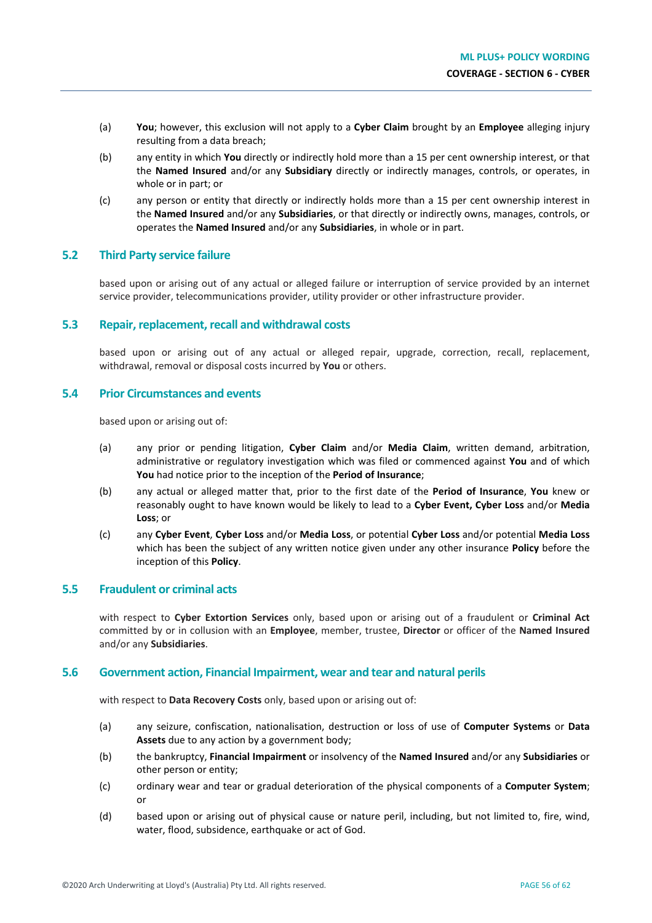- (a) **You**; however, this exclusion will not apply to a **Cyber Claim** brought by an **Employee** alleging injury resulting from a data breach;
- (b) any entity in which **You** directly or indirectly hold more than a 15 per cent ownership interest, or that the **Named Insured** and/or any **Subsidiary** directly or indirectly manages, controls, or operates, in whole or in part; or
- (c) any person or entity that directly or indirectly holds more than a 15 per cent ownership interest in the **Named Insured** and/or any **Subsidiaries**, or that directly or indirectly owns, manages, controls, or operates the **Named Insured** and/or any **Subsidiaries**, in whole or in part.

#### **5.2 Third Party service failure**

based upon or arising out of any actual or alleged failure or interruption of service provided by an internet service provider, telecommunications provider, utility provider or other infrastructure provider.

### **5.3 Repair,replacement,recall and withdrawal costs**

based upon or arising out of any actual or alleged repair, upgrade, correction, recall, replacement, withdrawal, removal or disposal costs incurred by **You** or others.

### **5.4 Prior Circumstances and events**

based upon or arising out of:

- (a) any prior or pending litigation, **Cyber Claim** and/or **Media Claim**, written demand, arbitration, administrative or regulatory investigation which was filed or commenced against **You** and of which **You** had notice prior to the inception of the **Period of Insurance**;
- (b) any actual or alleged matter that, prior to the first date of the **Period of Insurance**, **You** knew or reasonably ought to have known would be likely to lead to a **Cyber Event, Cyber Loss** and/or **Media Loss**; or
- (c) any **Cyber Event**, **Cyber Loss** and/or **Media Loss**, or potential **Cyber Loss** and/or potential **Media Loss** which has been the subject of any written notice given under any other insurance **Policy** before the inception of this **Policy**.

### **5.5 Fraudulent or criminal acts**

with respect to **Cyber Extortion Services** only, based upon or arising out of a fraudulent or **Criminal Act** committed by or in collusion with an **Employee**, member, trustee, **Director** or officer of the **Named Insured** and/or any **Subsidiaries**.

#### **5.6 Government action, Financial Impairment, wear and tear and natural perils**

with respect to **Data Recovery Costs** only, based upon or arising out of:

- (a) any seizure, confiscation, nationalisation, destruction or loss of use of **Computer Systems** or **Data Assets** due to any action by a government body;
- (b) the bankruptcy, **Financial Impairment** or insolvency of the **Named Insured** and/or any **Subsidiaries** or other person or entity;
- (c) ordinary wear and tear or gradual deterioration of the physical components of a **Computer System**; or
- (d) based upon or arising out of physical cause or nature peril, including, but not limited to, fire, wind, water, flood, subsidence, earthquake or act of God.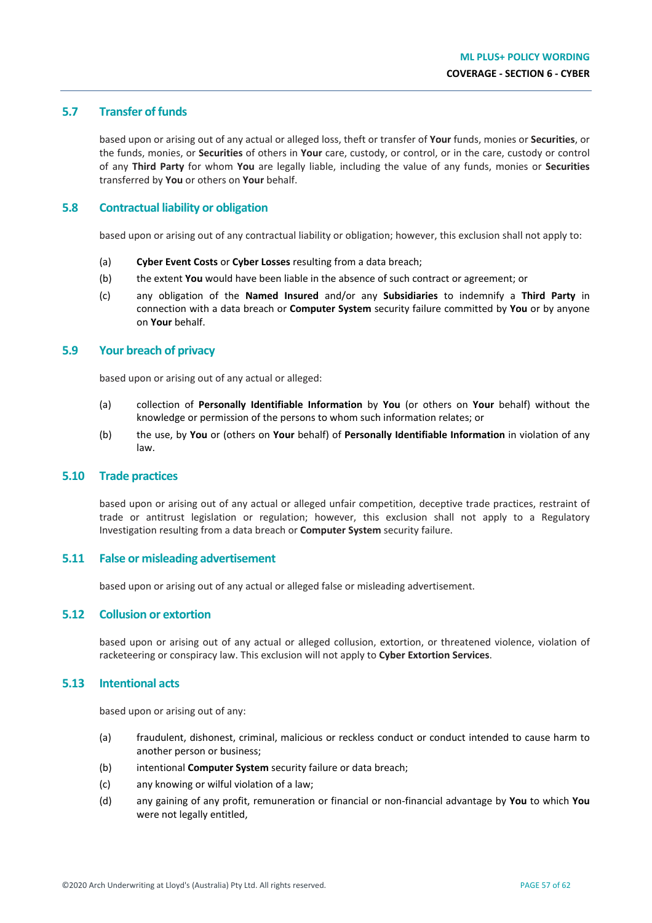### **5.7 Transfer of funds**

based upon or arising out of any actual or alleged loss, theft or transfer of **Your** funds, monies or **Securities**, or the funds, monies, or **Securities** of others in **Your** care, custody, or control, or in the care, custody or control of any **Third Party** for whom **You** are legally liable, including the value of any funds, monies or **Securities** transferred by **You** or others on **Your** behalf.

#### **5.8 Contractual liability or obligation**

based upon or arising out of any contractual liability or obligation; however, this exclusion shall not apply to:

- (a) **Cyber Event Costs** or **Cyber Losses** resulting from a data breach;
- (b) the extent **You** would have been liable in the absence of such contract or agreement; or
- (c) any obligation of the **Named Insured** and/or any **Subsidiaries** to indemnify a **Third Party** in connection with a data breach or **Computer System** security failure committed by **You** or by anyone on **Your** behalf.

#### **5.9 Your breach of privacy**

based upon or arising out of any actual or alleged:

- (a) collection of **Personally Identifiable Information** by **You** (or others on **Your** behalf) without the knowledge or permission of the persons to whom such information relates; or
- (b) the use, by **You** or (others on **Your** behalf) of **Personally Identifiable Information** in violation of any law.

#### **5.10 Trade practices**

based upon or arising out of any actual or alleged unfair competition, deceptive trade practices, restraint of trade or antitrust legislation or regulation; however, this exclusion shall not apply to a Regulatory Investigation resulting from a data breach or **Computer System** security failure.

#### **5.11 False or misleading advertisement**

based upon or arising out of any actual or alleged false or misleading advertisement.

#### **5.12 Collusion or extortion**

based upon or arising out of any actual or alleged collusion, extortion, or threatened violence, violation of racketeering or conspiracy law. This exclusion will not apply to **Cyber Extortion Services**.

### **5.13 Intentional acts**

based upon or arising out of any:

- (a) fraudulent, dishonest, criminal, malicious or reckless conduct or conduct intended to cause harm to another person or business;
- (b) intentional **Computer System** security failure or data breach;
- (c) any knowing or wilful violation of a law;
- (d) any gaining of any profit, remuneration or financial or non-financial advantage by **You** to which **You** were not legally entitled,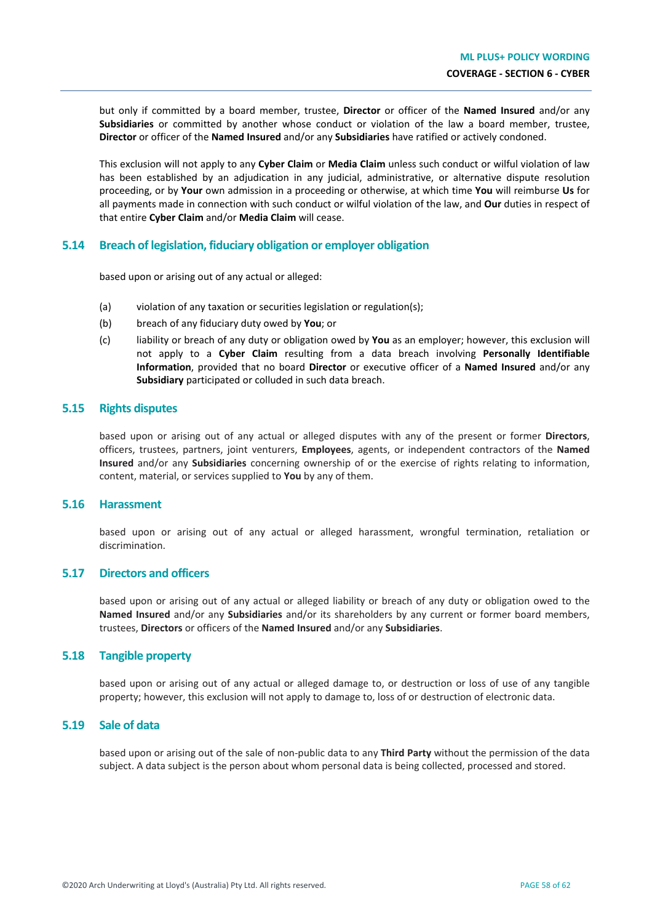but only if committed by a board member, trustee, **Director** or officer of the **Named Insured** and/or any **Subsidiaries** or committed by another whose conduct or violation of the law a board member, trustee, **Director** or officer of the **Named Insured** and/or any **Subsidiaries** have ratified or actively condoned.

This exclusion will not apply to any **Cyber Claim** or **Media Claim** unless such conduct or wilful violation of law has been established by an adjudication in any judicial, administrative, or alternative dispute resolution proceeding, or by **Your** own admission in a proceeding or otherwise, at which time **You** will reimburse **Us** for all payments made in connection with such conduct or wilful violation of the law, and **Our** duties in respect of that entire **Cyber Claim** and/or **Media Claim** will cease.

### **5.14 Breach of legislation, fiduciary obligation or employer obligation**

based upon or arising out of any actual or alleged:

- (a) violation of any taxation or securities legislation or regulation(s);
- (b) breach of any fiduciary duty owed by **You**; or
- (c) liability or breach of any duty or obligation owed by **You** as an employer; however, this exclusion will not apply to a **Cyber Claim** resulting from a data breach involving **Personally Identifiable Information**, provided that no board **Director** or executive officer of a **Named Insured** and/or any **Subsidiary** participated or colluded in such data breach.

#### **5.15 Rights disputes**

based upon or arising out of any actual or alleged disputes with any of the present or former **Directors**, officers, trustees, partners, joint venturers, **Employees**, agents, or independent contractors of the **Named Insured** and/or any **Subsidiaries** concerning ownership of or the exercise of rights relating to information, content, material, or services supplied to **You** by any of them.

#### **5.16 Harassment**

based upon or arising out of any actual or alleged harassment, wrongful termination, retaliation or discrimination.

### **5.17 Directors and officers**

based upon or arising out of any actual or alleged liability or breach of any duty or obligation owed to the **Named Insured** and/or any **Subsidiaries** and/or its shareholders by any current or former board members, trustees, **Directors** or officers of the **Named Insured** and/or any **Subsidiaries**.

#### **5.18 Tangible property**

based upon or arising out of any actual or alleged damage to, or destruction or loss of use of any tangible property; however, this exclusion will not apply to damage to, loss of or destruction of electronic data.

#### **5.19 Sale of data**

based upon or arising out of the sale of non-public data to any **Third Party** without the permission of the data subject. A data subject is the person about whom personal data is being collected, processed and stored.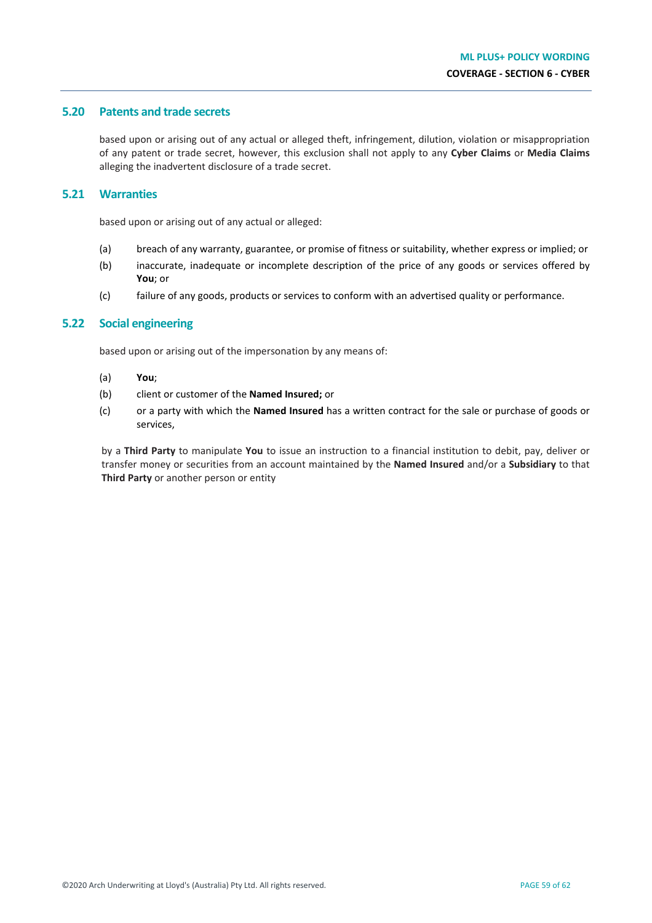### **5.20 Patents and trade secrets**

based upon or arising out of any actual or alleged theft, infringement, dilution, violation or misappropriation of any patent or trade secret, however, this exclusion shall not apply to any **Cyber Claims** or **Media Claims** alleging the inadvertent disclosure of a trade secret.

#### **5.21 Warranties**

based upon or arising out of any actual or alleged:

- (a) breach of any warranty, guarantee, or promise of fitness or suitability, whether express or implied; or
- (b) inaccurate, inadequate or incomplete description of the price of any goods or services offered by **You**; or
- (c) failure of any goods, products or services to conform with an advertised quality or performance.

### **5.22 Social engineering**

based upon or arising out of the impersonation by any means of:

- (a) **You**;
- (b) client or customer of the **Named Insured;** or
- (c) or a party with which the **Named Insured** has a written contract for the sale or purchase of goods or services,

by a **Third Party** to manipulate **You** to issue an instruction to a financial institution to debit, pay, deliver or transfer money or securities from an account maintained by the **Named Insured** and/or a **Subsidiary** to that **Third Party** or another person or entity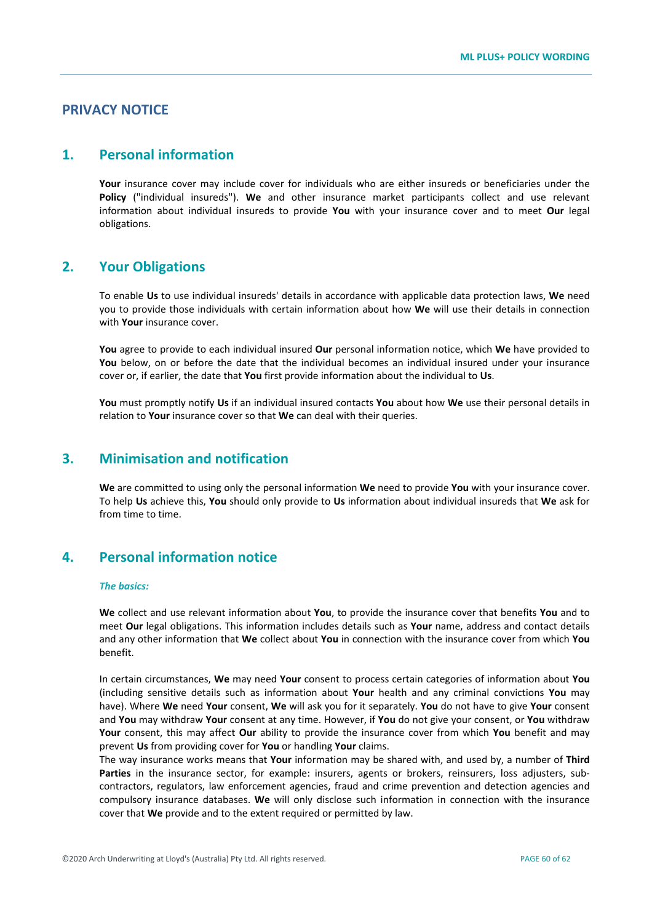### <span id="page-64-0"></span>**PRIVACY NOTICE**

### <span id="page-64-1"></span>**1. Personal information**

**Your** insurance cover may include cover for individuals who are either insureds or beneficiaries under the **Policy** ("individual insureds"). **We** and other insurance market participants collect and use relevant information about individual insureds to provide **You** with your insurance cover and to meet **Our** legal obligations.

### <span id="page-64-2"></span>**2. Your Obligations**

To enable **Us** to use individual insureds' details in accordance with applicable data protection laws, **We** need you to provide those individuals with certain information about how **We** will use their details in connection with **Your** insurance cover.

**You** agree to provide to each individual insured **Our** personal information notice, which **We** have provided to You below, on or before the date that the individual becomes an individual insured under your insurance cover or, if earlier, the date that **You** first provide information about the individual to **Us**.

**You** must promptly notify **Us** if an individual insured contacts **You** about how **We** use their personal details in relation to **Your** insurance cover so that **We** can deal with their queries.

### <span id="page-64-3"></span>**3. Minimisation and notification**

**We** are committed to using only the personal information **We** need to provide **You** with your insurance cover. To help **Us** achieve this, **You** should only provide to **Us** information about individual insureds that **We** ask for from time to time.

# <span id="page-64-4"></span>**4. Personal information notice**

#### *The basics:*

**We** collect and use relevant information about **You**, to provide the insurance cover that benefits **You** and to meet **Our** legal obligations. This information includes details such as **Your** name, address and contact details and any other information that **We** collect about **You** in connection with the insurance cover from which **You** benefit.

In certain circumstances, **We** may need **Your** consent to process certain categories of information about **You** (including sensitive details such as information about **Your** health and any criminal convictions **You** may have). Where **We** need **Your** consent, **We** will ask you for it separately. **You** do not have to give **Your** consent and **You** may withdraw **Your** consent at any time. However, if **You** do not give your consent, or **You** withdraw **Your** consent, this may affect **Our** ability to provide the insurance cover from which **You** benefit and may prevent **Us** from providing cover for **You** or handling **Your** claims.

The way insurance works means that **Your** information may be shared with, and used by, a number of **Third** Parties in the insurance sector, for example: insurers, agents or brokers, reinsurers, loss adjusters, subcontractors, regulators, law enforcement agencies, fraud and crime prevention and detection agencies and compulsory insurance databases. **We** will only disclose such information in connection with the insurance cover that **We** provide and to the extent required or permitted by law.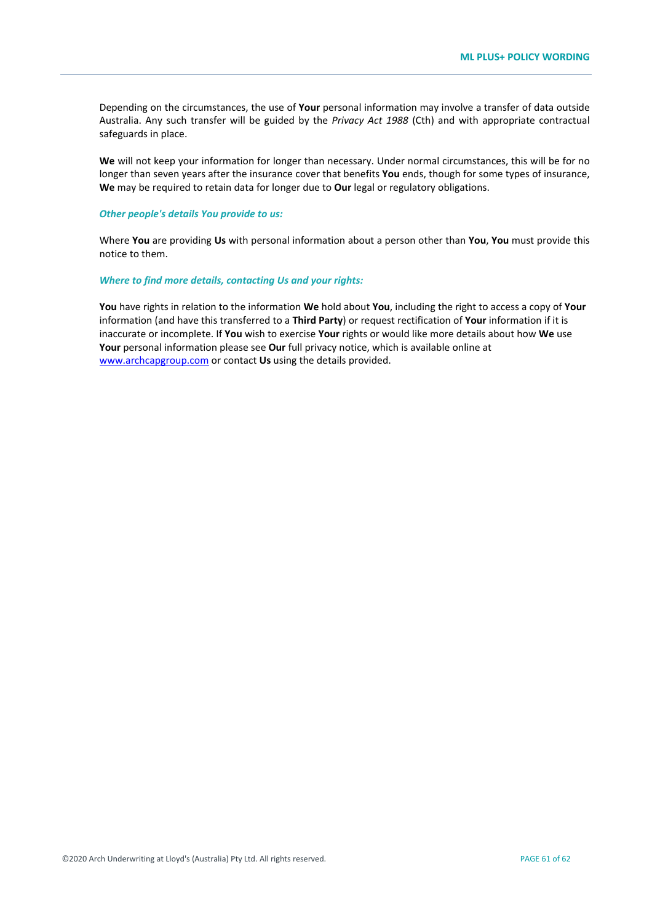Depending on the circumstances, the use of **Your** personal information may involve a transfer of data outside Australia. Any such transfer will be guided by the *Privacy Act 1988* (Cth) and with appropriate contractual safeguards in place.

**We** will not keep your information for longer than necessary. Under normal circumstances, this will be for no longer than seven years after the insurance cover that benefits **You** ends, though for some types of insurance, **We** may be required to retain data for longer due to **Our** legal or regulatory obligations.

#### *Other people's details You provide to us:*

Where **You** are providing **Us** with personal information about a person other than **You**, **You** must provide this notice to them.

#### *Where to find more details, contacting Us and your rights:*

<span id="page-65-0"></span>**You** have rights in relation to the information **We** hold about **You**, including the right to access a copy of **Your** information (and have this transferred to a **Third Party**) or request rectification of **Your** information if it is inaccurate or incomplete. If **You** wish to exercise **Your** rights or would like more details about how **We** use **Your** personal information please see **Our** full privacy notice, which is available online at [www.archcapgroup.com](http://www.archcapgroup.com/) or contact **Us** using the details provided.